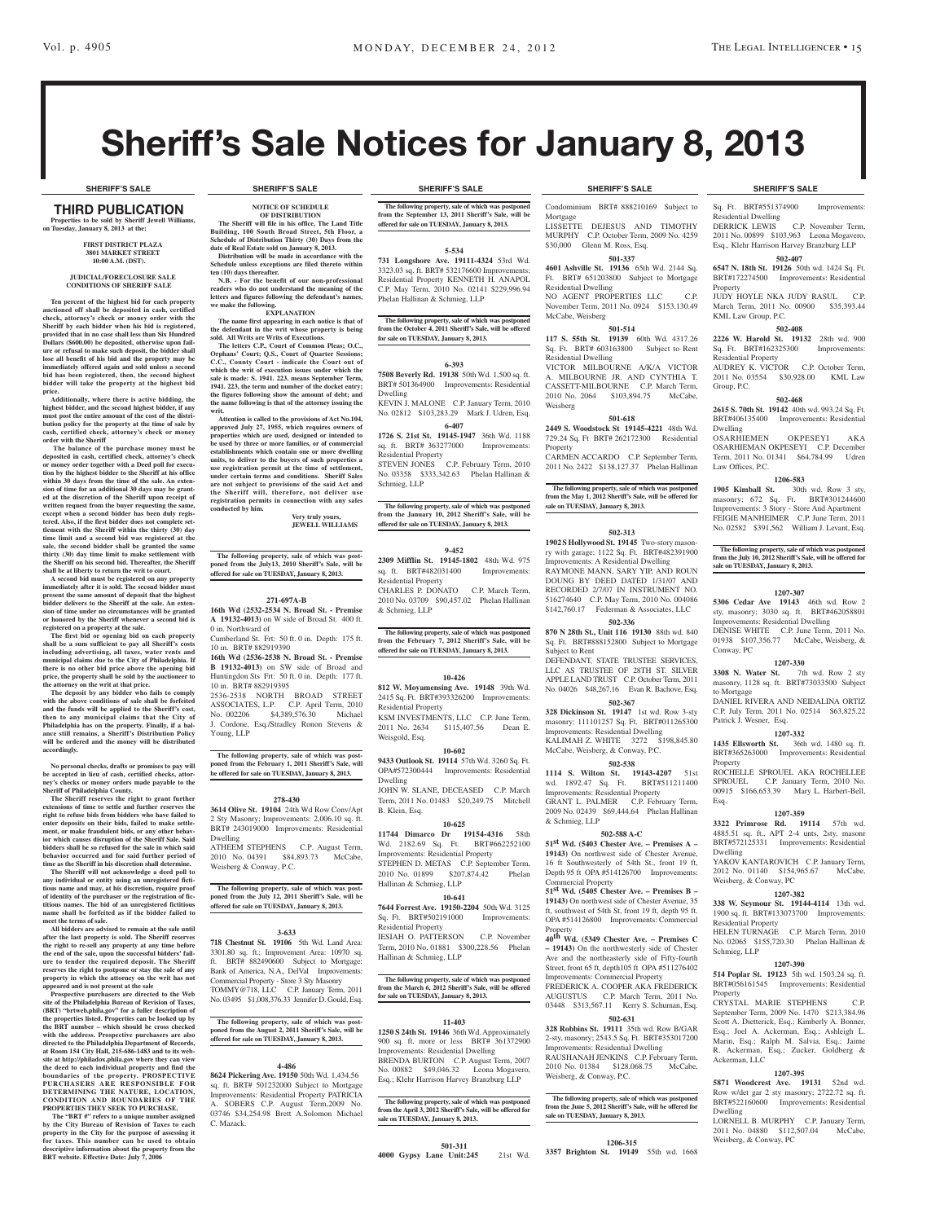Sq. Ft. BRT#551374900 Improvements:

DERRICK LEWIS C.P. November Term, 2011 No. 00899 \$103,963 Leona Mogavero, Esq., Klehr Harrison Harvey Branzburg LLP **502-407 6547 N. 18th St. 19126** 50th wd. 1424 Sq. Ft. BRT#172274500 Improvements: Residential

JUDY HOYLE NKA JUDY RASUL C.P. March Term, 2011 No. 00900 \$35,393.44

**502-408 2226 W. Harold St. 19132** 28th wd. 900 Sq. Ft. BRT#162325300 Improvements:

AUDREY K. VICTOR C.P. October Term, 2011 No. 03554 \$30,928.00 KML Law

**502-468 2615 S. 70th St. 19142** 40th wd. 993.24 Sq. Ft. BRT#406135400 Improvements: Residential

OSARHIEMEN OKPESEYI AKA OSARHIEMAN OKPESEYI C.P. December Term, 2011 No. 01341 \$64,784.99 Udren

masonry; 672 Sq. Ft. BRT#301244600 Improvements: 3 Story - Store And Apartment FEIGIE MANHEIMER C.P. June Term, 2011 No. 02582 \$391,562 William J. Levant, Esq.

**The following property, sale of which was postponed from the July 10, 2012 Sheriff's Sale, will be offered for** 

**1207-307 5306 Cedar Ave 19143** 46th wd. Row 2 sty, masonry; 3030 sq. ft. BRT#462058801 Improvements: Residential Dwelling DENISE WHITE C.P. June Term, 2011 No. 01938 \$107,356.77 McCabe, Weisberg, &

**1207-330 3308 N. Water St.** 7th wd. Row 2 sty masonry, 1128 sq. ft. BRT#73033500 Subject

DANIEL RIVERA AND NEIDALINA ORTIZ C.P. July Term, 2011 No. 02514 \$63,825.22

**1207-332 1435 Ellsworth St.** 36th wd. 1480 sq. ft. BRT#365263000 Improvements: Residential

ROCHELLE SPROUEL AKA ROCHELLEE SPROUEL C.P. January Term, 2010 No. 00915 \$166,653.39 Mary L. Harbert-Bell,

**1207-359 3322 Primrose Rd. 19114** 57th wd. 4885.51 sq. ft., APT 2-4 unts, 2sty, masonr BRT#572125331 Improvements: Residential

YAKOV KANTAROVICH C.P. January Term, 2012 No. 01140 \$154,965.67 McCabe,

**1207-382 338 W. Seymour St. 19144-4114** 13th wd. 1900 sq. ft. BRT#133073700 Improvements:

HELEN TURNAGE C.P. March Term, 2010 No. 02065 \$155,720.30 Phelan Hallinan &

**1207-390 514 Poplar St. 19123** 5th wd. 1503.24 sq. ft. BRT#056161545 Improvements: Residential

CRYSTAL MARIE STEPHENS C.P. September Term, 2009 No. 1470 \$213,384.96 Scott A. Dietterick, Esq.; Kimberly A. Bonner, Esq.; Joel A. Ackerman, Esq.; Ashleigh L. Marin, Esq.; Ralph M. Salvia, Esq.; Jaime R. Ackerman, Esq.; Zucker, Goldberg &

**1207-395 5871 Woodcrest Ave. 19131** 52nd wd. Row w/det gar 2 sty masonry; 2722.72 sq. ft. BRT#522160600 Improvements: Residential

LORNELL B. MURPHY C.P. January Term, 2011 No. 04880 \$112,507.04 McCabe,

**20th wd. Row 3 sty,** 

Residential Dwelling

KML Law Group, P.C.

Residential Property

Group, P.C.

Dwelling

Law Offices, P.C.

Conway, PC

to Mortgage

Property

Esq.

Dwelling

Weisberg, & Conway, PC

Residential Property

Schmieg, LLP

Ackerman, LLC

Dwelling

Weisberg, & Conway, PC

Property

Patrick J. Wesner, Esq.

**1206-583**<br>**1905** Kimball St. 30th

**sale on TUESDAY, January 8, 2013.**

Property

# Sheriff's Sale Notices for January 8, 2013

#### THIRD PUBLICATION **Properties to be sold by Sheriff Jewell W on Tuesday, January 8, 2013 at the:**

**First District Plaza 3801 Market Street 10:00 A.M. (DST).**

#### **JUDICIAL/FORECLOSURE SALE CONDITIONS OF SHERIFF SALE**

**Ten percent of the highest bid for each property auctioned off shall be deposited in cash, certified check, attorney's check or money order with the Sheriff by each bidder when his bid is registered, provided that in no case shall less than Six Hundred Dollars (\$600.00) be deposited, otherwise upon fail-ure or refusal to make such deposit, the bidder shall lose all benefit of his bid and the property may be immediately offered again and sold unless a second bid has been registered, then, the second highest bidder will take the property at the highest bid price.**

**Additionally, where there is active bidding, the highest bidder, and the second highest bidder, if any must post the entire amount of the cost of the distributherable property at the time of sale by cash, certified check, attorney's check or money** 

**order with the Sheriff The balance of the purchase money must be deposited in cash, certified check, attorney's check or money order together with a Deed poll for execu-tion by the highest bidder to the Sheriff at his office within 30 days from the time of the sale. An exten-sion of time for an additional 30 days may be granted at the discretion of the Sheriff upon receipt of written request from the buyer requesting the same, except when a second bidder has been duly registered. Also, if the first bidder does not complete settlement with the Sheriff within the thirty (30) day time limit and a second bid was registered at the**  sale, the second bidder shall be granted the same **thirty (30) day time limit to make settlement with the Sheriff on his second bid. Thereafter, the Sheriff shall be at liberty to return the writ to court.**

**A second bid must be registered on any property immediately after it is sold. The second bidder must present the same amount of deposit that the highest bidder delivers to the Sheriff at the sale. An extension of time under no circumstances will be granted or honored by the Sheriff whenever a second bid is registered on a property at the sale.** 

**The first bid or opening bid on each property shall be a sum sufficient to pay all Sheriff's costs including advertising, all taxes, water rents and municipal claims due to the City of Philadelphia. If there is no other bid price above the opening bid price, the property shall be sold by the auctioneer to** 

**the attorney on the writ at that price. The deposit by any bidder who fails to comply with the above conditions of sale shall be forfeited and the funds will be applied to the Sheriff's cost, then to any municipal claims that the City of Philadelphia has on the property. Finally, if a bal-ance still remains, a Sheriff's Distribution Policy will be ordered and the money will be distributed accordingly.**

**No personal checks, drafts or promises to pay will be accepted in lieu of cash, certified checks, attorney's checks or money orders made payable to the Sheriff of Philadelphia County.**

**The Sheriff reserves the right to grant further extensions of time to settle and further reserves the right to refuse bids from bidders who have failed to enter deposits on their bids, failed to make settle-ment, or make fraudulent bids, or any other behavior which causes disruption of the Sheriff Sale. Said bidders shall be so refused for the sale in which said behavior occurred and for said further period of time as the Sheriff in his discretion shall determine.**

**The Sheriff will not acknowledge a deed poll to any individual or entity using an unregistered fictitious name and may, at his discretion, require proof of identity of the purchaser or the registration of fictitious names. The bid of an unregistered fictitious name shall be forfeited as if the bidder failed to meet the terms of sale.**

**All bidders are advised to remain at the sale until after the last property is sold. The Sheriff reserves the right to re-sell any property at any time before the end of the sale, upon the successful bidders' failure to tender the required deposit. The Sheriff reserves the right to postpone or stay the sale of any property in which the attorney on the writ has not** 

**appeared and is not present at the sale Prospective purchasers are directed to the Web site of the Philadelphia Bureau of Revision of Taxes, (BRT) "brtweb.phila.gov" for a fuller description of the properties listed. Properties can be looked up by the BRT number – which should be cross checked with the address. Prospective purchasers are also directed to the Philadelphia Department of Records, at Room 154 City Hall, 215-686-1483 and to its website at http://philadox.phila.gov where they can view the deed to each individual property and find the boundaries of the property. PROSPECTIVE PURCHASERS ARE RESPONSIBLE FOR DETERMINING THE NATURE, LOCATION, CONDITION AND BOUNDARIES PROPERTIES THEY SEEK TO PURCHASE.**

 **The "BRT #" refers to a unique number assigned by the City Bureau of Revision of Taxes to each property in the City for the purpose of assessing it for taxes. This number can be used to obtain descriptive information about the property from the BRT website. Effective Date: July 7, 2006**

**NOTICE OF SCHEDULE OF DISTRIBUTION The Sheriff will file in his office, The Land Title Building, 100 South Broad Street, 5th Floor, a** 

**Schedule of Distribution Thirty (30) Days from the date of Real Estate sold on January 8, 2013. Distribution will be made in accordance with the Schedule unless exceptions are filed thereto within ten (10) days thereafter.**

**N.B. - For the benefit of our non-professional readers who do not understand the meaning of the letters and figures following the defendant's names, we make the following. EXPLANATION**

**The name first appearing in each notice is that of the defendant in the writ whose property is being sold. All Writs are Writs of Executions.**

**The letters C.P., Court of Common Pleas; O.C., Orphans' Court; Q.S., Court of Quarter Sessions; C.C., County Court - indicate the Court out of which the writ of execution issues under which the sale is made: S. 1941. 223. means September Term, 1941. 223, the term and number of the docket entry; the figures following show the amount of debt; and the name following is that of the attorney issuing the writ.**

**Attention is called to the provisions of Act No.104, approved July 27, 1955, which requires owners of properties which are used, designed or intended to be used by three or more families, or of commercial establishments which contain one or more dwelling units, to deliver to the buyers of such properties a use registration permit at the time of settlement, under certain terms and conditions. Sheriff Sales are not subject to provisions of the said Act and the Sheriff will, therefore, not deliver use registration permits in connection with any sales conducted by him.**

**Very truly yours, jewell williams**

**The following property, sale of which was post-poned from the July13, 2010 Sheriff's Sale, will be offered for sale on TUESDAY, January 8, 2013.**

#### **271-697A-B**

**16th Wd (2532-2534 N. Broad St. - Premise A 19132-4013)** on W side of Broad St. 400 ft. 0 in. Northward of

Cumberland St. Frt: 50 ft. 0 in. Depth: 175 ft. 10 in. BRT# 882919390

**16th Wd (2536-2538 N. Broad St. - Premise B 19132-4013)** on SW side of Broad and Huntingdon Sts Frt: 50 ft. 0 in. Depth: 177 ft. 10 in. BRT# 882919395 2536-2538 NORTH BROAD STREET ASSOCIATES, L.P. C.P. April Term, 2010 No. 002206 \$4,389,576.30 Michael J. Cordone, Esq./Stradley Ronon Stevens & Young, LLP

**The following property, sale of which was post-poned from the February 1, 2011 Sheriff's Sale, will be offered for sale on TUESDAY, January 8, 2013.**

#### **278-430**

**3614 Olive St. 19104** 24th Wd Row Conv/Apt 2 Sty Masonry; Improvements: 2,006.10 sq. ft. BRT# 243019000 Improvements: Residential

Dwelling ATHEEM STEPHENS C.P. August Term, 2010 No. 04391 \$84,893.73 McCabe, Weisberg & Conway, P.C.

**The following property, sale of which was postponed from the July 12, 2011 Sheriff's Sale, will be offered for sale on TUESDAY, January 8, 2013.**

#### **3-633**

**718 Chestnut St. 19106** 5th Wd. Land Area: 3301.80 sq. ft.; Improvement Area: 10970 sq. ft. BRT# 882490600 Subject to Mortgage: Bank of America, N.A., DelVal Improvements: Commercial Property - Store 3 Sty Masonry TOMMY@718, LLC C.P. January Term, 2011 No. 03495 \$1,008,376.33 Jennifer D. Gould, Esq.

following property, sale of which was pos **poned from the August 2, 2011 Sheriff's Sale, will be offered for sale on TUESDAY, January 8, 2013.**

#### **4-486**

**8624 Pickering Ave. 19150** 50th Wd. 1,434.56 sq. ft. BRT# 501232000 Subject to Mortgage Improvements: Residential Property PATRICIA A. SOBERS C.P. August Term,2009 No. 03746 \$34,254.98 Brett A.Solomon Michael C. Mazack.

#### **SHERIFF'S SALE SHERIFF'S SALE SHERIFF'S SALE SHERIFF'S SALE SHERIFF'S SALE**

**The following property, sale of which was postponed from the September 13, 2011 Sheriff's Sale, will be offered for sale on TUESDAY, January 8, 2013.**

#### **5-534**

**731 Longshore Ave. 19111-4324** 53rd Wd. 3323.03 sq. ft. BRT# 532176600 Improvements: Residential Property KENNETH H. ANAPOL C.P. May Term, 2010 No. 02141 \$229,996.94 Phelan Hallinan & Schmieg, LLP

**The following property, sale of which was postponed from the October 4, 2011 Sheriff's Sale, will be offered for sale on TUESDAY, January 8, 2013.**

#### **6-393**

**7508 Beverly Rd. 19138** 50th Wd. 1,500 sq. ft. BRT# 501364900 Improvements: Residential Dwelling

KEVIN J. MALONE C.P. January Term, 2010 No. 02812 \$103,283.29 Mark J. Udren, Esq. **6-407**

**1726 S. 21st St. 19145-1947** 36th Wd. 1188 sq. ft. BRT# 363277000 Residential Property STEVEN JONES C.P. February Term, 2010 No. 03358 \$333,342.63 Phelan Hallinan &

Schmieg, LLP The following property, sale of which was postponed **from the January 10, 2012 Sheriff's Sale, will be offered for sale on TUESDAY, January 8, 2013.**

## **9-452**

**2309 Mifflin St. 19145-1802** 48th Wd. 975 sq. ft. BRT#482031400 Improvements: Residential Property CHARLES P. DONATO C.P. March Term, 2010 No. 03709 \$90,457.02 Phelan Hallinan

& Schmieg, LLP **The following property, sale of which was postponed** 

**from the February 7, 2012 Sheriff's Sale, will be offered for sale on TUESDAY, January 8, 2013.**

#### **10-426**

**812 W. Moyamensing Ave. 19148** 39th Wd. 2415 Sq. Ft. BRT#393326200 Improvements: Residential Property

KSM INVESTMENTS, LLC C.P. June Term,<br>2011 No. 2634 \$115,407.56 Dean E. 2011 No. 2634 \$115,407.56 Dean E. Weisgold, Esq.

## **10-602**

**9433 Outlook St. 19114** 57th Wd. 3260 Sq. Ft. OPA#572300444 Improvements: Residential Dwelling

JOHN W. SLANE, DECEASED C.P. March Term, 2011 No. 01483 \$20,249.75 Mitchell B. Klein, Esq.

#### **10-625**

**11744 Dimarco Dr 19154-4316** 58th Wd. 2182.69 Sq. Ft. BRT#662252100 Improvements: Residential Property STEPHEN D. METAS C.P. September Term, 2010 No. 01899 \$207,874.42 Phelan Hallinan & Schmieg, LLP

#### **10-641**

**7644 Forrest Ave. 19150-2204** 50th Wd. 3125 Sq. Ft. BRT#502191000 Improvements: Residential Property IESIAH O. PATTERSON C.P. November

Term, 2010 No. 01881 \$300,228.56 Phelan Hallinan & Schmieg, LLP

## **The following property, sale of which was postponed from the March 6, 2012 Sheriff's Sale, will be offered for sale on TUESDAY, January 8, 2013.**

#### **11-403**

**1250 S 24th St. 19146** 36th Wd. Approximately 900 sq. ft. more or less BRT# 361372900 Improvements: Residential Dwelling BRENDA BURTON C.P. August Term, 2007 No. 00882 \$49,046.32 Leona Mogavero, Esq.; Klehr Harrison Harvey Branzburg LLP

**The following property, sale of which was postponed from the April 3, 2012 Sheriff's Sale, will be offered for sale on TUESDAY, January 8, 2013.**

#### **501-311**

**4000 Gypsy Lane Unit:245** 21st Wd.

Condominium BRT# 888210169 Subject to Mortgage LISSETTE DEJESUS AND TIMOTHY

MURPHY C.P. October Term, 2009 No. 4259 \$30,000 Glenn M. Ross, Esq. **501-337**

**4601 Ashville St. 19136** 65th Wd. 2144 Sq. Ft. BRT# 651203800 Subject to Mortgage Residential Dwelling NO AGENT PROPERTIES LLC C.P. November Term, 2011 No. 0924 \$153,130.49 McCabe, Weisberg

#### **501-514**

**117 S. 55th St. 19139** 60th Wd. 4317.26 Sq. Ft. BRT# 603163800 Subject to Rent Residential Dwelling VICTOR MILBOURNE A/K/A VICTOR A. MILBOURNE JR. AND CYNTHIA T. CASSETT-MILBOURNE C.P. March Term, 2010 No. 2064 \$103,894.75 McCabe, Weisberg

## **501-618**

**2449 S. Woodstock St 19145-4221** 48th Wd. 729.24 Sq. Ft BRT# 262172300 Residential Property CARMEN ACCARDO C.P. September Term,

2011 No. 2422 \$138,127.37 Phelan Hallinan

**The following property, sale of which was postponed from the May 1, 2012 Sheriff's Sale, will be offered for sale on TUESDAY, January 8, 2013.**

## **502-313**

**1902 S Hollywood St. 19145** Two-story masonry with garage; 1122 Sq. Ft. BRT#482391900 Improvements: A Residential Dwelling RAYMONE MANN, SARY YIP, AND ROUN DOUNG BY DEED DATED 1/31/07 AND RECORDED 2/7/07 IN INSTRUMENT NO. 516274640 C.P. May Term, 2010 No. 004086 \$142,760.17 Federman & Associates, LLC **502-336**

**870 N 28th St., Unit 116 19130** 88th wd. 840 Sq. Ft. BRT#888152800 Subject to Mortgage Subject to Rent

DEFENDANT, STATE TRUSTEE SERVICES, LLC AS TRUSTEE OF 28TH ST. SILVER APPLE LAND TRUST C.P. October Term, 2011 No. 04026 \$48,267.16 Evan R. Bachove, Esq. **502-367**

**328 Dickinson St. 19147** 1st wd. Row 3-sty masonry; 111101257 Sq. Ft. BRT#011265300 Improvements: Residential Dwelling KALIMAH Z. WHITE 3272 \$198,845.80

McCabe, Weisberg, & Conway, P.C. **502-538**

**1114 S. Wilton St. 19143-4207** 51st wd. 1892.47 Sq. Ft. BRT#511211400 Improvements: Residential Property GRANT L. PALMER C.P. February Term, 2009 No. 02439 \$69,444.64 Phelan Hallinan & Schmieg, LLP

#### **502-588 A-C**

**51st Wd. (5403 Chester Ave. – Premises A – 19143)** On northwest side of Chester Avenue, 16 ft Southwesterly of 54th St., front 19 ft, Depth 95 ft OPA #514126700 Improvements: Commercial Property **51st Wd. (5405 Chester Ave. – Premises B –** 

**19143)** On northwest side of Chester Avenue, 35 ft, southwest of 54th St, front 19 ft, depth 95 ft. OPA #514126800 Improvements: Commercial Property **40th Wd. (5349 Chester Ave. – Premises C**

**– 19143)** On the northwesterly side of Chester Ave and the northeasterly side of Fifty-fourth Street, front 65 ft, depth105 ft OPA #511276402 Improvements: Commercial Property FREDERICK A. COOPER AKA FREDERICK AUGUSTUS C.P. March Term, 2011 No. 03448 \$313,567.11 Kerry S. Schuman, Esq.

## **502-631**

**328 Robbins St. 19111** 35th wd. Row B/GAR 2-sty, masonry; 2543.5 Sq. Ft. BRT#353017200 Improvements: Residential Dwelling RAUSHANAH JENKINS C.P. February Term, 2010 No. 01384 \$128,068.75 McCabe, Weisberg, & Conway, P.C.

**The following property, sale of which was postponed from the June 5, 2012 Sheriff's Sale, will be offered for sale on TUESDAY, January 8, 2013.**

#### **1206-315 3357 Brighton St. 19149** 55th wd. 1668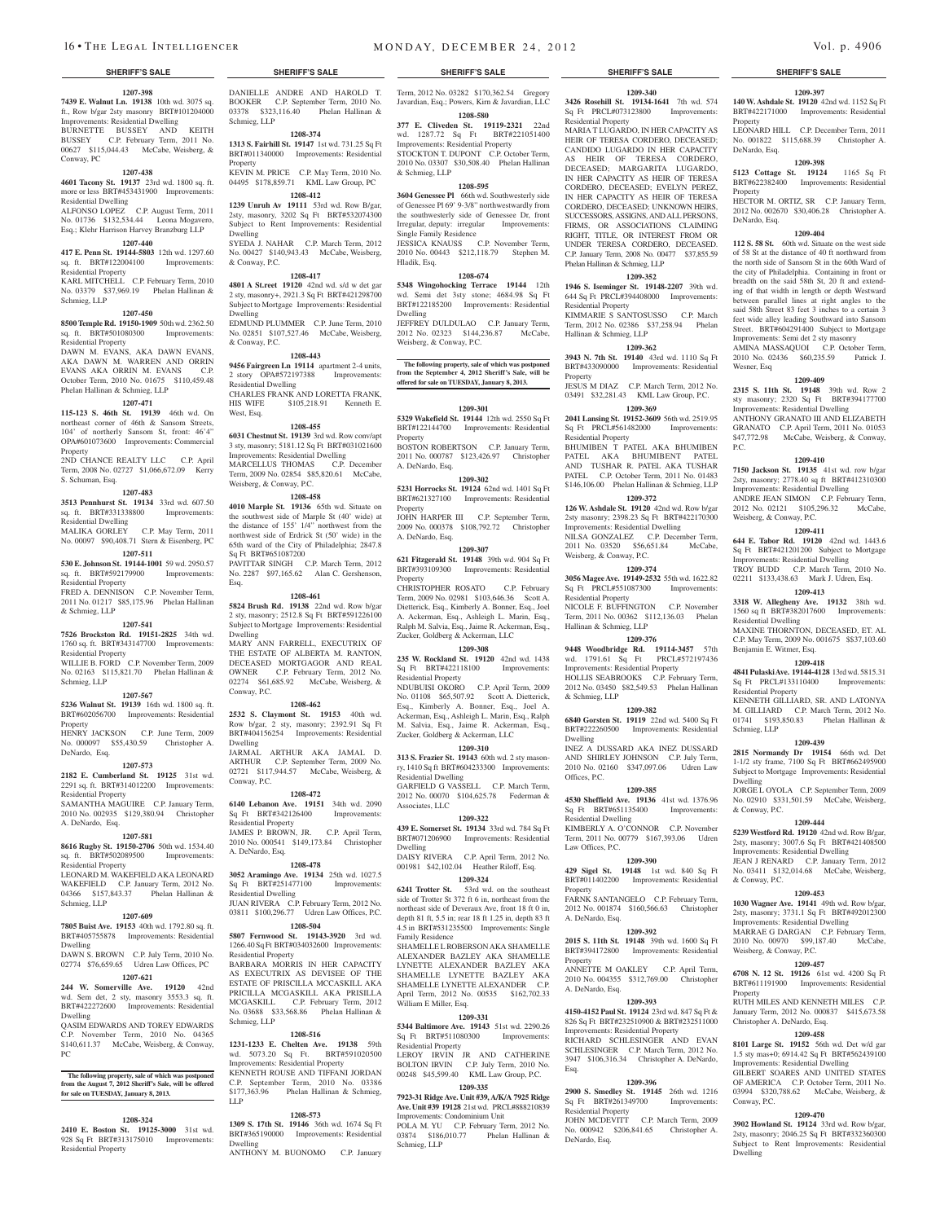**1207-398 7439 E. Walnut Ln. 19138** 10th wd. 3075 sq. ft., Row b/gar 2sty masonry BRT#101204000 Improvements: Residential Dwelling BURNETTE BUSSEY AND KEITH BUSSEY C.P. February Term, 2011 No. 00627 \$115,044.43 McCabe, Weisberg, & Conway, PC

#### **1207-438**

**4601 Tacony St. 19137** 23rd wd. 1800 sq. ft. more or less BRT#453431900 Improvements: Residential Dwelling

ALFONSO LOPEZ C.P. August Term, 2011 No. 01736 \$132,534.44 Leona Mogavero, Esq.; Klehr Harrison Harvey Branzburg LLP

#### **1207-440**

**417 E. Penn St. 19144-5803** 12th wd. 1297.60 sq. ft. BRT#122004100 Improvements: sq. ft. BRT#122004100 Residential Property KARL MITCHELL C.P. February Term, 2010

No. 03379 \$37,969.19 Phelan Hallinan & Schmieg, LLP

## **1207-450**

**8500 Temple Rd. 19150-1909** 50th wd. 2362.50 sq. ft. BRT#501080300 Improvements: Residential Property

DAWN M. EVANS, AKA DAWN EVANS, AKA DAWN M. WARREN AND ORRIN EVANS AKA ORRIN M. EVANS C.P. October Term, 2010 No. 01675 \$110,459.48 Phelan Hallinan & Schmieg, LLP

#### **1207-471**

**115-123 S. 46th St. 19139** 46th wd. On northeast corner of 46th & Sansom Streets, 104' of northerly Sansom St, front: 46'4" OPA#601073600 Improvements: Commercial Property

2ND CHANCE REALTY LLC C.P. April Term, 2008 No. 02727 \$1,066,672.09 Kerry S. Schuman, Esq.

#### **1207-483**

**3513 Pennhurst St. 19134** 33rd wd. 607.50

sq. ft. BRT#331338800 Improvements: Residential Dwelling MALIKA GORLEY C.P. May Term, 2011 No. 00097 \$90,408.71 Stern & Eisenberg, PC

**1207-511**

## **530 E. Johnson St. 19144-1001** 59 wd. 2950.57

sq. ft. BRT#592179900 Improvements: Residential Property FRED A. DENNISON C.P. November Term, 2011 No. 01217 \$85,175.96 Phelan Hallinan Esq.

& Schmieg, LLP

## **1207-541**

**7526 Brockston Rd. 19151-2825** 34th wd. 1760 sq. ft. BRT#343147700 Improvements: Residential Property

WILLIE B. FORD C.P. November Term, 2009 No. 02163 \$115,821.70 Phelan Hallinan & Schmieg, LLP

#### **1207-567**

**5236 Walnut St. 19139** 16th wd. 1800 sq. ft. BRT#602056700 Improvements: Residential Property

HENRY JACKSON C.P. June Term, 2009 No. 000097 \$55,430.59 Christopher A. DeNardo, Esq.

#### **1207-573**

**2182 E. Cumberland St. 19125** 31st wd. 2291 sq. ft. BRT#314012200 Improvements: Residential Property

#### SAMANTHA MAGUIRE C.P. January Term, 2010 No. 002935 \$129,380.94 Christopher A. DeNardo, Esq.

### **1207-581**

**8616 Rugby St. 19150-2706** 50th wd. 1534.40 sq. ft. BRT#502089500 Improvements:

## Residential Property

LEONARD M. WAKEFIELD AKA LEONARD WAKEFIELD C.P. January Term, 2012 No. 04366 \$157,843.37 Phelan Hallinan & Schmieg, LLP

## **1207-609**

**7805 Buist Ave. 19153** 40th wd. 1792.80 sq. ft. BRT#405755878 Improvements: Residential Dwelling DAWN S. BROWN C.P. July Term, 2010 No.

## 02774 \$76,659.65 Udren Law Offices, PC **1207-621**

**244 W. Somerville Ave. 19120** 42nd wd. Sem det, 2 sty, masonry 3553.3 sq. ft. BRT#422272600 Improvements: Residential Dwelling

#### QASIM EDWARDS AND TOREY EDWARDS C.P. November Term, 2010 No. 04365 \$140,611.37 McCabe, Weisberg, & Conway, PC

**The following property, sale of which was postponed from the August 7, 2012 Sheriff's Sale, will be offered for sale on TUESDAY, January 8, 2013.**

### **1208-324**

**2410 E. Boston St. 19125-3000** 31st wd. 928 Sq Ft BRT#313175010 Improvements: Residential Property

DANIELLE ANDRE AND HAROLD T. Term, 2012 No. 03282 \$170,362.54 Gregory BOOKER C.P. September Term, 2010 No. 03378 \$323,116.40 Phelan Hallinan & Schmieg, LLP

**1208-374 1313 S. Fairhill St. 19147** 1st wd. 731.25 Sq Ft BRT#011340000 Improvements: Residential Property

KEVIN M. PRICE C.P. May Term, 2010 No. 04495 \$178,859.71 KML Law Group, PC **1208-412**

#### **1239 Unruh Av 19111** 53rd wd. Row B/gar, 2sty, masonry, 3202 Sq Ft BRT#532074300 Subject to Rent Improvements: Residential Dwelling SYEDA J. NAHAR C.P. March Term, 2012

No. 00427 \$140,943.43 McCabe, Weisberg, & Conway, P.C. **1208-417**

**4801 A St.reet 19120** 42nd wd. s/d w det gar 2 sty, masonry+, 2921.3 Sq Ft BRT#421298700 Subject to Mortgage Improvements: Residential Dwelling EDMUND PLUMMER C.P. June Term, 2010 No. 02851 \$107,527.46 McCabe, Weisberg, & Conway, P.C.

### **1208-443**

**9456 Fairgreen Ln 19114** apartment 2-4 units, 2 story OPA#572197388 Improvements: Residential Dwelling CHARLES FRANK AND LORETTA FRANK, HIS WIFE \$105,218.91 Kenneth E. West, Esq.

#### **1208-455**

**6031 Chestnut St. 19139** 3rd wd. Row conv/apt 3 sty, masonry; 5181.12 Sq Ft BRT#031021600 Improvements: Residential Dwelling MARCELLUS THOMAS C.P. December Term, 2009 No. 02854 \$85,820.61 McCabe, Weisberg, & Conway, P.C.

#### **1208-458**

**4010 Marple St. 19136** 65th wd. Situate on the southwest side of Marple St (40' wide) at the distance of 155' 1/4" northwest from the northwest side of Erdrick St (50' wide) in the 65th ward of the City of Philadelphia; 2847.8 Sq Ft BRT#651087200 PAVITTAR SINGH C.P. March Term, 2012 No. 2287 \$97,165.62 Alan C. Gershenson,

### **1208-461**

**5824 Brush Rd. 19138** 22nd wd. Row b/gar 2 sty, masonry; 2512.8 Sq Ft BRT#591226100 Subject to Mortgage Improvements: Residential Dwelling MARY ANN FARRELL, EXECUTRIX OF THE ESTATE OF ALBERTA M. RANTON. DECEASED MORTGAGOR AND REAL OWNER C.P. February Term, 2012 No. 02274 \$61,685.92 McCabe, Weisberg, & Conway, P.C.

#### **1208-462**

**2532 S. Claymont St. 19153** 40th wd. Row b/gar, 2 sty, masonry; 2392.91 Sq Ft BRT#404156254 Improvements: Residential Dwelling JARMAL ARTHUR AKA JAMAL D.

ARTHUR C.P. September Term, 2009 No. 02721 \$117,944.57 McCabe, Weisberg, & Conway, P.C.

**1208-472 6140 Lebanon Ave. 19151** 34th wd. 2090 Sq Ft BRT#342126400 Improvements: Residential Property JAMES P. BROWN, JR. C.P. April Term, 2010 No. 000541 \$149,173.84 Christopher A. DeNardo, Esq.

#### **1208-478**

**3052 Aramingo Ave. 19134** 25th wd. 1027.5 Sq Ft BRT#251477100 Improvements: Residential Dwelling JUAN RIVERA C.P. February Term, 2012 No.

03811 \$100,296.77 Udren Law Offices, P.C. **1208-504**

#### **5807 Fernwood St. 19143-3920** 3rd wd. 1266.40 Sq Ft BRT#034032600 Improvements: Residential Property

BARBARA MORRIS IN HER CAPACITY AS EXECUTRIX AS DEVISEE OF THE ESTATE OF PRISCILLA MCCASKILL AKA PRICILLA MCGASKILL AKA PRISILLA MCGASKILL C.P. February Term, 2012 No. 03688 \$33,568.86 Phelan Hallinan & Schmieg, LLP

#### **1208-516**

**1231-1233 E. Chelten Ave. 19138** 59th wd. 5073.20 Sq Ft. Improvements: Residential Property

KENNETH ROUSE AND TIFFANI JORDAN C.P. September Term, 2010 No. 03386 \$177,363.96 Phelan Hallinan & Schmieg, LLP

#### **1208-573**

**1309 S. 17th St. 19146** 36th wd. 1674 Sq Ft BRT#365190000 Improvements: Residential Dwelling ANTHONY M. BUONOMO C.P. January

## **SHERIFF'S SALE SHERIFF'S SALE SHERIFF'S SALE SHERIFF'S SALE SHERIFF'S SALE**

**1209-340 3426 Rosehill St. 19134-1641** 7th wd. 574 Sq Ft PRCL#073123800 Improvements:

**1209-397 140 W. Ashdale St. 19120** 42nd wd. 1152 Sq Ft BRT#422171000 Improvements: Residential

LEONARD HILL C.P. December Term, 2011 No. 001822 \$115,688.39 Christopher A.

**1209-398 5123 Cottage St. 19124** 1165 Sq Ft BRT#622382400 Improvements: Residential

HECTOR M. ORTIZ, SR C.P. January Term, 2012 No. 002670 \$30,406.28 Christopher A.

**1209-404 112 S. 58 St.** 60th wd. Situate on the west side of 58 St at the distance of 40 ft northward from the north side of Sansom St in the 60th Ward of the city of Philadelphia. Containing in front or breadth on the said 58th St, 20 ft and extending of that width in length or depth Westward between parallel lines at right angles to the said 58th Street 83 feet 3 inches to a certain 3 feet wide alley leading Southward into Sansom Street. BRT#604291400 Subject to Mortgage Improvements: Semi det 2 sty masonry AMINA MASSAQUOI C.P. October Term, 2010 No. 02436 \$60,235.59 Patrick J.

**1209-409 2315 S. 11th St. 19148** 39th wd. Row 2 sty masonry; 2320 Sq Ft BRT#394177700 Improvements: Residential Dwelling ANTHONY GRANATO III AND ELIZABETH GRANATO C.P. April Term, 2011 No. 01053 \$47,772.98 McCabe, Weisberg, & Conway,

**1209-410 7150 Jackson St. 19135** 41st wd. row b/gar 2sty, masonry; 2778.40 sq ft BRT#412310300 Improvements: Residential Dwelling ANDRE JEAN SIMON C.P. February Term, 2012 No. 02121 \$105,296.32 McCabe,

**1209-411 644 E. Tabor Rd. 19120** 42nd wd. 1443.6 Sq Ft BRT#421201200 Subject to Mortgage Improvements: Residential Dwelling TROY BUDD C.P. March Term, 2010 No. 02211 \$133,438.63 Mark J. Udren, Esq. **1209-413 3318 W. Allegheny Ave. 19132** 38th wd. 1560 sq ft BRT#382017600 Improvements:

MAXINE THORNTON, DECEASED, ET. AL C.P. May Term, 2009 No. 001675 \$\$37,103.60

**1209-418 4841 Pulaski Ave. 19144-4128** 13rd wd. 5815.31 Sq Ft PRCL#133110400 Improvements:

KENNETH GILLIARD, SR. AND LATO M. GILLIARD C.P. March Term, 2012 No. 01741 \$193,850.83 Phelan Hallinan &

**1209-439 2815 Normandy Dr 19154** 66th wd. Det 1-1/2 sty frame, 7100 Sq Ft BRT#662495900 Subject to Mortgage Improvements: Residential

JORGE L OYOLA C.P. September Term, 2009 No. 02910 \$331,501.59 McCabe, Weisberg,

**1209-444 5239 Westford Rd. 19120** 42nd wd. Row B/gar, 2sty, masonry; 3007.6 Sq Ft BRT#421408500 Improvements: Residential Dwelling JEAN J RENARD C.P. January Term, 2012 No. 03411 \$132,014.68 McCabe, Weisberg,

**1209-453 1030 Wagner Ave. 19141** 49th wd. Row b/gar, 2sty, masonry; 3731.1 Sq Ft BRT#492012300 Improvements: Residential Dwelling MARRAE G DARGAN C.P. February Term, 2010 No. 00970 \$99,187.40 McCabe,

**1209-457 6708 N. 12 St. 19126** 61st wd. 4200 Sq Ft BRT#611191900 Improvements: Residential

RUTH MILES AND KENNETH MILES C.P. January Term, 2012 No. 000837 \$415,673.58

**1209-458 8101 Large St. 19152** 56th wd. Det w/d gar 1.5 sty mas+0; 6914.42 Sq Ft BRT#562439100 Improvements: Residential Dwelling GILBERT SOARES AND UNITED STATES OF AMERICA C.P. October Term, 2011 No. 03994 \$320,788.62 McCabe, Weisberg, &

**1209-470 3902 Howland St. 19124** 33rd wd. Row b/gar, 2sty, masonry; 2046.25 Sq Ft BRT#332360300 Subject to Rent Improvements: Residential

Weisberg, & Conway, P.C.

Residential Dwelling

Residential Property

Schmieg, LLP

Dwelling

& Conway, P.C.

& Conway, P.C.

Property

Conway, P.C.

Dwelling

Weisberg, & Conway, P.C.

Christopher A. DeNardo, Esq.

Benjamin E. Witmer, Esq.

Property

Property

DeNardo, Esq.

DeNardo, Esq.

Wesner, Esq

 $PC$ .

MARIA T LUGARDO, IN HER CAPACITY AS HEIR OF TERESA CORDERO, DECEASED; CANDIDO LUGARDO IN HER CAPACITY AS HEIR OF TERESA CORDERO, DECEASED; MARGARITA LUGARDO, IN HER CAPACITY AS HEIR OF TERESA CORDERO, DECEASED; EVELYN PEREZ, IN HER CAPACITY AS HEIR OF TERESA CORDERO, DECEASED; UNKNOWN HEIRS, SUCCESSORS, ASSIGNS, ANDALL PERSONS, FIRMS, OR ASSOCIATIONS CLAIMING RIGHT, TITLE, OR INTEREST FROM OR UNDER TERESA CORDERO, DECEASED. C.P. January Term, 2008 No. 00477 \$37,855.59

Residential Property

Phelan Hallinan & Schmieg, LLP

Residential Property

Residential Property

Weisberg, & Conway, P.C.

Residential Property

& Schmieg, LLP

Dwelling

Offices, P.C.

Residential Dwelling

Law Offices, P.C.

A. DeNardo, Esq.

A. DeNardo, Esq.

Residential Property

DeNardo, Esq.

Property

Property

Esq.

Hallinan & Schmieg, LLP

Property

Hallinan & Schmieg, LLP

**1209-352 1946 S. Iseminger St. 19148-2207** 39th wd. 644 Sq Ft PRCL#394408000 Improvements:

KIMMARIE S SANTOSUSSO C.P. March Term, 2012 No. 02386 \$37,258.94 Phelan

**1209-362 3943 N. 7th St. 19140** 43rd wd. 1110 Sq Ft BRT#433090000 Improvements: Residential

JESUS M DIAZ C.P. March Term, 2012 No. 03491 \$32,281.43 KML Law Group, P.C. **1209-369 2041 Lansing St. 19152-3609** 56th wd. 2519.95 Sq Ft PRCL#561482000 Improvements:

BHUMIBEN T PATEL AKA BHUMIBEN PATEL AKA BHUMIBENT PATEL AND TUSHAR R. PATEL AKA TUSHAR PATEL C.P. October Term, 2011 No. 01483 \$146,106.00 Phelan Hallinan & Schmieg, LLP **1209-372 126 W. Ashdale St. 19120** 42nd wd. Row b/gar 2sty masonry; 2398.23 Sq Ft BRT#422170300 Improvements: Residential Dwelling NILSA GONZALEZ C.P. December Term, 2011 No. 03520 \$56,651.84 McCabe,

**1209-374 3056 Magee Ave. 19149-2532** 55th wd. 1622.82 Sq Ft PRCL#551087300 Improvements:

NICOLE F. BUFFINGTON C.P. November Term, 2011 No. 00362 \$112,136.03 Phelan

**1209-376 9448 Woodbridge Rd. 19114-3457** 57th wd. 1791.61 Sq Ft PRCL#572197436 Improvements: Residential Property HOLLIS SEABROOKS C.P. February Term, 2012 No. 03450 \$82,549.53 Phelan Hallinan

**1209-382 6840 Gorsten St. 19119** 22nd wd. 5400 Sq Ft BRT#222260500 Improvements: Residential

INEZ A DUSSARD AKA INEZ DUSSARD AND SHIRLEY JOHNSON C.P. July Term, 2010 No. 02160 \$347,097.06 Udren Law

**1209-385 4530 Sheffield Ave. 19136** 41st wd. 1376.96 Sq Ft BRT#651135400 Improvements:

KIMBERLY A. O'CONNOR C.P. November Term, 2011 No. 00779 \$167,393.06 Udren

**1209-390 429 Sigel St. 19148** 1st wd. 840 Sq Ft BRT#011402200 Improvements: Residential

FARNK SANTANGELO C.P. February Term, 2012 No. 001874 \$160,566.63 Christopher

**1209-392 2015 S. 11th St. 19148** 39th wd. 1600 Sq Ft BRT#394172800 Improvements: Residential

ANNETTE M OAKLEY C.P. April Term, 2010 No. 004355 \$312,769.00 Christopher

**1209-393 4150-4152 Paul St. 19124** 23rd wd. 847 Sq Ft & 826 Sq Ft BRT#232510900 & BRT#232511000 Improvements: Residential Property RICHARD SCHLESINGER AND EVAN SCHLESINGER C.P. March Term, 2012 No. 3947 \$106,316.34 Christopher A. DeNardo,

**1209-396 2900 S. Smedley St. 19145** 26th wd. 1216 Sq Ft BRT#261349700 Improvements:

JOHN MCDEVITT C.P. March Term, 2009 No. 000942 \$206,841.65 Christopher A.

Javardian, Esq.; Powers, Kirn & Javardian, LLC **1208-580**

**377 E. Cliveden St. 19119-2321** 22nd wd. 1287.72 Sq Ft BRT#221051400 Improvements: Residential Property STOCKTON T. DUPONT C.P. October Term,

2010 No. 03307 \$30,508.40 Phelan Hallinan & Schmieg, LLP **1208-595**

## **3604 Genessee Pl** 66th wd. Southwesterly side

of Genessee Pl 69' 9-3/8" northwestwardly from the southwesterly side of Genessee Dr, front Irregular, deputy: irregular Improvements: Single Family Residence JESSICA KNAUSS C.P. November Term,

2010 No. 00443 \$212,118.79 Stephen M. Hladik, Esq.

### **1208-674**

**5348 Wingohocking Terrace 19144** 12th wd. Semi det 3sty stone; 4684.98 Sq Ft BRT#122185200 Improvements: Residential Dwelling JEFFREY DULDULAO C.P. January Term, 2012 No. 02323 \$144,236.87 McCabe,

Weisberg, & Conway, P.C.

**The following property, sale of which was postponed from the September 4, 2012 Sheriff's Sale, will be offered for sale on TUESDAY, January 8, 2013.**

#### **1209-301**

**5329 Wakefield St. 19144** 12th wd. 2550 Sq Ft BRT#122144700 Improvements: Residential Property BOSTON ROBERTSON C.P. January Term, 2011 No. 000787 \$123,426.97 Christopher

#### A. DeNardo, Esq. **1209-302**

**5231 Horrocks St. 19124** 62nd wd. 1401 Sq Ft BRT#621327100 Improvements: Residential Property

JOHN HARPER III C.P. September Term, 2009 No. 000378 \$108,792.72 Christopher A. DeNardo, Esq.

## **1209-307**

**621 Fitzgerald St. 19148** 39th wd. 904 Sq Ft BRT#393109300 Improvements: Residential **Property** CHRISTOPHER ROSATO C.P. February

Term, 2009 No. 02981 \$103,646.36 Scott A. Dietterick, Esq., Kimberly A. Bonner, Esq., Joel A. Ackerman, Esq., Ashleigh L. Marin, Esq., Ralph M. Salvia, Esq., Jaime R. Ackerman, Esq., Zucker, Goldberg & Ackerman, LLC

#### **1209-308**

**235 W. Rockland St. 19120** 42nd wd. 1438 Sq Ft BRT#422118100 Improvements: Residential Property NDUBUISI OKORO C.P. April Term, 2009 No. 01108 \$65,507.92 Scott A. Dietterick, Esq., Kimberly A. Bonner, Esq., Joel A. Ackerman, Esq., Ashleigh L. Marin, Esq., Ralph M. Salvia, Esq., Jaime R. Ackerman, Esq., Zucker, Goldberg & Ackerman, LLC

## **1209-310**

**313 S. Frazier St. 19143** 60th wd. 2 sty masonry, 1410 Sq ft BRT#604233300 Improvements: Residential Dwelling

GARFIELD G VASSELL C.P. March Term, 2012 No. 00070 \$104,625.78 Federman & Associates, LLC

#### **1209-322**

**439 E. Somerset St. 19134** 33rd wd. 784 Sq Ft BRT#071206900 Improvements: Residential Dwelling DAISY RIVERA C.P. April Term, 2012 No.

001981 \$42,102.04 Heather Riloff, Esq. **1209-324**

Family Residence

William E Miller, Esq.

Residential Property

Schmieg, LLP

**6241 Trotter St.** 53rd wd. on the southeast side of Trotter St 372 ft 6 in, northeast from the northeast side of Deveraux Ave, front 18 ft 0 in, depth 81 ft,  $5.5$  in; rear 18 ft 1.25 in, depth 83 ft 4.5 in BRT#531235500 Improvements: Single

SHAMELLE L ROBERSONAKA SHAMELLE ALEXANDER BAZLEY AKA SHAMELLE LYNETTE ALEXANDER BAZLEY AKA SHAMELLE LYNETTE BAZLEY AKA SHAMELLE LYNETTE ALEXANDER C.P. April Term, 2012 No. 00535 \$162,702.33

**1209-331 5344 Baltimore Ave. 19143** 51st wd. 2290.26 Sq Ft BRT#511080300 Improvements:

LEROY IRVIN JR AND CATHERINE BOLTON IRVIN C.P. July Term, 2010 No. 00248 \$45,599.40 KML Law Group, P.C. **1209-335 7923-31 Ridge Ave. Unit #39, A/K/A 7925 Ridge Ave. Unit #39 19128** 21st wd. PRCL#888210839

Improvements: Condominium Unit POLA M. YU C.P. February Term, 2012 No. 03874 \$186,010.77 Phelan Hallinan &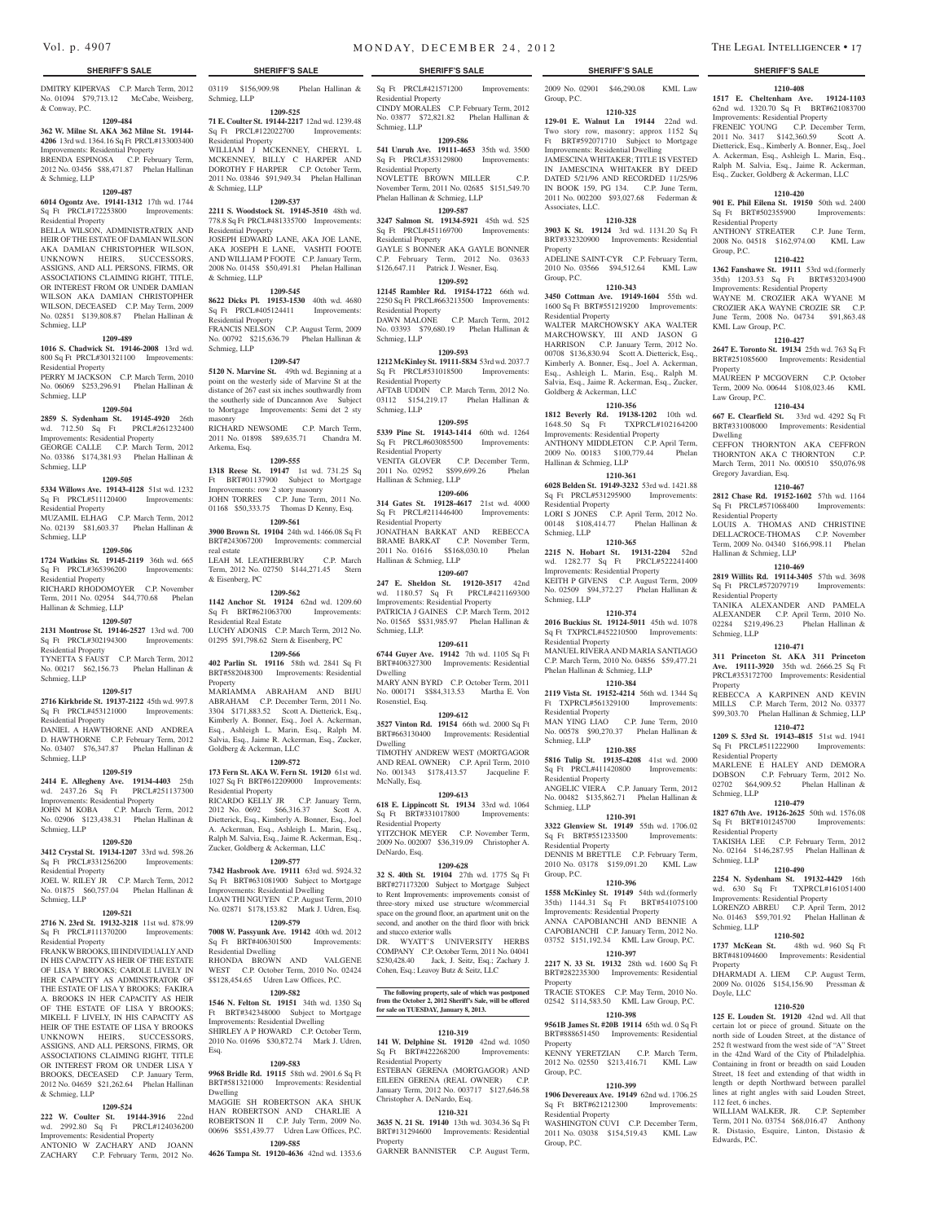DMITRY KIPERVAS C.P. March Term, 2012 No. 01094 \$79,713.12 McCabe, Weisberg, & Conway, P.C.

#### **1209-484**

**362 W. Milne St. AKA 362 Milne St. 19144- 4206** 13rd wd. 1364.16 Sq Ft PRCL#133003400 Improvements: Residential Property BRENDA ESPINOSA C.P. February Term, 2012 No. 03456 \$88,471.87 Phelan Hallinan

& Schmieg, LLP **1209-487 6014 Ogontz Ave. 19141-1312** 17th wd. 1744

Sq Ft PRCL#172253800 Improvements: Residential Property

BELLA WILSON, ADMINISTRATRIX AND HEIR OF THE ESTATE OF DAMIAN WILSON AKA DAMIAN CHRISTOPHER WILSON, UNKNOWN HEIRS, SUCCESSORS, ASSIGNS, AND ALL PERSONS, FIRMS, OR ASSOCIATIONS CLAIMING RIGHT, TITLE, OR INTEREST FROM OR UNDER DAMIAN WILSON AKA DAMIAN CHRISTOPHER WILSON, DECEASED C.P. May Term, 2009 No. 02851 \$139,808.87 Phelan Hallinan & Schmieg, LLP

#### **1209-489**

**1016 S. Chadwick St. 19146-2008** 13rd wd. 800 Sq Ft PRCL#301321100 Improvements: Residential Property

PERRY M JACKSON C.P. March Term, 2010 No. 06069 \$253,296.91 Phelan Hallinan & Schmieg, LLP

#### **1209-504**

**2859 S. Sydenham St. 19145-4920** 26th wd. 712.50 Sq Ft PRCL#261232400 Improvements: Residential Property GEORGE CALLE C.P. March Term, 2012 No. 03386 \$174,381.93 Phelan Hallinan &

#### **1209-505**

Schmieg, LLP

**5334 Willows Ave. 19143-4128** 51st wd. 1232 Sq Ft PRCL#511120400 Improvements: Residential Property

MUZAMIL ELHAG C.P. March Term, 2012 No. 02139 \$81,603.37 Phelan Hallinan & Schmieg, LLP

#### **1209-506**

**1724 Watkins St. 19145-2119** 36th wd. 665 Sq Ft PRCL#365396200 Improvements:

Residential Property RICHARD RHODOMOYER C.P. November Term, 2011 No. 02954 \$44,770.68 Phelan Hallinan & Schmieg, LLP

## **1209-507**

**2131 Montrose St. 19146-2527** 13rd wd. 700 Sq Ft PRCL#302194300 Improvements: Residential Property

TYNETTA S FAUST C.P. March Term, 2012 No. 00217 \$62,156.73 Phelan Hallinan & Schmieg, LLP

#### **1209-517**

**2716 Kirkbride St. 19137-2122** 45th wd. 997.8 Sq Ft PRCL#453121000 Improvements: Residential Property DANIEL A HAWTHORNE AND ANDREA

D. HAWTHORNE C.P. February Term, 2012 No. 03407 \$76,347.87 Phelan Hallinan & Schmieg, LLP

#### **1209-519**

**2414 E. Allegheny Ave. 19134-4403** 25th wd. 2437.26 Sq Ft PRCL#251137300 Improvements: Residential Property JOHN M KOBA C.P. March Term, 2012 No. 02906 \$123,438.31 Phelan Hallinan & Schmieg, LLP

#### **1209-520**

**3412 Crystal St. 19134-1207** 33rd wd. 598.26 Sq Ft PRCL#331256200 Improvements: Residential Property

JOEL W. RILEY JR C.P. March Term, 2012 No. 01875 \$60,757.04 Phelan Hallinan & Schmieg, LLP

#### **1209-521**

**2716 N. 23rd St. 19132-3218** 11st wd. 878.99 Sq Ft PRCL#111370200 Improvements: Residential Property

FRANK W BROOKS, III INDIVIDUALLYAND IN HIS CAPACITY AS HEIR OF THE ESTATE OF LISA Y BROOKS; CAROLE LIVELY IN HER CAPACITY AS ADMINSTRATOR OF THE ESTATE OF LISA Y BROOKS; FAKIRA A. BROOKS IN HER CAPACITY AS HEIR OF THE ESTATE OF LISA Y BROOKS; LIVELY, IN HIS CAPACITY HEIR OF THE ESTATE OF LISA Y BROOKS UNKNOWN HEIRS, SUCCESSORS, ASSIGNS, AND ALL PERSONS, FIRMS, OR ASSOCIATIONS CLAIMING RIGHT, TITLE OR INTEREST FROM OR UNDER LISA Y BROOKS, DECEASED C.P. January Term, 2012 No. 04659 \$21,262.64 Phelan Hallinan & Schmieg, LLP

## **1209-524**

**222 W. Coulter St. 19144-3916** 22nd wd. 2992.80 Sq Ft Improvements: Residential Property

ANTONIO W ZACHARY AND JOANN ZACHARY C.P. February Term, 2012 No. Schmieg, LLP

**1209-525 71 E. Coulter St. 19144-2217** 12nd wd. 1239.48 Sq Ft PRCL#122022700 Improvements: Residential Property WILLIAM J MCKENNEY, CHERYL L MCKENNEY, BILLY C HARPER AND

DOROTHY F HARPER C.P. October Term, 2011 No. 03846 \$91,949.34 Phelan Hallinan & Schmieg, LLP **1209-537**

**2211 S. Woodstock St. 19145-3510** 48th wd. 778.8 Sq Ft PRCL#481335700 Improvements: Residential Property JOSEPH EDWARD LANE, AKA JOE LANE, AKA JOSEPH E LANE, VASHTI FOOTE AND WILLIAM P FOOTE C.P. January Term, 2008 No. 01458 \$50,491.81 Phelan Hallinan & Schmieg, LLP

#### **1209-545**

**8622 Dicks Pl. 19153-1530** 40th wd. 4680 Sq Ft PRCL#405124411 Improvements: Residential Property FRANCIS NELSON C.P. August Term, 2009 No. 00792 \$215,636.79 Phelan Hallinan & Schmieg, LLP

#### **1209-547**

**5120 N. Marvine St.** 49th wd. Beginning at a point on the westerly side of Marvine St at the distance of 267 east six inches southwardly from the southerly side of Duncannon Ave Subject to Mortgage Improvements: Semi det 2 sty masonry

RICHARD NEWSOME C.P. March Term, 2011 No. 01898 \$89,635.71 Chandra M. Arkema, Esq.

### **1209-555**

**1318 Reese St. 19147** 1st wd. 731.25 Sq Ft BRT#01137900 Subject to Mortgage Improvements: row 2 story masonry JOHN TORRES C.P. June Term, 2011 No. 01168 \$50,333.75 Thomas D Kenny, Esq.

**1209-561 3900 Brown St. 19104** 24th wd. 1466.08 Sq Ft BRT#243067200 Improvements: commercial real estate

LEAH M. LEATHERBURY C.P. March Term, 2012 No. 02750 \$144,271.45 Stern & Eisenberg, PC

**1209-562**

**1142 Anchor St. 19124** 62nd wd. 1209.60<br>Sq Ft BRT#621063700 Improvements: Sq Ft BRT#621063700 Residential Real Estate LUCHY ADONIS C.P. March Term, 2012 No. 01295 \$91,798.62 Stern & Eisenberg, PC

#### **1209-566**

**402 Parlin St. 19116** 58th wd. 2841 Sq Ft BRT#582048300 Improvements: Residential Property

MARIAMMA ABRAHAM AND BIJU ABRAHAM C.P. December Term, 2011 No. 3304 \$171,883.52 Scott A. Dietterick, Esq., Kimberly A. Bonner, Esq., Joel A. Ackerman, Esq., Ashleigh L. Marin, Esq., Ralph M. Salvia, Esq., Jaime R. Ackerman, Esq., Zucker, Goldberg & Ackerman, LLC

#### **1209-572**

**173 Fern St. AKA W. Fern St. 19120** 61st wd. 1027 Sq Ft BRT#612209000 Improvements: Residential Property RICARDO KELLY JR C.P. January Term, 2012 No. 0692 \$66,316.37 Scott A. Dietterick, Esq., Kimberly A. Bonner, Esq., Joel A. Ackerman, Esq., Ashleigh L. Marin, Esq., Ralph M. Salvia, Esq., Jaime R. Ackerman, Esq., Zucker, Goldberg & Ackerman, LLC

### **1209-577**

**7342 Hasbrook Ave. 19111** 63rd wd. 5924.32 Sq Ft BRT#631081900 Subject to Mortgage Improvements: Residential Dwelling LOAN THI NGUYEN C.P. August Term, 2010 No. 02871 \$178,153.82 Mark J. Udren, Esq.

### **1209-579**

**7008 W. Passyunk Ave. 19142** 40th wd. 2012 Sq Ft BRT#406301500 Improvements: Residential Dwelling RHONDA BROWN AND VALGENE WEST C.P. October Term, 2010 No. 02424

## \$\$128,454.65 Udren Law Offices, P.C.

**1209-582 1546 N. Felton St. 19151** 34th wd. 1350 Sq Ft BRT#342348000 Subject to Mortgage Improvements: Residential Dwelling SHIRLEY A P HOWARD C.P. October Term, 2010 No. 01696 \$30,872.74 Mark J. Udren,

#### **1209-583**

Esq.

**9968 Bridle Rd. 19115** 58th wd. 2901.6 Sq Ft BRT#581321000 Improvements: Residential Dwelling MAGGIE SH ROBERTSON AKA SHUK HAN ROBERTSON AND CHARLIE A ROBERTSON II C.P. July Term, 2009 No. 00696 \$\$51,439.77 Udren Law Offices, P.C.

**1209-585 4626 Tampa St. 19120-4636** 42nd wd. 1353.6

03119 \$156,909.98 Phelan Hallinan & Sq Ft PRCL#421571200 Improvements: Residential Property CINDY MORALES C.P. February Term, 2012 No. 03877 \$72,821.82 Phelan Hallinan & Schmieg, LLP

### **1209-586**

**541 Unruh Ave. 19111-4653** 35th wd. 3500 Sq Ft PRCL#353129800 Improvements: Residential Property NOVLETTE BROWN MILLER C.P. November Term, 2011 No. 02685 \$151,549.70 Phelan Hallinan & Schmieg, LLP

## **1209-587**

**3247 Salmon St. 19134-5921** 45th wd. 525 Sq Ft PRCL#451169700 Improvements: Residential Property GAYLE S BONNER AKA GAYLE BONNER C.P. February Term, 2012 No. 03633 \$126,647.11 Patrick J. Wesner, Esq.

#### **1209-592**

**12145 Rambler Rd. 19154-1722** 66th wd. 2250 Sq Ft PRCL#663213500 Improvements: Residential Property DAWN MALONE C.P. March Term, 2012 No. 03393 \$79,680.19 Phelan Hallinan & Schmieg, LLP

#### **1209-593 1212 McKinley St. 19111-5834** 53rd wd. 2037.7

Sq Ft PRCL#531018500 Improvements: Residential Property AFTAB UDDIN C.P. March Term, 2012 No. 03112 \$154,219.17 Phelan Hallinan & Schmieg, LLP

#### **1209-595**

**5339 Pine St. 19143-1414** 60th wd. 1264 Sq Ft PRCL#603085500 Improvements: Residential Property VENITA GLOVER C.P. December Term, 2011 No. 02952 \$\$99,699.26 Phelan

### Hallinan & Schmieg, LLP **1209-606**

**314 Gates St. 19128-4617** 21st wd. 4000 Sq Ft PRCL#211446400 Improvements: Residential Property JONATHAN BARKAT AND REBECCA

BRAME BARKAT C.P. November Term, 2011 No. 01616 \$\$168,030.10 Phelan Hallinan & Schmieg, LLP **1209-607**

**247 E. Sheldon St. 19120-3517** 42nd wd. 1180.57 Sq Ft PRCL#421169300 Improvements: Residential Property PATRICIA J GAINES C.P. March Term, 2012 No. 01565 \$\$31,985.97 Phelan Hallinan & Schmieg, LLP.

#### **1209-611**

**6744 Guyer Ave. 19142** 7th wd. 1105 Sq Ft BRT#406327300 Improvements: Residential Dwelling

MARY ANN BYRD C.P. October Term, 2011 No. 000171 \$\$84,313.53 Martha E. Von Rosenstiel, Esq.

#### **1209-612**

**3527 Vinton Rd. 19154** 66th wd. 2000 Sq Ft BRT#663130400 Improvements: Residential Dwelling TIMOTHY ANDREW WEST (MORTGAGOR

AND REAL OWNER) C.P. April Term, 2010 No. 001343 \$178,413.57 Jacqueline F. McNally, Esq.

#### **1209-613**

**618 E. Lippincott St. 19134** 33rd wd. 1064 Sq Ft BRT#331017800 Improvements: Residential Property YITZCHOK MEYER C.P. November Term, 2009 No. 002007 \$36,319.09 Christopher A. DeNardo, Esq.

#### **1209-628**

**32 S. 40th St. 19104** 27th wd. 1775 Sq Ft BRT#271173200 Subject to Mortgage Subject to Rent Improvements: improvements consist of three-story mixed use structure w/commercial space on the ground floor, an apartment unit on the second, and another on the third floor with brick and stucco exterior walls DR. WYATT'S UNIVERSITY HERBS COMPANY C.P. October Term, 2011 No. 04041 \$230,428.40 Jack, J. Seitz, Esq.; Zachary J. Cohen, Esq.; Leavoy Butz & Seitz, LLC

#### **The following property, sale of which was postponed from the October 2, 2012 Sheriff's Sale, will be offered for sale on TUESDAY, January 8, 2013.**

## **1210-319**

**141 W. Delphine St. 19120** 42nd wd. 1050 Sq Ft BRT#422268200 Improvements: Residential Property ESTEBAN GERENA (MORTGAGOR) AND EILEEN GERENA (REAL OWNER) C.P. January Term, 2012 No. 003717 \$127,646.58 Christopher A. DeNardo, Esq.

## **1210-321**

**3635 N. 21 St. 19140** 13th wd. 3034.36 Sq Ft BRT#131294600 Improvements: Residential

Property GARNER BANNISTER C.P. August Term,

#### **SHERIFF'S SALE SHERIFF'S SALE SHERIFF'S SALE SHERIFF'S SALE SHERIFF'S SALE**

2009 No. 02901 \$46,290.08 KML Law Group, P.C.

**1210-408 1517 E. Cheltenham Ave. 19124-1103**  62nd wd. 1320.70 Sq Ft BRT#621083700 Improvements: Residential Property FRENEIC YOUNG C.P. December Term, 2011 No. 3417 \$142,360.59 Scott A. Dietterick, Esq., Kimberly A. Bonner, Esq., Joel A. Ackerman, Esq., Ashleigh L. Marin, Esq., Ralph M. Salvia, Esq., Jaime R. Ackerman, Esq., Zucker, Goldberg & Ackerman, LLC **1210-420 901 E. Phil Eilena St. 19150** 50th wd. 2400 Sq Ft BRT#502355900 Improvements:

ANTHONY STREATER C.P. June Term, 2008 No. 04518 \$162,974.00 KML Law

**1210-422 1362 Fanshawe St. 19111** 53rd wd.(formerly 35th) 1203.53 Sq Ft BRT#532034900 Improvements: Residential Property WAYNE M. CROZIER AKA WYANE M CROZIER AKA WAYNE CROZIE SR C.P. June Term, 2008 No. 04734 \$91,863.48

**1210-427 2647 E. Toronto St. 19134** 25th wd. 763 Sq Ft BRT#251085600 Improvements: Residential

MAUREEN P MCGOVERN C.P. October Term, 2009 No. 00644 \$108,023.46 KML

**1210-434 667 E. Clearfield St.** 33rd wd. 4292 Sq Ft BRT#331008000 Improvements: Residential

CEFFON THORNTON AKA CEFFRON THORNTON AKA C THORNTON C.P. March Term, 2011 No. 000510 \$50,076.98

**1210-467 2812 Chase Rd. 19152-1602** 57th wd. 1164 Sq Ft PRCL#571068400 Improvements:

LOUIS A. THOMAS AND CHRISTINE DELLACROCE-THOMAS C.P. November Term, 2009 No. 04340 \$166,998.11 Phelan

**1210-469 2819 Willits Rd. 19114-3405** 57th wd. 3698 Sq Ft PRCL#572079719 Improvements:

TANIKA ALEXANDER AND PAMELA ALEXANDER C.P. April Term, 2010 No. 02284 \$219,496.23 Phelan Hallinan &

**1210-471 311 Princeton St. AKA 311 Princeton Ave. 19111-3920** 35th wd. 2666.25 Sq Ft PRCL#353172700 Improvements: Residential

REBECCA A KARPINEN AND KEVIN MILLS C.P. March Term, 2012 No. 03377 \$99,303.70 Phelan Hallinan & Schmieg, LLP **1210-472 1209 S. 53rd St. 19143-4815** 51st wd. 1941 Sq Ft PRCL#511222900 Improvements:

MARLENE E HALEY AND DEMORA DOBSON C.P. February Term, 2012 No. 02702 \$64,909.52 Phelan Hallinan &

**1210-479 1827 67th Ave. 19126-2625** 50th wd. 1576.08 Sq Ft BRT#101245700 Improvements:

TAKISHA LEE C.P. February Term, 2012 No. 02164 \$146,287.95 Phelan Hallinan &

**1210-490 2254 N. Sydenham St. 19132-4429** 16th wd. 630 Sq Ft TXPRCL#161051400 Improvements: Residential Property LORENZO ABREU C.P. April Term, 2012 No. 01463 \$59,701.92 Phelan Hallinan &

**1210-502 1737 McKean St.** 48th wd. 960 Sq Ft BRT#481094600 Improvements: Residential

DHARMADI A. LIEM C.P. August Term, 2009 No. 01026 \$154,156.90 Pressman &

**1210-520 125 E. Louden St. 19120** 42nd wd. All that certain lot or piece of ground. Situate on the north side of Louden Street, at the distance of 252 ft westward from the west side of "A" Street in the 42nd Ward of the City of Philadelphia. Containing in front or breadth on said Louden Street, 18 feet and extending of that width in length or depth Northward between parallel lines at right angles with said Louden Street,

WILLIAM WALKER, JR. C.P. September Term, 2011 No. 03754 \$68,016.47 Anthony R. Distasio, Esquire, Linton, Distasio &

Residential Property

KML Law Group, P.C.

Group, P.C.

Property

Dwelling

Law Group, P.C.

Gregory Javardian, Esq.

Residential Property

Hallinan & Schmieg, LLP

Residential Property

Schmieg, LLP

Residential Property

Residential Property

Schmieg, LLP

Schmieg, LLP

Schmieg, LLP

Property

Doyle, LLC

112 feet, 6 inches.

Edwards, P.C.

Property

Two story row, masonry; approx 1152 Sq Ft BRT#592071710 Subject to Mortgage Improvements: Residential Dwelling JAMESCINA WHITAKER; TITLE IS VESTED IN JAMESCINA WHITAKER BY DEED DATED 5/21/96 AND RECORDED 11/25/96 IN BOOK 159, PG 134. C.P. June Term, 2011 No. 002200 \$93,027.68 Federman &

**1210-328 3903 K St. 19124** 3rd wd. 1131.20 Sq Ft BRT#332320900 Improvements: Residential

ADELINE SAINT-CYR C.P. February Term, 2010 No. 03566 \$94,512.64 KML Law

**1210-343 3450 Cottman Ave. 19149-1604** 55th wd. 1600 Sq Ft BRT#551219200 Improvements:

WALTER MARCHOWSKY AKA WALTER MARCHOWSKY, III AND JASON G HARRISON C.P. January Term, 2012 No. 00708 \$136,830.94 Scott A. Dietterick, Esq., Kimberly A. Bonner, Esq., Joel A. Ackerman, Esq., Ashleigh L. Marin, Esq., Ralph M. Salvia, Esq., Jaime R. Ackerman, Esq., Zucker,

**1210-356 1812 Beverly Rd. 19138-1202** 10th wd. 1648.50 Sq Ft TXPRCL#102164200 Improvements: Residential Property ANTHONY MIDDLETON C.P. April Term, 2009 No. 00183 \$100,779.44 Phelan

**1210-361 6028 Belden St. 19149-3232** 53rd wd. 1421.88 Sq Ft PRCL#531295900 Improvements:

LORI S JONES C.P. April Term, 2012 No. 00148 \$108,414.77 Phelan Hallinan &

**1210-365 2215 N. Hobart St. 19131-2204** 52nd wd. 1282.77 Sq Ft PRCL#522241400 Improvements: Residential Property KEITH P GIVENS C.P. August Term, 2009 No. 02509 \$94,372.27 Phelan Hallinan &

**1210-374 2016 Buckius St. 19124-5011** 45th wd. 1078 Sq Ft TXPRCL#452210500 Improvements:

MANUEL RIVERAAND MARIA SANTIAGO C.P. March Term, 2010 No. 04856 \$59,477.21

**1210-384 2119 Vista St. 19152-4214** 56th wd. 1344 Sq Ft TXPRCL#561329100 Improvements:

MAN YING LIAO C.P. June Term, 2010 No. 00578 \$90,270.37 Phelan Hallinan &

**1210-385 5816 Tulip St. 19135-4208** 41st wd. 2000 Sq Ft PRCL#411420800 Improvements:

ANGELIC VIERA C.P. January Term, 2012 No. 00482 \$135,862.71 Phelan Hallinan &

**1210-391 3322 Glenview St. 19149 55th wd. 1706.02**<br> **Sq** Ft BRT#551233500 **Improvements:** 

DENNIS M BRETTLE C.P. February Term, 2010 No. 03178 \$159,091.20 KML Law

**1210-396 1558 McKinley St. 19149** 54th wd.(formerly 35th) 1144.31 Sq Ft BRT#541075100 Improvements: Residential Property ANNA CAPOBIANCHI AND BENNIE A CAPOBIANCHI C.P. January Term, 2012 No. 03752 \$151,192.34 KML Law Group, P.C. **1210-397 2217 N. 33 St. 19132** 28th wd. 1600 Sq Ft BRT#282235300 Improvements: Residential

TRACIE STOKES C.P. May Term, 2010 No. 02542 \$114,583.50 KML Law Group, P.C. **1210-398 9561B James St. #20B 19114** 65th wd. 0 Sq Ft BRT#888651450 Improvements: Residential

KENNY YERETZIAN C.P. March Term, 2012 No. 02550 \$213,416.71 KML Law

**1210-399 1906 Devereaux Ave. 19149** 62nd wd. 1706.25 Sq Ft BRT#621212300 Improvements:

WASHINGTON CUVI C.P. December Term, 2011 No. 03038 \$154,519.43 KML Law

#### **1210-325 129-01 E. Walnut Ln 19144** 22nd wd.

Associates, LLC.

Property

Group, P.C.

Residential Property

Goldberg & Ackerman, LLC

Hallinan & Schmieg, LLP

Residential Property

Schmieg, LLP

Schmieg, LLP

Residential Property

Residential Property

Residential Property

Sq Ft BRT#551233500 Residential Property

Schmieg, LLP

Schmieg, LLP

Group, P.C.

Property

Property

Group, P.C.

Group, P.C.

Residential Property

Phelan Hallinan & Schmieg, LLP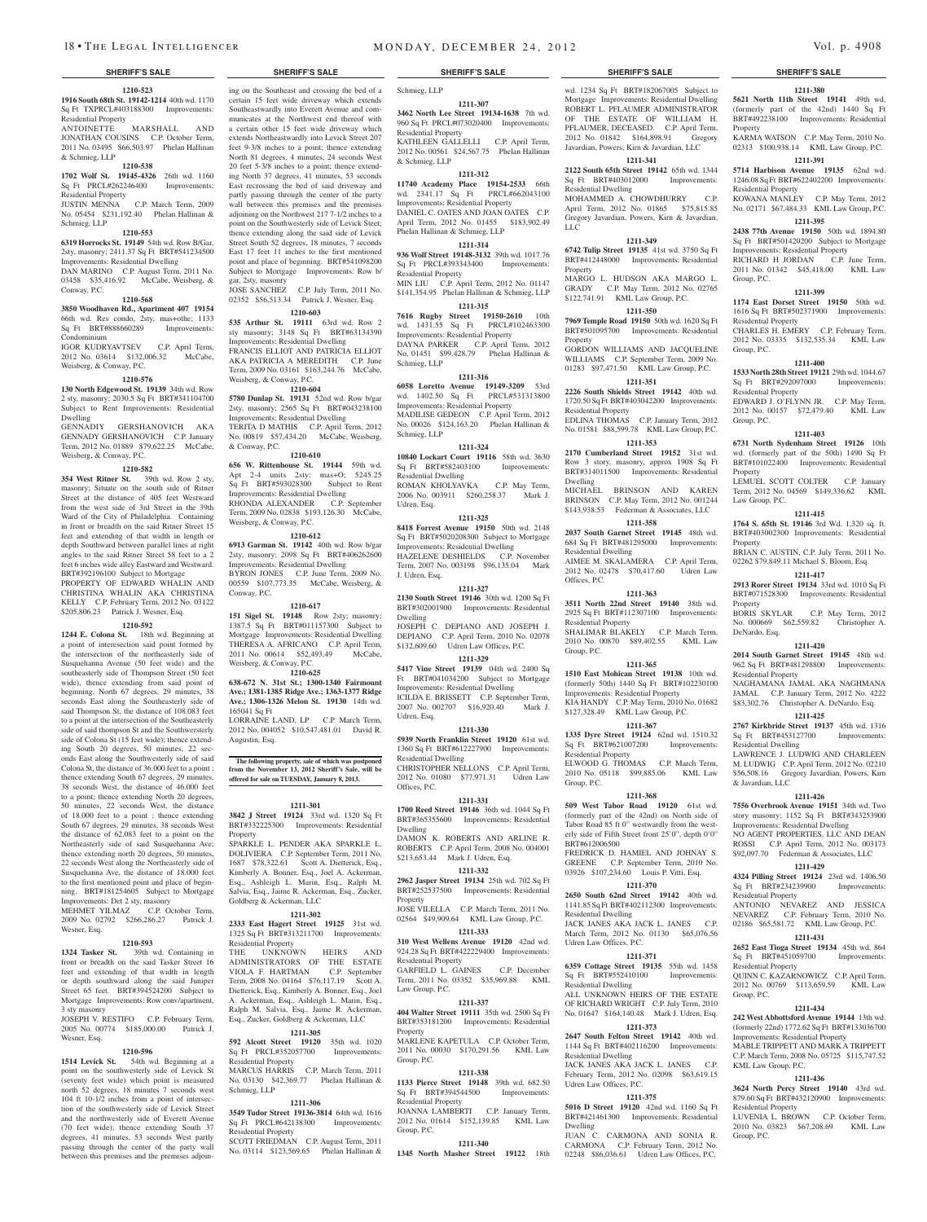#### **1210-523 1916 South 68th St. 19142-1214** 40th wd. 1170 Sq Ft TXPRCL#403188300 Improvements: Residential Property

ANTOINETTE MARSHALL A JONATHAN COUSINS C.P. October Term, 2011 No. 03495 \$66,503.97 Phelan Hallinan & Schmieg, LLP

## **1210-538**

**1702 Wolf St. 19145-4326** 26th wd. 1160 Sq Ft PRCL#262246400 Improvements: Residential Property JUSTIN MENNA C.P. March Term, 2009 No. 05454 \$231,192.40 Phelan Hallinan &

#### Schmieg, LLP **1210-553**

**6319 Horrocks St. 19149** 54th wd. Row B/Gar, 2sty, masonry; 2411.37 Sq Ft BRT#541234500 Improvements: Residential Dwelling

DAN MARINO C.P. August Term, 2011 No. 03458 \$35,416.92 McCabe, Weisberg, & Conway, P.C.

#### **1210-568**

**3850 Woodhaven Rd., Apartment 407 19154**  66th wd. Res condo, 2sty, mas+othe; 1133<br>Sq Ft BRT#888660289 Improvements: Sq Ft BRT#888660289 Condominium

#### IGOR KUDRYAVTSEV C.P. April Term, 2012 No. 03614 \$132,006.32 McCabe, Weisberg, & Conway, P.C.

#### **1210-576**

**130 North Edgewood St. 19139** 34th wd. Row 2 sty, masonry; 2030.5 Sq Ft BRT#341104700 Subject to Rent Improvements: Residential Dwelling

#### GENNADIY GERSHANOVICH AKA GENNADY GERSHANOVICH C.P. January Term, 2012 No. 01889 \$79,622.25 McCabe, Weisberg, & Conway, P.C.

#### **1210-582**

**354 West Ritner St.** 39th wd. Row 2 sty, masonry; Situate on the south side of Ritner Street at the distance of 405 feet Westward from the west side of 3rd Street in the 39th Ward of the City of Philadelphia. Containing in front or breadth on the said Ritner Street 15 feet and extending of that width in length or depth Southward between parallel lines at right angles to the said Ritner Street 58 feet to a 2 feet 6 inches wide alley Eastward and Westward. BRT#392196100 Subject to Mortgage

PROPERTY OF EDWARD WHALIN AND CHRISTINA WHALIN AKA CHRISTINA KELLY C.P. February Term, 2012 No. 03122 \$205,806.23 Patrick J. Wesner, Esq.

#### **1210-592**

**1244 E. Colona St.** 18th wd. Beginning at a point of interesection said point formed by the intersection of the northeasterly side of Susquehanna Avenue (50 feet wide) and the southeasterly side of Thompson Street (50 feet wide), thence extending from said point of beginning, North 67 degrees, 29 minutes, 38 seconds East along the Southeasterly side of said Thompson St, the distance of 108.083 feet to a point at the intersection of the Southeasterly side of said thompson St and the Southwersterly side of Colona St (15 feet wide); thence extending South 20 degrees, 50 minutes, 22 seconds East along the Southwesterly side of said Colona St, the distance of 36.000 feet to a point ; thence extending South 67 degrees, 29 minutes, 38 seconds West, the distance of 46.000 feet to a point; thence extending North 20 degrees, 50 minutes, 22 seconds West, the distance of 18.000 feet to a point ; thence extending South 67 degrees, 29 minutes, 38 seconds West the distance of 62.083 feet to a point on the Northeasterly side of said Susquehanna Ave; thence extending north 20 degrees, 50 minutes, 22 seconds West along the Northeasterly side of Susquehanna Ave, the distance of 18.000 feet to the first mentioned point and place of beginning. BRT#181254605 Subject to Mortgage Improvements: Det 2 sty, masonry<br>MEHMET YILMAZ C.P. October Term,

MEHMET YILMAZ 2009 No. 02792 \$266,286.27 Patrick J. Wesner, Esq.

#### **1210-593**

**1324 Tasker St.** 39th wd. Containing in front or breadth on the said Tasker Street 16 feet and extending of that width in length or depth southward along the said Juniper Street 65 feet. BRT#394524200 Subject to Mortgage Improvements: Row conv/apartment, 3 sty masonry

JOSEPH V. RESTIFO C.P. February Term, 2005 No. 00774 \$185,000.00 Patrick J. Wesner, Esq.

#### **1210-596**

**1514 Levick St.** 54th wd. Beginning at a point on the southwesterly side of Levick St (seventy feet wide) which point is measured north 52 degrees, 18 minutes 7 seconds west 104 ft 10-1/2 inches from a point of intersection of the southwesterly side of Levick Street and the northwesterly side of Everett Avenue (70 feet wide); thence extending South 37 degrees, 41 minutes, 53 seconds West partly passing through the center of the party wall between this premises and the premises adjoin-

ing on the Southeast and crossing the bed of a certain 15 feet wide driveway which extends Southeastwardly into Everett Avenue and communicates at the Northwest end thereof with a certain other 15 feet wide driveway which extends Northeastwardly into Levick Street 207

feet 9-3/8 inches to a point; thence extending North 81 degrees, 4 minutes, 24 seconds West 20 feet 5-3/8 inches to a point; thence extending North 37 degrees, 41 minutes, 53 seconds East recrossing the bed of said driveway and partly passing through the center of the party wall between this premises and the premises adjoining on the Northwest 217 7-1/2 inches to a point on the Southwesterly side of Levick Steet; thence extending along the said side of Levick Street South 52 degrees, 18 minutes, 7 seconds East 17 feet 11 inches to the first mentioned point and place of beginning. BRT#541098200 Subject to Mortgage Improvements: Row b/ gar, 2sty, masonry

JOSE SANCHEZ C.P. July Term, 2011 No. 02352 \$56,513.34 Patrick J. Wesner, Esq.

**1210-603 535 Arthur St. 19111** 63rd wd. Row 2 sty masonry; 3148 Sq Ft BRT#63134390 Improvements: Residential Dwelling FRANCIS ELLIOT AND PATRICIA ELLIOT AKA PATRICIA A MEREDITH C.P. June Term, 2009 No. 03161 \$163,244.76 McCabe, Weisberg, & Conway, P.C.

#### **1210-604**

**5780 Dunlap St. 19131** 52nd wd. Row b/gar 2sty, masonry; 2565 Sq Ft BRT#043238100 Improvements: Residential Dwelling TERITA D MATHIS C.P. April Term, 2012 No. 00819 \$57,434.20 McCabe, Weisberg, & Conway, P.C.

#### **1210-610**

**656 W. Rittenhouse St. 19144** 59th wd. Apt 2-4 units 2sty; mas+O; 5245.25 Sq Ft BRT#593028300 Subject to Rent Improvements: Residential Dwelling RHONDA ALEXANDER C.P. September Term, 2009 No. 02838 \$193,126.30 McCabe, Weisberg, & Conway, P.C.

#### **1210-612**

**6913 Garman St. 19142** 40th wd. Row b/gar 2sty, masonry; 2098 Sq Ft BRT#406262600 Improvements: Residential Dwelling BYRON JONES C.P. June Term, 2009 No. 00559 \$107,773.35 McCabe, Weisberg, & Conway, P.C.

### **1210-617**

**151 Sigel St. 19148** Row 2sty; masonry; 1387.5 Sq Ft BRT#011157300 Subject to Mortgage Improvements: Residential Dwelling THERESA A. AFRICANO C.P. April Term, 2011 No. 00614 \$52,493.49 McCabe, Weisberg, & Conway, P.C.

#### **1210-625 638-672 N. 31st St.; 1300-1340 Fairmount Ave.; 1381-1385 Ridge Ave.; 1363-1377 Ridge Ave.; 1306-1326 Melon St. 19130** 14th wd.

165041 Sq Ft LORRAINE LAND, LP C.P. March Term, 2012 No. 004052 \$10,547,481.01 David R. Augustin, Esq.

#### **The following property, sale of which was postponed from the November 13, 2012 Sheriff's Sale, will be offered for sale on TUESDAY, January 8, 2013.**

#### **1211-301**

**3842 J Street 19124** 33rd wd. 1320 Sq Ft BRT#332225300 Improvements: Residential Property

SPARKLE L. PENDER AKA SPARKLE L. DOLIVIERA C.P. September Term, 2011 No. 1687 \$78,322.61 Scott A. Dietterick, Esq., Kimberly A. Bonner, Esq., Joel A. Ackerman, Esq., Ashleigh L. Marin, Esq., Ralph M. Salvia, Esq., Jaime R. Ackerman, Esq., Zucker, Goldberg & Ackerman, LLC

### **1211-302**

**2333 East Hagert Street 19125** 31st wd. 1325 Sq Ft BRT#313211700 Improvements: Residential Property

THE UNKNOWN HEIRS AND ADMINISTRATORS OF THE ESTATE<br>VIOLA F. HARTMAN C.P. September VIOLA F. HARTMAN Term, 2008 No. 04164 \$76,117.19 Scott A. Dietterick, Esq., Kimberly A. Bonner, Esq., Joel A. Ackerman, Esq., Ashleigh L. Marin, Esq., Ralph M. Salvia, Esq., Jaime R. Ackerman, Esq., Zucker, Goldberg & Ackerman, LLC

## **1211-305**

**592 Alcott Street 19120** 35th wd. 1020 Sq Ft PRCL#352057700 Improvements: Residential Property MARCUS HARRIS C.P. March Term, 2011 No. 03130 \$42,369.77 Phelan Hallinan & Schmieg, LLP

#### **1211-306**

**3549 Tudor Street 19136-3814** 64th wd. 1616 Sq Ft PRCL#642138300 Improvements: Residential Property

SCOTT FRIEDMAN C.P. August Term, 2011 No. 03114 \$123,569.65 Phelan Hallinan &

**1211-307 3462 North Lee Street 19134-1638** 7th wd. 960 Sq Ft PRCL#073020400 Improvements:

KATHLEEN GALLELLI C.P. April Term, 2012 No. 00561 \$24,567.75 Phelan Hallinan

**1211-312 11740 Academy Place 19154-2533** 66th wd. 2341.17 Sq Ft PRCL#662043100 Improvements: Residential Property DANIEL C. OATES AND JOAN OATES C.P. April Term, 2012 No. 01455 \$183,902.49

**1211-314 936 Wolf Street 19148-3132** 39th wd. 1017.76 Sq Ft PRCL#393343400 Improvements:

MIN LIU C.P. April Term, 2012 No. 01147 \$141,354.95 Phelan Hallinan & Schmieg, LLP **1211-315 7616 Rugby Street 19150-2610** 10th wd. 1431.55 Sq Ft PRCL#102463300 Improvements: Residential Property DAYNA PARKER C.P. April Term, 2012 No. 01451 \$99,428.79 Phelan Hallinan &

**1211-316 6058 Loretto Avenue 19149-3209** 53rd wd. 1402.50 Sq Ft PRCL#531313800 Improvements: Residential Property MADILISE GEDEON C.P. April Term, 2012 No. 00026 \$124,163.20 Phelan Hallinan &

**1211-324 10840 Lockart Court 19116** 58th wd. 3630 Sq Ft BRT#582403100 Improvements:

ROMAN KHOLYAVKA C.P. May Term, 2006 No. 003911 \$260,258.37 Mark J.

**1211-325 8418 Forrest Avenue 19150** 50th wd. 2148 Sq Ft BRT#5020208300 Subject to Mortgage Improvements: Residential Dwelling HAZELENE DESHIELDS C.P. November Term, 2007 No. 003198 \$96,135.04 Mark

**1211-327 2130 South Street 19146** 30th wd. 1200 Sq Ft BRT#302001900 Improvements: Residential

JOSEPH C. DEPIANO AND JOSEPH J. DEPIANO C.P. April Term, 2010 No. 02078 \$132,609.60 Udren Law Offices, P.C. **1211-329 5417 Vine Street 19139** 04th wd. 2400 Sq Ft BRT#041034200 Subject to Mortgage Improvements: Residential Dwelling ICILDA E. BRISSETT C.P. September Term, 2007 No. 002707 \$16,920.40 Mark J.

**1211-330 5939 North Franklin Street 19120** 61st wd. 1360 Sq Ft BRT#612227900 Improvements:

CHRISTOPHER NELLONS C.P. April Term, 2012 No. 01080 \$77,971.31 Udren Law

**1211-331 1700 Reed Street 19146** 36th wd. 1044 Sq Ft BRT#365355600 Improvements: Residential

DAMON K. ROBERTS AND ARLINE R. ROBERTS C.P. April Term, 2008 No. 004001 \$213,653.44 Mark J. Udren, Esq. **1211-332 2962 Jasper Street 19134** 25th wd. 702 Sq Ft BRT#252537500 Improvements: Residential

JOSE VILELLA C.P. March Term, 2011 No. 02564 \$49,909.64 KML Law Group, P.C. **1211-333 310 West Wellens Avenue 19120** 42nd wd. 924.28 Sq Ft BRT#422229400 Improvements:

GARFIELD L. GAINES C.P. December Term, 2011 No. 03352 \$35,969.88 KML

**1211-337 404 Walter Street 19111** 35th wd. 2500 Sq Ft BRT#353181200 Improvements: Residential

MARLENE KAPETULA C.P. October Term, 2011 No. 00030 \$170,291.56 KML Law

**1211-338 1133 Pierce Street 19148** 39th wd. 682.50<br>
Sq Ft BRT#394544500 Improvements:

JOANNA LAMBERTI C.P. January Term, 2012 No. 01614 \$152,139.85 KML Law

**1211-340 1345 North Masher Street 19122** 18th

Phelan Hallinan & Schmieg, LLP

Schmieg, LLP

Residential Property

& Schmieg, LLP

Residential Property

Schmieg, LLP

Schmieg, LLP

Udren, Esq.

J. Udren, Esq.

Dwelling

Udren, Esq.

Offices, P.C.

Dwelling

Property

Residential Property

Law Group, P.C.

Property

Group, P.C.

Group, P.C.

Sq Ft BRT#394544500 Residential Property

Residential Dwelling

Residential Dwelling

wd. 1234 Sq Ft BRT#182067005 Subject to Mortgage Improvements: Residential Dwelling ROBERT L. PFLAUMER ADMINISTRATOR OF THE ESTATE OF WILLIAM H. PFLAUMER, DECEASED. C.P. April Term, 2012 No. 01842 \$164,898.91 Gregory Javardian, Powers, Kirn & Javardian, LLC

#### **1211-341 2122 South 65th Street 19142** 65th wd. 1344

Sq Ft BRT#403012000 Improvements: Residential Dwelling

MOHAMMED A. CHOWDHURRY C.P. April Term, 2012 No. 01865 \$75,815.85 Gregory Javardian, Powers, Kirn & Javardian, LLC

### **1211-349**

**6742 Tulip Street 19135** 41st wd. 3750 Sq Ft BRT#412448000 Improvements: Residential Property MARGO L. HUDSON AKA MARGO L.

GRADY C.P. May Term, 2012 No. 02765 \$122,741.91 KML Law Group, P.C.

#### **1211-350**

**7969 Temple Road 19150** 50th wd. 1620 Sq Ft BRT#501095700 Improvements: Residential Property GORDON WILLIAMS AND JACQUELINE

WILLIAMS C.P. September Term, 2009 No. 01283 \$97,471.50 KML Law Group, P.C. **1211-351**

#### **2226 South Shields Street 19142** 40th wd.

1720.50 Sq Ft BRT#403042200 Improvements: Residential Property EDLINA THOMAS C.P. January Term, 2012 No. 01581 \$88,599.78 KML Law Group, P.C.

#### **1211-353**

**2170 Cumberland Street 19152** 31st wd. Row 3 story, masonry, approx 1908 Sq Ft BRT#314011500 Improvements: Residential Dwelling MICHAEL BRINSON AND KAREN

BRINSON C.P. May Term, 2012 No. 001244 \$143,938.53 Federman & Associates, LLC **1211-358**

**2037 South Garnet Street 19145** 48th wd. 684 Sq Ft BRT#481295000 Improvements: Residential Dwelling

AIMEE M. SKALAMERA C.P. April Term, 2012 No. 02478 \$70,417.60 Udren Law Offices, P.C.

## **1211-363**

**3511 North 22nd Street 19140** 38th wd. 2925 Sq Ft BRT#112307100 Improvements: Residential Property

SHALIMAR BLAKELY C.P. March Term, 2010 No. 00870 \$89,402.55 KML Law Group, P.C.

## **1211-365**

**1510 East Mohican Street 19138** 10th wd. (formerly 50th) 1440 Sq Ft BRT#102230100 Improvements: Residential Property KIA HANDY C.P. May Term, 2010 No. 01682 \$127,328.49 KML Law Group, P.C.

#### **1211-367**

**1335 Dyre Street 19124** 62nd wd. 1510.32 Sq Ft BRT#621007200 Improvements: Residential Property ELWOOD G. THOMAS C.P. March Term, 2010 No. 05118 \$99,885.06 KML Law

Group, P.C. **1211-368**

#### **509 West Tabor Road 19120** 61st wd. (formerly part of the 42nd) on North side of

Tabor Road 85 ft 0" westwardly from the westerly side of Fifth Street front 25'0", depth 0'0" BRT#612006500 FREDRICK D. HAMIEL AND JOHNAY S.

GREENE C.P. September Term, 2010 No. 03926 \$107,234.60 Louis P. Vitti, Esq. **1211-370**

**2650 South 62nd Street 19142** 40th wd. 1141.85 Sq Ft BRT#402112300 Improvements: Residential Dwelling JACK JANES AKA JACK L. JANES C.P. March Term, 2012 No. 01130 \$65,076.56 Udren Law Offices, P.C.

**1211-371 6359 Cottage Street 19135** 55th wd. 1458 Sq Ft BRT#552410100 Improvements: Residential Dwelling

ALL UNKNOWN HEIRS OF THE ESTATE OF RICHARD WRIGHT C.P. July Term, 2010 No. 01647 \$164,140.48 Mark J. Udren, Esq. **1211-373**

## **2647 South Felton Street 19142** 40th wd.

1144 Sq Ft BRT#402116200 Improvements: Residential Dwelling JACK JANES AKA JACK L. JANES C.P.

February Term, 2012 No. 02098 \$63,619.15 Udren Law Offices, P.C. **1211-375**

#### **5016 D Street 19120** 42nd wd. 1160 Sq Ft BRT#421461300 Improvements: Residential Dwelling

JUAN C. CARMONA AND SONIA R. CARMONA C.P. February Term, 2012 No. 02248 \$86,036.61 Udren Law Offices, P.C.

## **SHERIFF'S SALE SHERIFF'S SALE SHERIFF'S SALE SHERIFF'S SALE SHERIFF'S SALE 1211-380**

**5621 North 11th Street 19141** 49th wd. (formerly part of the 42nd) 1440 Sq Ft BRT#492238100 Improvements: Residential Property

KARMA WATSON C.P. May Term, 2010 No. 02313 \$100,938.14 KML Law Group, P.C. **1211-391**

## **5714 Harbison Avenue 19135** 62nd wd. 1246.08 Sq Ft BRT#622402200 Improvements:

Residential Property KOWANA MANLEY C.P. May Term, 2012 No. 02171 \$67,484.33 KML Law Group, P.C.

### **1211-395**

**2438 77th Avenue 19150** 50th wd. 1894.80 Sq Ft BRT#501420200 Subject to Mortgage Improvements: Residential Property RICHARD H JORDAN C.P. June Term, 2011 No. 01342 \$45,418.00 KML Law Group, P.C.

**1174 East Dorset Street 19150** 50th wd. 1616 Sq Ft BRT#502371900 Improvements:

CHARLES H. EMERY C.P. February Term, 2012 No. 03335 \$132,535.34 KML Law

**1211-400 1533 North 28th Street 19121** 29th wd. 1044.67 Sq Ft BRT#292097000 Improvements:

EDWARD J. O'FLYNN JR. C.P. May Term, 2012 No. 00157 \$72,479.40 KML Law

**1211-403 6731 North Sydenham Street 19126** 10th wd. (formerly part of the 50th) 1490 Sq Ft BRT#101022400 Improvements: Residential

LEMUEL SCOTT COLTER C.P. January Term, 2012 No. 04569 \$149,336.62 KML

**1211-415 1764 S. 65th St. 19146** 3rd Wd. 1,320 sq. ft. BRT#403002300 Improvements: Residential

BRIAN C. AUSTIN, C.P. July Term, 2011 No. 02262 \$79,849.11 Michael S. Bloom, Esq. **1211-417 2913 Rorer Street 19134** 33rd wd. 1010 Sq Ft BRT#071528300 Improvements: Residential

BORIS SKYLAR C.P. May Term, 2012 No. 000669 \$62,559.82 Christopher A.

**1211-420 2014 South Garnet Street 19145** 48th wd. 962 Sq Ft BRT#481298800 Improvements:

NAGHAMANA JAMAL AKA NAGHM JAMAL C.P. January Term, 2012 No. 4222 \$83,302.76 Christopher A. DeNardo, Esq. **1211-425 2767 Kirkbride Street 19137** 45th wd. 1316 Sq Ft BRT#453127700 Improvements:

LAWRENCE J. LUDWIG AND CHARLEEN M. LUDWIG C.P. April Term, 2012 No. 02210 \$56,508.16 Gregory Javardian, Powers, Kirn

**1211-426 7556 Overbrook Avenue 19151** 34th wd. Two story masonry; 1152 Sq Ft BRT#343253900 Improvements: Residential Dwelling NO AGENT PROPERTIES, LLC AND DEAN ROSSI C.P. April Term, 2012 No. 003173 \$92,097.70 Federman & Associates, LLC **1211-429 4324 Pilling Street 19124** 23rd wd. 1406.50<br>Sq Ft BRT#234239900 Improvements:

ANTONIO NEVAREZ AND JESSICA NEVAREZ C.P. February Term, 2010 No. 02186 \$65,581.72 KML Law Group, P.C. **1211-431 2652 East Tioga Street 19134** 45th wd. 864

QUINN C. KAZARNOWICZ C.P. April Term, 2012 No. 00769 \$113,659.59 KML Law

**1211-434 242 West Abbottsford Avenue 19144** 13th wd. (formerly 22nd) 1772.62 Sq Ft BRT#133036700 Improvements: Residential Property MABLE TRIPPETT AND MARK A TRIPPETT C.P. March Term, 2008 No. 05725 \$115,747.52

**1211-436 3624 North Percy Street 19140** 43rd wd. 879.60 Sq Ft BRT#432120900 Improvements:

LUVENIA L. BROWN C.P. October Term, 2010 No. 03823 \$67,208.69 KML Law

#### **1211-399**

Residential Property

Residential Property

Group, P.C.

Group, P.C.

Property

Property

Property

DeNardo, Esq.

Residential Property

Residential Dwelling

& Javardian, LLC

 $Sq$  Ft BRT#234239900 Residential Property

Sq Ft BRT#451059700 Residential Property

KML Law Group, P.C.

Residential Property

Group, P.C.

Group, P.C.

Law Group, P.C.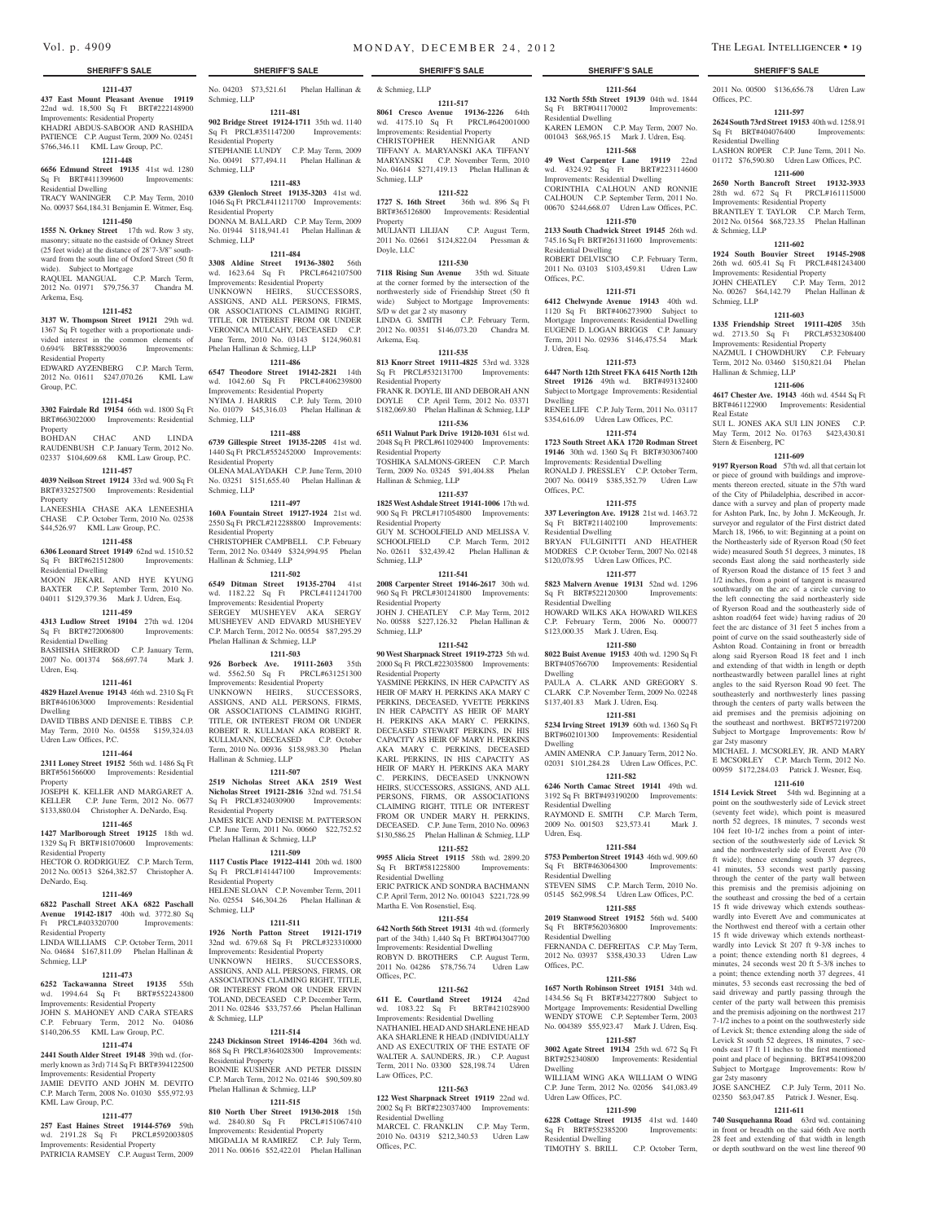#### **SHERIFF'S SALE SHERIFF'S SALE SHERIFF'S SALE SHERIFF'S SALE SHERIFF'S SALE**

**1211-437 437 East Mount Pleasant Avenue 19119**  22nd wd. 18,500 Sq Ft BRT#222148900 Improvements: Residential Property KHADRI ABDUS-SABOOR AND RASHIDA PATIENCE C.P. August Term, 2009 No. 02451 \$766,346.11 KML Law Group, P.C.

## **1211-448**

**6656 Edmund Street 19135** 41st wd. 1280 Sq Ft BRT#411399600 Improvements: Residential Dwelling

TRACY WANINGER C.P. May Term, 2010 No. 00937 \$64,184.31 Benjamin E. Witmer, Esq. **1211-450 1555 N. Orkney Street** 17th wd. Row 3 sty,

masonry; situate no the eastside of Orkney Street (25 feet wide) at the distance of 28'7-3/8" southward from the south line of Oxford Street (50 ft wide). Subject to Mortgage

RAQUEL MANGUAL C.P. March Term, 2012 No. 01971 \$79,756.37 Chandra M. Arkema, Esq.

#### **1211-452**

**3137 W. Thompson Street 19121** 29th wd. 1367 Sq Ft together with a proportionate undivided interest in the common elements of 0.694% BRT#888290036 Improvements: Residential Property

EDWARD AYZENBERG C.P. March Term, 2012 No. 01611 \$247,070.26 KML Law Group, P.C.

#### **1211-454**

**3302 Fairdale Rd 19154** 66th wd. 1800 Sq Ft BRT#663022000 Improvements: Residential Property

BOHDAN CHAC AND LINDA RAUDENBUSH C.P. January Term, 2012 No. 02337 \$104,609.68 KML Law Group, P.C.

## **1211-457**

**4039 Neilson Street 19124** 33rd wd. 900 Sq Ft BRT#332527500 Improvements: Residential Property LANEESHIA CHASE AKA LENEESHIA

CHASE C.P. October Term, 2010 No. 02538 \$44,526.97 KML Law Group, P.C.

### **1211-458**

**6306 Leonard Street 19149** 62nd wd. 1510.52 Sq Ft BRT#621512800 Improvements: Residential Dwelling MOON JEKARL AND HYE KYUNG

BAXTER C.P. September Term, 2010 No. 04011 \$129,379.36 Mark J. Udren, Esq. **1211-459**

**4313 Ludlow Street 19104** 27th wd. 1204 Sq Ft BRT#272006800 Improvements: Residential Dwelling BASHISHA SHERROD C.P. January Term,

2007 No. 001374 \$68,697.74 Mark J. Udren, Esq.

#### **1211-461**

**4829 Hazel Avenue 19143** 46th wd. 2310 Sq Ft BRT#461063000 Improvements: Residential Dwelling

DAVID TIBBS AND DENISE E. TIBBS C.P. May Term, 2010 No. 04558 \$159,324.03 Udren Law Offices, P.C.

#### **1211-464**

**2311 Loney Street 19152** 56th wd. 1486 Sq Ft BRT#561566000 Improvements: Residential Property

JOSEPH K. KELLER AND MARGARET A. KELLER C.P. June Term, 2012 No. 0677 \$133,880.04 Christopher A. DeNardo, Esq.

## **1211-465**

**1427 Marlborough Street 19125** 18th wd. 1329 Sq Ft BRT#181070600 Improvements: Residential Property

HECTOR O. RODRIGUEZ C.P. March Term, 2012 No. 00513 \$264,382.57 Christopher A. DeNardo, Esq.

#### **1211-469**

**6822 Paschall Street AKA 6822 Paschall Avenue 19142-1817** 40th wd. 3772.80 Sq Ft PRCL#403320700 Improvements:

Residential Property LINDA WILLIAMS C.P. October Term, 2011 No. 04684 \$167,811.09 Phelan Hallinan & Schmieg, LLP

#### **1211-473**

**6252 Tackawanna Street 19135** 55th wd. 1994.64 Sq Ft BRT#552243800 Improvements: Residential Property JOHN S. MAHONEY AND CARA STEARS C.P. February Term, 2012 No. 04086 \$140,206.55 KML Law Group, P.C.

### **1211-474**

**2441 South Alder Street 19148** 39th wd. (formerly known as 3rd) 714 Sq Ft BRT#394122500 Improvements: Residential Property JAMIE DEVITO AND JOHN M. DEVITO C.P. March Term, 2008 No. 01030 \$55,972.93 KML Law Group, P.C.

#### **1211-477**

**257 East Haines Street 19144-5769** 59th wd. 2191.28 Sq Ft PRCL#592003805 Improvements: Residential Property

PATRICIA RAMSEY C.P. August Term, 2009

No. 04203 \$73,521.61 Phelan Hallinan & & Schmieg, LLP Schmieg, LLP

**1211-481 902 Bridge Street 19124-1711** 35th wd. 1140 Sq Ft PRCL#351147200 Improvements: Residential Property STEPHANIE LUNDY C.P. May Term, 2009 No. 00491 \$77,494.11 Phelan Hallinan & Schmieg, LLP

### **1211-483**

**6339 Glenloch Street 19135-3203** 41st wd. 1046 Sq Ft PRCL#411211700 Improvements: Residential Property DONNA M. BALLARD C.P. May Term, 2009 No. 01944 \$118,941.41 Phelan Hallinan & Schmieg, LLP

## **1211-484**

**3308 Aldine Street 19136-3802** 56th wd. 1623.64 Sq Ft PRCL#642107500 Improvements: Residential Property UNKNOWN HEIRS, SUCCESSORS, ASSIGNS, AND ALL PERSONS, FIRMS, OR ASSOCIATIONS CLAIMING RIGHT, TITLE, OR INTEREST FROM OR UNDER VERONICA MULCAHY, DECEASED C.P. June Term, 2010 No. 03143 \$124,960.81 Phelan Hallinan & Schmieg, LLP

#### **1211-486**

**6547 Theodore Street 19142-2821** 14th wd. 1042.60 Sq Ft PRCL#406239800 Improvements: Residential Property NYIMA J. HARRIS C.P. July Term, 2010 No. 01079 \$45,316.03 Phelan Hallinan & Schmieg, LLP

#### **1211-488**

**6739 Gillespie Street 19135-2205** 41st wd. 1440 Sq Ft PRCL#552452000 Improvements: Residential Property OLENA MALAYDAKH C.P. June Term, 2010 No. 03251 \$151,655.40 Phelan Hallinan & Schmieg, LLP

#### **1211-497**

**160A Fountain Street 19127-1924** 21st wd. 2550 Sq Ft PRCL#212288800 Improvements: Residential Property CHRISTOPHER CAMPBELL C.P. February Term, 2012 No. 03449 \$324,994.95 Phelan Hallinan & Schmieg, LLP

**1211-502**

**6549 Ditman Street 19135-2704** 41st wd. 1182.22 Sq Ft PRCL#411241700 Improvements: Residential Property SERGEY MUSHEYEV AKA SERGY MUSHEYEV AND EDVARD MUSHEYEV C.P. March Term, 2012 No. 00554 \$87,295.29 Phelan Hallinan & Schmieg, LLP

#### **1211-503**

**926 Borbeck Ave. 19111-2603** 35th wd. 5562.50 Sq Ft PRCL#631251300 Improvements: Residential Property UNKNOWN HEIRS, SUCCESSORS, ASSIGNS, AND ALL PERSONS, FIRMS, OR ASSOCIATIONS CLAIMING RIGHT TITLE, OR INTEREST FROM OR UNDER ROBERT R. KULLMAN AKA ROBERT R. KULLMANN, DECEASED C.P. October Term, 2010 No. 00936 \$158,983.30 Phelan Hallinan & Schmieg, LLP

### **1211-507**

**2519 Nicholas Street AKA 2519 West Nicholas Street 19121-2816** 32nd wd. 751.54<br>Sq Ft PRCL#324030900 Improvements: Sq Ft PRCL#324030900 Residential Property JAMES RICE AND DENISE M. PATTERSON C.P. June Term, 2011 No. 00660 \$22,752.52 Phelan Hallinan & Schmieg, LLP

## **1211-509**

**1117 Custis Place 19122-4141** 20th wd. 1800 Sq Ft PRCL#141447100 Improvements: Residential Property HELENE SLOAN C.P. November Term, 2011 No. 02554 \$46,304.26 Phelan Hallinan & Schmieg, LLP

#### **1211-511**

**1926 North Patton Street 19121-1719**  32nd wd. 679.68 Sq Ft PRCL#323310000 Improvements: Residential Property

UNKNOWN HEIRS, SUCCESSORS, ASSIGNS, AND ALL PERSONS, FIRMS, OR ASSOCIATIONS CLAIMING RIGHT, TITLE, OR INTEREST FROM OR UNDER ERVIN TOLAND, DECEASED C.P. December Term, 2011 No. 02846 \$33,757.66 Phelan Hallinan & Schmieg, LLP

### **1211-514**

**2243 Dickinson Street 19146-4204** 36th wd. 868 Sq Ft PRCL#364028300 Improvements: Residential Property BONNIE KUSHNER AND PETER DISSIN

C.P. March Term, 2012 No. 02146 \$90,509.80 Phelan Hallinan & Schmieg, LLP **1211-515**

**810 North Uber Street 19130-2018** 15th wd. 2840.80 Sq Ft PRCL#151067410 Improvements: Residential Property MIGDALIA M RAMIREZ C.P. July Term, 2011 No. 00616 \$52,422.01 Phelan Hallinan

#### **1211-517**

**8061 Cresco Avenue 19136-2226** 64th wd. 4175.10 Sq Ft PRCL#642001000 Improvements: Residential Property

**1211-564 132 North 55th Street 19139** 04th wd. 1844 Sq Ft BRT#041170002 Improvements:

2011 No. 00500 \$136,656.78 Udren Law

**1211-597 2624 South 73rd Street 19153** 40th wd. 1258.91 Sq Ft BRT#404076400 Improvements:

LASHON ROPER C.P. June Term, 2011 No. 01172 \$76,590.80 Udren Law Offices, P.C. **1211-600 2650 North Bancroft Street 19132-3933**  28th wd. 672 Sq Ft PRCL#161115000 Improvements: Residential Property BRANTLEY T. TAYLOR C.P. March Term, 2012 No. 01564 \$68,723.35 Phelan Hallinan

**1211-602 1924 South Bouvier Street 19145-2908**  26th wd. 605.41 Sq Ft PRCL#481243400 Improvements: Residential Property JOHN CHEATLEY C.P. May Term, 2012 No. 00267 \$64,142.79 Phelan Hallinan &

**1211-603 1335 Friendship Street 19111-4205** 35th wd. 2713.50 Sq Ft PRCL#532308400 Improvements: Residential Property NAZMUL I CHOWDHURY C.P. February Term, 2012 No. 03460 \$150,821.04 Phelan

**1211-606 4617 Chester Ave. 19143** 46th wd. 4544 Sq Ft BRT#461122900 Improvements: Residential

SUI L. JONES AKA SUI LIN JONES C.P. May Term, 2012 No. 01763 \$423,430.81

**1211-609 9197 Ryerson Road** 57th wd. all that certain lot or piece of ground with buildings and improvements thereon erected, situate in the 57th ward of the City of Philadelphia, described in accordance with a survey and plan of property made for Ashton Park, Inc, by John J. McKeough, Jr. surveyor and regulator of the First district dated March 18, 1966, to wit: Beginning at a point on the Northeasterly side of Ryerson Road (50 feet wide) measured South 51 degrees, 3 minutes, 18 seconds East along the said northeasterly side of Ryerson Road the distance of 15 feet 3 and 1/2 inches, from a point of tangent is measured southwardly on the arc of a circle curving to the left connecting the said northeasterly side of Ryerson Road and the southeasterly side of ashton road(64 feet wide) having radius of 20 feet the arc distance of 31 feet 5 inches from a point of curve on the ssaid southeasterly side of Ashton Road. Containing in front or brreadth along said Ryerson Road 18 feet and 1 inch and extending of that width in length or depth northeastwardly between parallel lines at right angles to the said Ryerson Road 90 feet. The southeasterly and northwesterly lines passing through the centers of party walls between the aid premises and the premisis adjoining on the southeast and northwest. BRT#572197200 Subject to Mortgage Improvements: Row b/

Offices, P.C.

Residential Dwelling

& Schmieg, LLP

Schmieg, LLP

Real Estate

Hallinan & Schmieg, LLP

Stern & Eisenberg, PC

gar 2sty masonry

gar 2sty masonry

JOSE SANCHEZ C.P. July Term, 2011 No. 02350 \$63,047.85 Patrick J. Wesner, Esq. **1211-611 740 Susquehanna Road** 63rd wd. containing in front or breadth on the said 66th Ave north 28 feet and extending of that width in length or depth southward on the west line thereof 90

MICHAEL J. MCSORLEY, JR. AND MARY E MCSORLEY C.P. March Term, 2012 No. 00959 \$172,284.03 Patrick J. Wesner, Esq. **1211-610 1514 Levick Street** 54th wd. Beginning at a point on the southwesterly side of Levick street (seventy feet wide), which point is measured north 52 degrees, 18 minutes, 7 seconds west 104 feet 10-1/2 inches from a point of intersection of the southwesterly side of Levick St and the northwesterly side of Everett Ave (70 ft wide); thence extending south 37 degrees, 41 minutes, 53 seconds west partly passing through the center of the party wall between this premisis and the premisis adjoining on the southeast and crossing the bed of a certain 15 ft wide driveway which extends southeaswardly into Everett Ave and communicates at the Northwest end thereof with a certain other 15 ft wide driveway which extends northeastwardly into Levick St 207 ft 9-3/8 inches to a point; thence extending north 81 degrees, 4 minutes, 24 seconds west 20 ft 5-3/8 inches to a point; thence extending north 37 degrees, 41 minutes, 53 seconds east recrossing the bed of said driveway and partly passing through the center of the party wall between this premisis and the premisis adjoining on the northwest 217 7-1/2 inches to a point on the southwesterly side of Levick St; thence extending along the side of Levick St south 52 degrees, 18 minutes, 7 seconds east 17 ft 11 inches to the first mentioned point and place of beginning. BRT#541098200 Subject to Mortgage Improvements: Row b/

KAREN LEMON C.P. May Term, 2007 No. 001043 \$68,965.15 Mark J. Udren, Esq. **1211-568 49 West Carpenter Lane 19119** 22nd wd. 4324.92 Sq Ft BRT#223114600 Improvements: Residential Dwelling CORINTHIA CALHOUN AND RONNIE CALHOUN C.P. September Term, 2011 No. 00670 \$244,668.07 Udren Law Offices, P.C. **1211-570 2133 South Chadwick Street 19145** 26th wd. 745.16 Sq Ft BRT#261311600 Improvements:

ROBERT DELVISCIO C.P. February Term, 2011 No. 03103 \$103,459.81 Udren Law

**1211-571 6412 Chelwynde Avenue 19143** 40th wd. 1120 Sq Ft BRT#406273900 Subject to Mortgage Improvements: Residential Dwelling EUGENE D. LOGAN BRIGGS C.P. January Term, 2011 No. 02936 \$146,475.54 Mark

**1211-573 6447 North 12th Street FKA 6415 North 12th Street 19126** 49th wd. BRT#493132400 Subject to Mortgage Improvements: Residential

RENEE LIFE C.P. July Term, 2011 No. 03117 \$354,616.09 Udren Law Offices, P.C. **1211-574 1723 South Street AKA 1720 Rodman Street 19146** 30th wd. 1360 Sq Ft BRT#303067400 Improvements: Residential Dwelling RONALD J. PRESSLEY C.P. October Term, 2007 No. 00419 \$385,352.79 Udren Law

**1211-575 337 Leverington Ave. 19128** 21st wd. 1463.72<br>Sq Ft BRT#211402100 Improvements:

BRYAN FULGINITTI AND HEATHER MODRES C.P. October Term, 2007 No. 02148 \$120,078.95 Udren Law Offices, P.C. **1211-577 5823 Malvern Avenue 19131** 52nd wd. 1296 Sq Ft BRT#522120300 Improvements:

HOWARD WILKS AKA HOWARD WILKES C.P. February Term, 2006 No. 000077 \$123,000.35 Mark J. Udren, Esq. **1211-580 8022 Buist Avenue 19153** 40th wd. 1290 Sq Ft BRT#405766700 Improvements: Residential

PAULA A. CLARK AND GREGORY S. CLARK C.P. November Term, 2009 No. 02248 \$137,401.83 Mark J. Udren, Esq. **1211-581 5234 Irving Street 19139** 60th wd. 1360 Sq Ft BRT#602101300 Improvements: Residential

AMIN AMENRA C.P. January Term, 2012 No. 02031 \$101,284.28 Udren Law Offices, P.C. **1211-582 6246 North Camac Street 19141** 49th wd. 3192 Sq Ft BRT#493190200 Improvements:

RAYMOND E. SMITH C.P. March Term, 2009 No. 001503 \$23,573.41 Mark J.

**1211-584 5753 Pemberton Street 19143** 46th wd. 909.60 Sq Ft BRT#463064300 Improvements:

STEVEN SIMS C.P. March Term, 2010 No. 05145 \$62,998.54 Udren Law Offices, P.C. **1211-585 2019 Stanwood Street 19152** 56th wd. 5400 Sq Ft BRT#562036800 Improvements:

FERNANDA C. DEFREITAS C.P. May Term, 2012 No. 03937 \$358,430.33 Udren Law

**1211-586 1657 North Robinson Street 19151** 34th wd. 1434.56 Sq Ft BRT#342277800 Subject to Mortgage Improvements: Residential Dwelling WENDY STOWE C.P. September Term, 2003 No. 004389 \$55,923.47 Mark J. Udren, Esq. **1211-587 3002 Agate Street 19134** 25th wd. 672 Sq Ft BRT#252340800 Improvements: Residential

WILLIAM WING AKA WILLIAM O WING C.P. June Term, 2012 No. 02056 \$41,083.49

**1211-590 6228 Cottage Street 19135** 41st wd. 1440

TIMOTHY S. BRILL C.P. October Term,

Residential Dwelling

Residential Dwelling

Offices, P.C.

J. Udren, Esq.

Dwelling

Offices, P.C.

 $Sq$  Ft BRT#211402100 Residential Dwelling

Residential Dwelling

Dwelling

Dwelling

Residential Dwelling

Residential Dwelling

Residential Dwelling

Offices, P.C.

Dwelling

Udren Law Offices, P.C.

Sq Ft BRT#552385200 Residential Dwelling

Udren, Esq.

CHRISTOPHER HENNIGAR AND TIFFANY A. MARYANSKI AKA TIFFANY MARYANSKI C.P. November Term, 2010 No. 04614 \$271,419.13 Phelan Hallinan & Schmieg, LLP

#### **1211-522**

**1727 S. 16th Street** 36th wd. 896 Sq Ft BRT#365126800 Improvements: Residential Property MULJANTI LILIJAN C.P. August Term,

2011 No. 02661 \$124,822.04 Pressman & Doyle, LLC

### **1211-530**

**7118 Rising Sun Avenue** 35th wd. Situate at the corner formed by the intersection of the northwesterly side of Friendship Street (50 ft wide) Subject to Mortgage Improvements: S/D w det gar 2 sty masonry LINDA G. SMITH C.P. February Term, 2012 No. 00351 \$146,073.20 Chandra M. Arkema, Esq.

#### **1211-535**

**813 Knorr Street 19111-4825** 53rd wd. 3328 Sq Ft PRCL#532131700 Improvements: Residential Property FRANK R. DOYLE, III AND DEBORAH ANN DOYLE C.P. April Term, 2012 No. 03371 \$182,069.80 Phelan Hallinan & Schmieg, LLP **1211-536**

**6511 Walnut Park Drive 19120-1031** 61st wd. 2048 Sq Ft PRCL#611029400 Improvements: Residential Property TOSHIKA SALMONS-GREEN C.P. March

Term, 2009 No. 03245 \$91,404.88 Phelan Hallinan & Schmieg, LLP **1211-537**

#### **1825 West Ashdale Street 19141-1006** 17th wd. 900 Sq Ft PRCL#171054800 Improvements: Residential Property

GUY M. SCHOOLFIELD AND MELISSA V. SCHOOLFIELD C.P. March Term, 2012 No. 02611 \$32,439.42 Phelan Hallinan & Schmieg, LLP

#### **1211-541**

**2008 Carpenter Street 19146-2617** 30th wd. 960 Sq Ft PRCL#301241800 Improvements: Residential Property JOHN J. CHEATLEY C.P. May Term, 2012

No. 00588 \$227,126.32 Phelan Hallinan & Schmieg, LLP **1211-542**

**90 West Sharpnack Street 19119-2723** 5th wd. 2000 Sq Ft PRCL#223035800 Improvements: Residential Property

YASMINE PERKINS, IN HER CAPACITY AS HEIR OF MARY H. PERKINS AKA MARY C PERKINS, DECEASED, YVETTE PERKINS IN HER CAPACITY AS HEIR OF MARY H. PERKINS AKA MARY C. PERKINS, DECEASED STEWART PERKINS, IN HIS CAPACITY AS HEIR OF MARY H. PERKINS AKA MARY C. PERKINS, DECEASED KARL PERKINS, IN HIS CAPACITY AS HEIR OF MARY H. PERKINS AKA MARY C. PERKINS, DECEASED UNKNOWN HEIRS, SUCCESSORS, ASSIGNS, AND ALL PERSONS, FIRMS, OR ASSOCIATIONS CLAIMING RIGHT, TITLE OR INTEREST FROM OR UNDER MARY H. PERKINS, DECEASED. C.P. June Term, 2010 No. 00963 \$130,586.25 Phelan Hallinan & Schmieg, LLP

#### **1211-552**

**9955 Alicia Street 19115** 58th wd. 2899.20 Sq Ft BRT#581225800 Improvements: Residential Dwelling ERIC PATRICK AND SONDRA BACHMANN

C.P. April Term, 2012 No. 001043 \$221,728.99 Martha E. Von Rosenstiel, Esq.

## **1211-554**

**642 North 56th Street 19131** 4th wd. (formerly part of the 34th) 1,440 Sq Ft BRT#043047700 Improvements: Residential Dwelling ROBYN D. BROTHERS C.P. August Term, 2011 No. 04286 \$78,756.74 Udren Law Offices, P.C.

#### **1211-562**

**611 E. Courtland Street 19124** 42nd wd. 1083.22 Sq Ft BRT#421028900 dential Dwelling NATHANIEL HEADAND SHARLENE HEAD AKA SHARLENE R HEAD (INDIVIDUALLY AND AS EXECUTRIX OF THE ESTATE OF WALTER A. SAUNDERS, JR.) C.P. August Term, 2011 No. 03300 \$28,198.74 Udren Law Offices, P.C.

**122 West Sharpnack Street 19119** 22nd wd. 2002 Sq Ft BRT#223037400 Improvements:

MARCEL C. FRANKLIN C.P. May Term, 2010 No. 04319 \$212,340.53 Udren Law

#### **1211-563**

Residential Dwelling

Offices, P.C.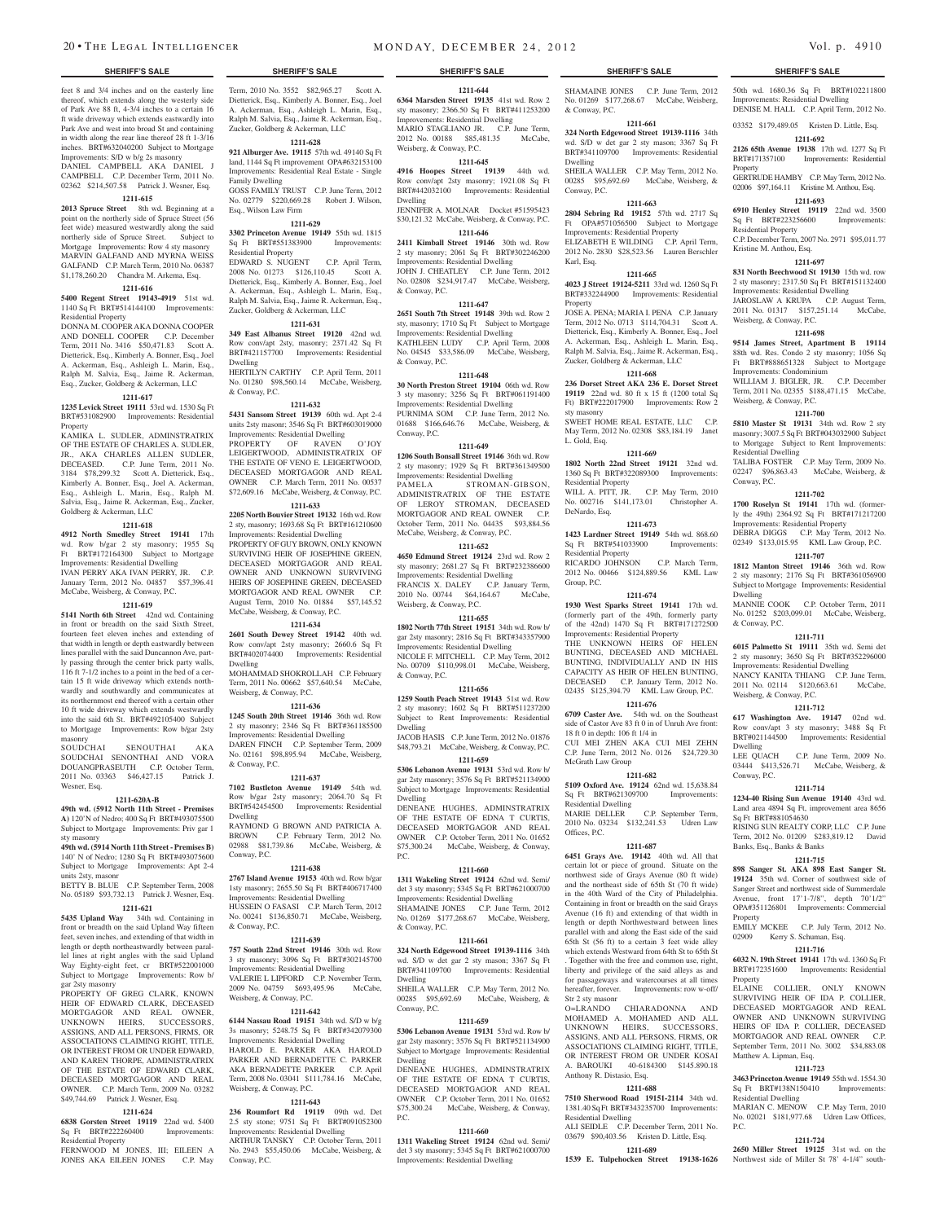Term, 2010 No. 3552 \$82,965.27 Scott A. Dietterick, Esq., Kimberly A. Bonner, Esq., Joel A. Ackerman, Esq., Ashleigh L. Marin, Esq., Ralph M. Salvia, Esq., Jaime R. Ackerman, Esq., Zucker, Goldberg & Ackerman, LLC **1211-628 921 Alburger Ave. 19115** 57th wd. 49140 Sq Ft land, 1144 Sq Ft improvement OPA#632153100 Improvements: Residential Real Estate - Single

GOSS FAMILY TRUST C.P. June Term, 2012 No. 02779 \$220,669.28 Robert J. Wilson,

**1211-629 3302 Princeton Avenue 19149** 55th wd. 1815 Sq Ft BRT#551383900 Improvements:

EDWARD S. NUGENT C.P. April Term,<br>2008 No. 01273 \$126,110.45 Scott A. 2008 No. 01273 \$126,110.45 Dietterick, Esq., Kimberly A. Bonner, Esq., Joel A. Ackerman, Esq., Ashleigh L. Marin, Esq., Ralph M. Salvia, Esq., Jaime R. Ackerman, Esq., Zucker, Goldberg & Ackerman, LLC **1211-631 349 East Albanus Street 19120** 42nd wd. Row conv/apt 2sty, masonry; 2371.42 Sq Ft BRT#421157700 Improvements: Residential

HERTILYN CARTHY C.P. April Term, 2011 No. 01280 \$98,560.14 McCabe, Weisberg,

**1211-632 5431 Sansom Street 19139** 60th wd. Apt 2-4 units 2sty masonr; 3546 Sq Ft BRT#603019000 Improvements: Residential Dwelling PROPERTY OF RAVEN O'JOY LEIGERTWOOD, ADMINISTRATRIX OF THE ESTATE OF VENO E. LEIGERTWOOD, DECEASED MORTGAGOR AND REAL OWNER C.P. March Term, 2011 No. 00537 \$72,609.16 McCabe, Weisberg, & Conway, P.C. **1211-633 2205 North Bouvier Street 19132** 16th wd. Row 2 sty, masonry; 1693.68 Sq Ft BRT#161210600

Improvements: Residential Dwelling

McCabe, Weisberg, & Conway, P.C. **1211-634 2601 South Dewey Street 19142** 40th wd. Row conv/apt 2sty masonry; 2660.6 Sq Ft BRT#402074400 Improvements: Residential

Weisberg, & Conway, P.C.

& Conway, P.C.

Dwelling

Conway, P.C.

& Conway, P.C.

Dwelling

PROPERTY OF GUY BROWN, ONLY KNOWN SURVIVING HEIR OF JOSEPHINE GREEN, DECEASED MORTGAGOR AND REAL OWNER AND UNKNOWN SURVIVING HEIRS OF JOSEPHINE GREEN, DECEASED MORTGAGOR AND REAL OWNER C.P. August Term, 2010 No. 01884 \$57,145.52

MOHAMMAD SHOKROLLAH C.P. February Term, 2011 No. 00662 \$57,640.54 McCabe,

**1211-636 1245 South 20th Street 19146** 36th wd. Row 2 sty masonry; 2346 Sq Ft BRT#361185500 Improvements: Residential Dwelling DAREN FINCH C.P. September Term, 2009 No. 02161 \$98,895.94 McCabe, Weisberg,

**1211-637 7102 Bustleton Avenue 19149** 54th wd. Row b/gar 2sty masonry; 2064.70 Sq Ft BRT#542454500 Improvements: Residential

RAYMOND G BROWN AND PATRICIA A. BROWN C.P. February Term, 2012 No. 02988 \$81,739.86 McCabe, Weisberg, &

**1211-638 2767 Island Avenue 19153** 40th wd. Row b/gar 1sty masonry; 2655.50 Sq Ft BRT#406717400 Improvements: Residential Dwelling HUSSEIN O FASASI C.P. March Term, 2012 No. 00241 \$136,850.71 McCabe, Weisberg,

**1211-639 757 South 22nd Street 19146** 30th wd. Row 3 sty masonry; 3096 Sq Ft BRT#302145700 Improvements: Residential Dwelling VALERIE L LIPFORD C.P. November Term,<br>2009 No. 04759 \$693 495 96 McCabe 2009 No. 04759 \$693,495.96 Weisberg, & Conway, P.C.

**1211-642 6144 Nassau Road 19151** 34th wd. S/D w b/g 3s masonry; 5248.75 Sq Ft BRT#342079300 Improvements: Residential Dwelling HAROLD E. PARKER AKA HAROLD PARKER AND BERNADETTE C. PARKER AKA BERNADETTE PARKER C.P. April Term, 2008 No. 03041 \$111,784.16 McCabe,

**1211-643 236 Roumfort Rd 19119** 09th wd. Det 2.5 sty stone; 9751 Sq Ft BRT#091052300 Improvements: Residential Dwelling ARTHUR TANSKY C.P. October Term, 2011 No. 2943 \$55,450.06 McCabe, Weisberg, &

Weisberg, & Conway, P.C.

Conway, P.C.

Family Dwelling

Esq., Wilson Law Firm

Residential Property

Dwelling

& Conway, P.C.

feet 8 and 3/4 inches and on the easterly line thereof, which extends along the westerly side of Park Ave 88 ft, 4-3/4 inches to a certain 16 ft wide driveway which extends eastwardly into Park Ave and west into broad St and containing in width along the rear line thereof 28 ft 1-3/16 inches. BRT#632040200 Subject to Mortgage Improvements: S/D w b/g 2s masonry DANIEL CAMPBELL AKA DANIEL J CAMPBELL C.P. December Term, 2011 No.

## 02362 \$214,507.58 Patrick J. Wesner, Esq.

**1211-615**

2013 Spruce Street 8th wd. Beginning at a point on the northerly side of Spruce Street (56 feet wide) measured westwardly along the said northerly side of Spruce Street. Subject to Mortgage Improvements: Row 4 sty masonry MARVIN GALFAND AND MYRNA WEISS GALFAND C.P. March Term, 2010 No. 06387 \$1,178,260.20 Chandra M. Arkema, Esq.

### **1211-616**

**5400 Regent Street 19143-4919** 51st wd. 1140 Sq Ft BRT#514144100 Improvements: Residential Property DONNA M. COOPER AKA DONNA COOPER

AND DONELL COOPER C.P. December Term, 2011 No. 3416 \$50,471.83 Scott A. Dietterick, Esq., Kimberly A. Bonner, Esq., Joel A. Ackerman, Esq., Ashleigh L. Marin, Esq., Ralph M. Salvia, Esq., Jaime R. Ackerman, Esq., Zucker, Goldberg & Ackerman, LLC

### **1211-617**

**1235 Levick Street 19111** 53rd wd. 1530 Sq Ft BRT#531082900 Improvements: Residential **Property** 

KAMIKA L. SUDLER, ADMINSTRATRIX OF THE ESTATE OF CHARLES A. SUDLER, JR., AKA CHARLES ALLEN SUDLER, DECEASED. C.P. June Term, 2011 No. 3184 \$78,299.32 Scott A. Dietterick, Esq., Kimberly A. Bonner, Esq., Joel A. Ackerman, Esq., Ashleigh L. Marin, Esq., Ralph M. Salvia, Esq., Jaime R. Ackerman, Esq., Zucker, Goldberg & Ackerman, LLC

#### **1211-618**

**4912 North Smedley Street 19141** 17th wd. Row b/gar 2 sty masonry; 1955 Sq Ft BRT#172164300 Subject to Mortgage Improvements: Residential Dwelling IVAN PERRY AKA IVAN PERRY, JR. C.P. January Term, 2012 No. 04857 \$57,396.41 McCabe, Weisberg, & Conway, P.C.

#### **1211-619**

**5141 North 6th Street** 42nd wd. Containing in front or breadth on the said Sixth Street, fourteen feet eleven inches and extending of that width in length or depth eastwardly between lines parallel with the said Duncannon Ave, partly passing through the center brick party walls, 116 ft 7-1/2 inches to a point in the bed of a certain 15 ft wide driveway which extends northwardly and southwardly and communicates at its northernmost end thereof with a certain other 10 ft wide driveway which extends westwardly into the said 6th St. BRT#492105400 Subject to Mortgage Improvements: Row b/gar 2sty masonry

SOUDCHAI SENOUTHAI AKA SOUDCHAI SENONTHAI AND VORA DOUANGPRASEUTH C.P. October Term,<br>2011 No. 03363 \$46.427.15 Patrick I 2011 No. 03363 \$46,427.15 Wesner, Esq.

#### **1211-620A-B**

**49th wd. (5912 North 11th Street - Premises A)** 120'N of Nedro; 400 Sq Ft BRT#493075500 Subject to Mortgage Improvements: Priv gar 1 sty masonry

**49th wd. (5914 North 11th Street - Premises B)**  140' N of Nedro; 1280 Sq Ft BRT#493075600 Subject to Mortgage Improvements: Apt 2-4 units 2sty, masonr

BETTY B. BLUE C.P. September Term, 2008 No. 05189 \$93,732.13 Patrick J. Wesner, Esq.

#### **1211-621**

**5435 Upland Way** 34th wd. Containing in front or breadth on the said Upland Way fifteen feet, seven inches, and extending of that width in length or depth northeastwardly between parallel lines at right angles with the said Upland Way Eighty-eight feet, cr BRT#522001000 Subject to Mortgage Improvements: Row b/ gar 2sty masonry

PROPERTY OF GREG CLARK, KNOWN HEIR OF EDWARD CLARK, DECEASED MORTGAGOR AND REAL OWNER, UNKNOWN HEIRS, SUCCESSORS, ASSIGNS, AND ALL PERSONS, FIRMS, OR ASSOCIATIONS CLAIMING RIGHT, TITLE, OR INTEREST FROM OR UNDER EDWARD, AND KAREN THORPE, ADMINISTRATRIX OF THE ESTATE OF EDWARD CLARK, DECEASED MORTGAGOR AND REAL OWNER. C.P. March Term, 2009 No. 03282 \$49,744.69 Patrick J. Wesner, Esq.

#### **1211-624**

**6838 Gorsten Street 19119** 22nd wd. 5400 Sq Ft BRT#222260400 Improvements: Residential Property

FERNWOOD M JONES, III; EILEEN A JONES AKA EILEEN JONES C.P. May

#### **SHERIFF'S SALE SHERIFF'S SALE SHERIFF'S SALE SHERIFF'S SALE SHERIFF'S SALE**

**1211-644 6364 Marsden Street 19135** 41st wd. Row 2 sty masonry; 2366.50 Sq Ft BRT#411253200 Improvements: Residential Dwelling MARIO STAGLIANO JR. C.P. June Term, 2012 No. 00188 \$85,481.35 McCabe, Weisberg, & Conway, P.C.

### **1211-645**

**4916 Hoopes Street 19139** 44th wd. Row conv/apt 2sty masonry; 1921.08 Sq Ft BRT#442032100 Improvements: Residential Dwelling JENNIFER A. MOLNAR Docket #51595423

\$30,121.32 McCabe, Weisberg, & Conway, P.C. **1211-646**

**2411 Kimball Street 19146** 30th wd. Row 2 sty masonry; 2061 Sq Ft BRT#302246200 Improvements: Residential Dwelling JOHN J. CHEATLEY C.P. June Term, 2012 No. 02808 \$234,917.47 McCabe, Weisberg, & Conway, P.C.

#### **1211-647**

**2651 South 7th Street 19148** 39th wd. Row 2 sty, masonry; 1710 Sq Ft Subject to Mortgage Improvements: Residential Dwelling KATHLEEN LUDY C.P. April Term, 2008 No. 04545 \$33,586.09 McCabe, Weisberg, & Conway, P.C.

## **1211-648**

**30 North Preston Street 19104** 06th wd. Row 3 sty masonry; 3256 Sq Ft BRT#061191400 Improvements: Residential Dwelling PURNIMA SOM C.P. June Term, 2012 No. 01688 \$166,646.76 McCabe, Weisberg, & Conway, P.C.

#### **1211-649**

**1206 South Bonsall Street 19146** 36th wd. Row 2 sty masonry; 1929 Sq Ft BRT#361349500 Improvements: Residential Dwelling PAMELA STROMAN-GIBSON, ADMINISTRATRIX OF THE ESTATE OF LEROY STROMAN, DECEASED MORTGAGOR AND REAL OWNER C.P. October Term, 2011 No. 04435 \$93,884.56 McCabe, Weisberg, & Conway, P.C.

#### **1211-652**

**4650 Edmund Street 19124** 23rd wd. Row 2 sty masonry; 2681.27 Sq Ft BRT#232386600 Improvements: Residential Dwelling FRANCIS X. DALEY C.P. January Term, 2010 No. 00744 \$64,164.67 McCabe, Weisberg, & Conway, P.C.

#### **1211-655**

**1802 North 77th Street 19151** 34th wd. Row b/ gar 2sty masonry; 2816 Sq Ft BRT#343357900 Improvements: Residential Dwelling NICOLE F. MITCHELL C.P. May Term, 2012 No. 00709 \$110,998.01 McCabe, Weisberg, & Conway, P.C.

#### **1211-656**

**1259 South Peach Street 19143** 51st wd. Row 2 sty masonry; 1602 Sq Ft BRT#511237200 Subject to Rent Improvements: Residential Dwelling JACOB HASIS C.P. June Term, 2012 No. 01876

\$48,793.21 McCabe, Weisberg, & Conway, P.C. **1211-659**

**5306 Lebanon Avenue 19131** 53rd wd. Row b/ gar 2sty masonry; 3576 Sq Ft BRT#521134900 Subject to Mortgage Improvements: Residential

Dwelling DENEANE HUGHES, ADMINSTRATRIX OF THE ESTATE OF EDNA T CURTIS, DECEASED MORTGAGOR AND REAL OWNER C.P. October Term, 2011 No. 01652 \$75,300.24 McCabe, Weisberg, & Conway, P.C.

#### **1211-660**

**1311 Wakeling Street 19124** 62nd wd. Semi/ det 3 sty masonry; 5345 Sq Ft BRT#621000700 Improvements: Residential Dwelling SHAMAINE JONES C.P. June Term, 2012 No. 01269 \$177,268.67 McCabe, Weisberg, & Conway, P.C.

#### **1211-661**

**324 North Edgewood Street 19139-1116** 34th wd. S/D w det gar 2 sty mason; 3367 Sq Ft BRT#341109700 Improvements: Residential Dwelling

SHEILA WALLER C.P. May Term, 2012 No. 00285 \$95,692.69 McCabe, Weisberg, & Conway, P.C.

#### **1211-659**

**5306 Lebanon Avenue 19131** 53rd wd. Row b/ gar 2sty masonry; 3576 Sq Ft BRT#521134900 Subject to Mortgage Improvements: Residential Dwelling

DENEANE HUGHES, ADMINSTRATRIX OF THE ESTATE OF EDNA T CURTIS, DECEASED MORTGAGOR AND REAL OWNER C.P. October Term, 2011 No. 01652 \$75,300.24 McCabe, Weisberg, & Conway, P.C.

#### **1211-660**

**1311 Wakeling Street 19124** 62nd wd. Semi/ det 3 sty masonry; 5345 Sq Ft BRT#621000700 Improvements: Residential Dwelling

SHAMAINE JONES C.P. June Term, 2012

No. 01269 \$177,268.67 McCabe, Weisberg, & Conway, P.C. **1211-661**

**324 North Edgewood Street 19139-1116** 34th wd. S/D w det gar 2 sty mason; 3367 Sq Ft BRT#341109700 Improvements: Residential Dwelling SHEILA WALLER C.P. May Term, 2012 No.

00285 \$95,692.69 McCabe, Weisberg, & Conway, P.C. **1211-663**

#### **2804 Sebring Rd 19152** 57th wd. 2717 Sq

Ft OPA#571056500 Subject to Mortgage Improvements: Residential Property ELIZABETH E WILDING C.P. April Term, 2012 No. 2830 \$28,523.56 Lauren Berschler Karl, Esq.

#### **1211-665**

**4023 J Street 19124-5211** 33rd wd. 1260 Sq Ft BRT#332244900 Improvements: Residential **Property** 

JOSE A. PENA; MARIA I. PENA C.P. January Term, 2012 No. 0713 \$114,704.31 Scott A. Dietterick, Esq., Kimberly A. Bonner, Esq., Joel A. Ackerman, Esq., Ashleigh L. Marin, Esq., Ralph M. Salvia, Esq., Jaime R. Ackerman, Esq., Zucker, Goldberg & Ackerman, LLC

## **1211-668**

**236 Dorset Street AKA 236 E. Dorset Street 19119** 22nd wd. 80 ft x 15 ft (1200 total Sq Ft) BRT#222017900 Improvements: Row 2 sty masonry SWEET HOME REAL ESTATE, LLC C.P.

May Term, 2012 No. 02308 \$83,184.19 Janet L. Gold, Esq. **1211-669**

**1802 North 22nd Street 19121** 32nd wd. 1360 Sq Ft BRT#322089300 Improvements: Residential Property WILL A. PITT, JR. C.P. May Term, 2010

No. 002716 \$141,173.01 Christopher A. DeNardo, Esq. **1211-673**

**1423 Lardner Street 19149** 54th wd. 868.60 Sq Ft BRT#541033900 Improvements: Residential Property

RICARDO JOHNSON C.P. March Term, 2012 No. 00466 \$124,889.56 KML Law Group, P.C.

#### **1211-674**

**1930 West Sparks Street 19141** 17th wd. (formerly part of the 49th, formerly party of the 42nd) 1470 Sq Ft BRT#171272500 Improvements: Residential Property

THE UNKNOWN HEIRS OF HELEN BUNTING, DECEASED AND MICHAEL BUNTING, INDIVIDUALLY AND IN HIS CAPACITY AS HEIR OF HELEN BUNTING, DECEASED C.P. January Term, 2012 No. 02435 \$125,394.79 KML Law Group, P.C.

**1211-676 6709 Caster Ave.** 54th wd. on the Southeast side of Castor Ave 83 ft 0 in of Unruh Ave front:

18 ft 0 in depth: 106 ft 1/4 in CUI MEI ZHEN AKA CUI MEI ZEHN C.P. June Term, 2012 No. 0126 \$24,729.30 McGrath Law Group

#### **1211-682**

**5109 Oxford Ave. 19124** 62nd wd. 15,638.84<br>
Sq Ft BRT#621309700 Improvements: Sq Ft BRT#621309700 Residential Dwelling

MARIE DELLER C.P. September Term, 2010 No. 03234 \$132,241.53 Udren Law Offices, P.C.

#### **1211-687**

**6451 Grays Ave. 19142** 40th wd. All that certain lot or piece of ground. Situate on the northwest side of Grays Avenue (80 ft wide) and the northeast side of 65th St (70 ft wide) in the 40th Ward of the City of Philadelphia. Containing in front or breadth on the said Grays Avenue (16 ft) and extending of that width in length or depth Northwestward between lines parallel with and along the East side of the said 65th St (56 ft) to a certain 3 feet wide alley which extends Westward from 64th St to 65th St . Together with the free and common use, right, liberty and privilege of the said alleys as and for passageways and watercourses at all times hereafter, forever. Improvements: row w-off/ Str 2 sty masonr

O=LRANDO CHIARADONNA AND OHAMED A. MOHAMED UNKNOWN HEIRS, SUCCESSORS, ASSIGNS, AND ALL PERSONS, FIRMS, OR ASSOCIATIONS CLAIMING RIGHT, TITLE, OR INTEREST FROM OR UNDER KOSAI A. BAROUKI 40-6184300 \$145.890.18 Anthony R. Distasio, Esq.

#### **1211-688**

**7510 Sherwood Road 19151-2114** 34th wd. 1381.40 Sq Ft BRT#343235700 Improvements: Residential Dwelling ALI SEIDLE C.P. December Term, 2011 No.

03679 \$90,403.56 Kristen D. Little, Esq. **1211-689 2650 Miller Street 19125** 31st wd. on the

**1539 E. Tulpehocken Street 19138-1626** 

50th wd. 1680.36 Sq Ft BRT#102211800 Improvements: Residential Dwelling DENISE M. HALL C.P. April Term, 2012 No. 03352 \$179,489.05 Kristen D. Little, Esq.

#### **1211-692**

**2126 65th Avenue 19138** 17th wd. 1277 Sq Ft BRT#171357100 Improvements: Residential **Property** GERTRUDE HAMBY C.P. May Term, 2012 No. 02006 \$97,164.11 Kristine M. Anthou, Esq.

## **1211-693**

**6910 Henley Street 19119** 22nd wd. 3500 Sq Ft BRT#223256600 Improvements:

Residential Property C.P. December Term, 2007 No. 2971 \$95,011.77

Kristine M. Anthou, Esq. **1211-697**

Weisberg, & Conway, P.C.

Improvements: Condominium

Weisberg, & Conway, P.C.

Residential Dwelling

Conway, P.C.

Dwelling

Dwelling

Property

Property

Matthew A. Lipman, Esq.

Residential Dwelling

P.C.

Conway, P.C.

Sq Ft BRT#881054630

Banks, Esq., Banks & Banks

& Conway, P.C.

Weisberg, & Conway, P.C.

**831 North Beechwood St 19130** 15th wd. row 2 sty masonry; 2317.50 Sq Ft BRT#151132400 Improvements: Residential Dwelling JAROSLAW A KRUPA C.P. August Term, 2011 No. 01317 \$157,251.14 McCabe,

**1211-698 9514 James Street, Apartment B 19114**  88th wd. Res. Condo 2 sty masonry; 1056 Sq Ft BRT#888651328 Subject to Mortgage

WILLIAM J. BIGLER, JR. C.P. December Term, 2011 No. 02355 \$188,471.15 McCabe,

**1211-700 5810 Master St 19131** 34th wd. Row 2 sty masonry; 3007.5 Sq Ft BRT#043032900 Subject to Mortgage Subject to Rent Improvements:

TALIBA FOSTER C.P. May Term, 2009 No. 02247 \$96,863.43 McCabe, Weisberg, &

**1211-702 1700 Roselyn St 19141** 17th wd. (formerly the 49th) 2364.92 Sq Ft BRT#171217200 Improvements: Residential Property DEBRA DIGGS C.P. May Term, 2012 No. 02349 \$133,015.95 KML Law Group, P.C. **1211-707 1812 Manton Street 19146** 36th wd. Row 2 sty masonry; 2176 Sq Ft BRT#361056900 Subject to Mortgage Improvements: Residential

MANNIE COOK C.P. October Term, 2011 No. 01252 \$203,099.01 McCabe, Weisberg,

**1211-711 6015 Palmetto St 19111** 35th wd. Semi det 2 sty masonry; 3650 Sq Ft BRT#352296000 Improvements: Residential Dwelling NANCY KANITA THIANG C.P. June Term, 2011 No. 02114 \$120,663.61 McCabe,

**1211-712 617 Washington Ave. 19147** 02nd wd. Row conv/apt 3 sty masonry; 3488 Sq Ft BRT#021144500 Improvements: Residential

LEE QUACH C.P. June Term, 2009 No. 03444 \$413,526.71 McCabe, Weisberg, &

**1211-714 1234-40 Rising Sun Avenue 19140** 43rd wd. Land area 4894 Sq Ft, improvement area 8656

RISING SUN REALTY CORP, LLC C.P. June Term, 2012 No. 01209 \$283,819.12 David

**1211-715 898 Sanger St. AKA 898 East Sanger St. 19124** 35th wd. Corner of southwest side of Sanger Street and northwest side of Summerdale Avenue, front 17'1-7/8", depth 70'1/2" OPA#351126801 Improvements: Commercial

EMILY MCKEE C.P. July Term, 2012 No. 02909 Kerry S. Schuman, Esq. **1211-716 6032 N. 19th Street 19141** 17th wd. 1360 Sq Ft BRT#172351600 Improvements: Residential

ELAINE COLLIER, ONLY KNOWN SURVIVING HEIR OF IDA P. COLLIER, DECEASED MORTGAGOR AND REAL OWNER AND UNKNOWN SURVIVING HEIRS OF IDA P. COLLIER, DECEASED MORTGAGOR AND REAL OWNER C.P. September Term, 2011 No. 3002 \$34,883.08

**1211-723 3463 Princeton Avenue 19149** 55th wd. 1554.30 Sq Ft BRT#138N150410 Improvements:

MARIAN C. MENOW C.P. May Term, 2010 No. 02021 \$181,977.68 Udren Law Offices,

**1211-724**

Northwest side of Miller St 78' 4-1/4" south-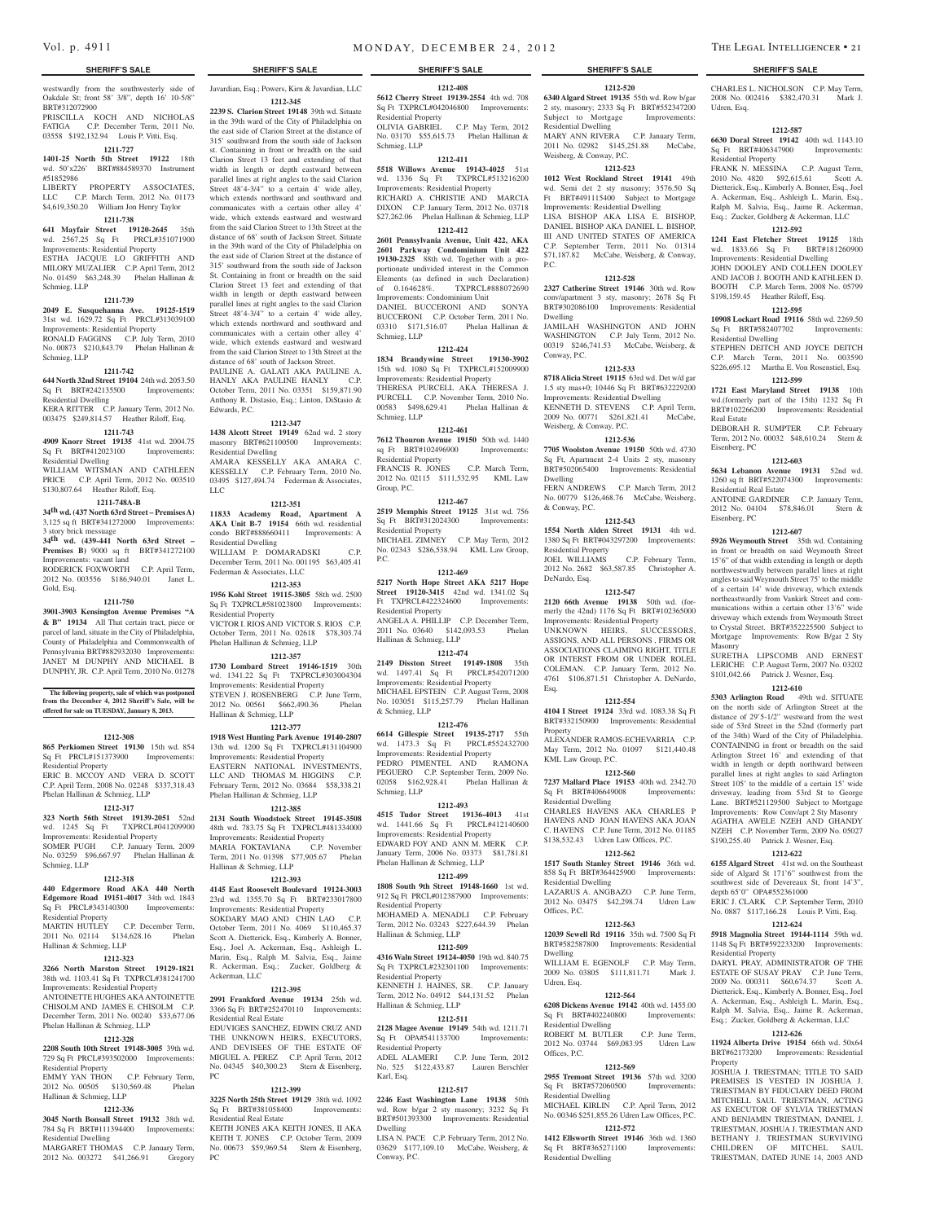#### westwardly from the southwesterly side of Oakdale St; front 58' 3/8", depth 16' 10-5/8" BRT#312072900

PRISCILLA KOCH AND NICHOLAS FATIGA C.P. December Term, 2011 No. 03558 \$192,132.94 Louis P. Vitti, Esq.

## **1211-727**

**1401-25 North 5th Street 19122** 18th wd. 50'x226' BRT#884589370 Instrument #51852986 LIBERTY PROPERTY ASSOCIATES, LLC C.P. March Term, 2012 No. 01173

\$4,619,350.20 William Jon Henry Taylor **1211-738 641 Mayfair Street 19120-2645** 35th

#### wd. 2567.25 Sq Ft PRCL#351071900 Improvements: Residential Property ESTHA JACQUE LO GRIFFITH AND MILORY MUZALIER C.P. April Term, 2012 No. 01459 \$63,248.39 Phelan Hallinan & Schmieg, LLP

#### **1211-739**

**2049 E. Susquehanna Ave. 19125-1519**  31st wd. 1629.72 Sq Ft PRCL#313039100

Improvements: Residential Property RONALD FAGGINS C.P. July Term, 2010 No. 00873 \$210,843.79 Phelan Hallinan & Schmieg, LLP

#### **1211-742**

#### **644 North 32nd Street 19104** 24th wd. 2053.50 Sq Ft BRT#242135500 Improvements: Residential Dwelling KERA RITTER C.P. January Term, 2012 No.

003475 \$249,814.57 Heather Riloff, Esq. **1211-743 4909 Knorr Street 19135** 41st wd. 2004.75

Sq Ft BRT#412023100 Improvements: Residential Dwelling

WILLIAM WITSMAN AND CATHLEEN PRICE C.P. April Term, 2012 No. 003510 \$130,807.64 Heather Riloff, Esq.

## **1211-748A-B**

## **34th wd. (437 North 63rd Street – Premises A)** 3,125 sq ft BRT#341272000 Improvements:

3 story brick messuage **34th wd. (439-441 North 63rd Street – Premises B)** 9000 sq ft BRT#341272100 Improvements: vacant land RODERICK FOXWORTH C.P. April Term,

2012 No. 003556 \$186,940.01 Janet L. Gold, Esq.

#### **1211-750**

**3901-3903 Kensington Avenue Premises "A & B" 19134** All That certain tract, piece or parcel of land, situate in the City of Philadelphia, County of Philadelphia and Commonwealth of Pennsylvania BRT#882932030 Improvements: JANET M DUNPHY AND MICHAEL B DUNPHY, JR. C.P. April Term, 2010 No. 01278

**The following property, sale of which was postponed from the December 4, 2012 Sheriff's Sale, will be offered for sale on TUESDAY, January 8, 2013.**

#### **1212-308**

**865 Perkiomen Street 19130** 15th wd. 854 Sq Ft PRCL#151373900 Improvements: Residential Property

ERIC B. MCCOY AND VERA D. SCOTT C.P. April Term, 2008 No. 02248 \$337,318.43 Phelan Hallinan & Schmieg, LLP

### **1212-317**

#### **323 North 56th Street 19139-2051** 52nd wd. 1245 Sq Ft TXPRCL#041209900

Improvements: Residential Property SOMER PUGH C.P. January Term, 2009 No. 03259 \$96,667.97 Phelan Hallinan & Schmieg, LLP

#### **1212-318**

**440 Edgermore Road AKA 440 North Edgemore Road 19151-4017** 34th wd. 1843 Sq Ft PRCL#343140300 Improvements: Residential Property

MARTIN HUTLEY C.P. December Term, 2011 No. 02114 \$134,628.16 Phelan Hallinan & Schmieg, LLP

#### **1212-323**

**3266 North Marston Street 19129-1821**  38th wd. 1103.41 Sq Ft TXPRCL#381241700 Improvements: Residential Property ANTOINETTE HUGHES AKA ANTOINETTE CHISOLM AND JAMES E. CHISOLM C.P. December Term, 2011 No. 00240 \$33,677.06 Phelan Hallinan & Schmieg, LLP

#### **1212-328**

#### **2208 South 10th Street 19148-3005** 39th wd. 729 Sq Ft PRCL#393502000 Improvements:

Residential Property EMMY YAN THON C.P. February Term, 2012 No. 00505 \$130,569.48 Phelan Hallinan & Schmieg, LLP

#### **1212-336**

**3045 North Bonsall Street 19132** 38th wd. 784 Sq Ft BRT#111394400 Improvements: Residential Dwelling

MARGARET THOMAS C.P. January Term, 2012 No. 003272 \$41,266.91 Gregory

Javardian, Esq.; Powers, Kirn & Javardian, LLC

## **1212-345**

**2239 S. Clarion Street 19148** 39th wd. Situate in the 39th ward of the City of Philadelphia on the east side of Clarion Street at the distance of 315' southward from the south side of Jackson st. Containing in front or breadth on the said Clarion Street 13 feet and extending of that width in length or depth eastward between parallel lines at right angles to the said Clarion Street 48'4-3/4" to a certain 4' wide alley, which extends northward and southward and communicates with a certain other alley 4' wide, which extends eastward and westward from the said Clarion Street to 13th Street at the distance of 68' south of Jackson Street. Situate in the 39th ward of the City of Philadelphia on the east side of Clarion Street at the distance of 315' southward from the south side of Jackson St. Containing in front or breadth on the said Clarion Street 13 feet and extending of that width in length or depth eastward between parallel lines at right angles to the said Clarion Street  $48'4-3/4''$  to a certain 4' wide alley, which extends northward and southward and communicates with a certain other alley 4' wide, which extends eastward and westward from the said Clarion Street to 13th Street at the distance of 68' south of Jackson Street. PAULINE A. GALATI AKA PAULINE A.

HANLY AKA PAULINE HANLY October Term, 2011 No. 03351 \$159,871.90 Anthony R. Distasio, Esq.; Linton, DiStasio & Edwards, P.C.

#### **1212-347**

**1438 Alcott Street 19149** 62nd wd. 2 story masonry BRT#621100500 Improvements: Residential Dwelling

AMARA KESSELLY AKA AMARA C. KESSELLY C.P. February Term, 2010 No. 03495 \$127,494.74 Federman & Associates, LLC

#### **1212-351**

**11833 Academy Road, Apartment A AKA Unit B-7 19154** 66th wd. residential condo BRT#888660411 Improvements: A Residential Dwelling WILLIAM P. DOMARADSKI C.P. December Term, 2011 No. 001195 \$63,405.41 Federman & Associates, LLC

#### **1212-353**

**1956 Kohl Street 19115-3805** 58th wd. 2500 Sq Ft TXPRCL#581023800 Improvements: Residential Property VICTOR L. RIOS AND VICTOR S. RIOS C.P. October Term, 2011 No. 02618 \$78,303.74 Phelan Hallinan & Schmieg, LLP

#### **1212-357**

**1730 Lombard Street 19146-1519** 30th wd. 1341.22 Sq Ft TXPRCL#303004304 Improvements: Residential Property STEVEN J. ROSENBERG C.P. June Term, 2012 No. 00561 \$662,490.36 Phelan Hallinan & Schmieg, LLP

#### **1212-377**

**1918 West Hunting Park Avenue 19140-2807**  13th wd. 1200 Sq Ft TXPRCL#131104900 Improvements: Residential Property EASTERN NATIONAL INVESTMENTS LLC AND THOMAS M. HIGGINS C.P. February Term, 2012 No. 03684 \$58,338.21 Phelan Hallinan & Schmieg, LLP

#### **1212-385**

**2131 South Woodstock Street 19145-3508**  48th wd. 783.75 Sq Ft TXPRCL#481334000 Improvements: Residential Property MARIA FOKTAVIANA C.P. November Term, 2011 No. 01398 \$77,905.67 Phelan Hallinan & Schmieg, LLP

#### **1212-393**

**4145 East Roosevelt Boulevard 19124-3003**  23rd wd. 1355.70 Sq Ft BRT#233017800 Improvements: Residential Property SOKDARY MAO AND CHIN LAO C.P. October Term, 2011 No. 4069 \$110,465.37 Scott A. Dietterick, Esq., Kimberly A. Bonner, Esq., Joel A. Ackerman, Esq., Ashleigh L. Marin, Esq., Ralph M. Salvia, Esq., Jaime R. Ackerman, Esq.; Zucker, Goldberg & Ackerman, LLC

#### **1212-395**

**2991 Frankford Avenue 19134** 25th wd. 3366 Sq Ft BRT#252470110 Improvements: Residential Real Estate EDUVIGES SANCHEZ, EDWIN CRUZ AND THE UNKNOWN HEIRS, EXECUTORS, AND DEVISEES OF THE ESTATE OF MIGUEL A. PEREZ C.P. April Term, 2012 No. 04345 \$40,300.23 Stern & Eisenberg,

#### **1212-399**

PC

**3225 North 25th Street 19129** 38th wd. 1092 Sq Ft BRT#381058400 Improvements:

Residential Real Estate KEITH JONES AKA KEITH JONES, II AKA KEITH T. JONES C.P. October Term, 2009 No. 00673 \$59,969.54 Stern & Eisenberg, PC

**1212-408 5612 Cherry Street 19139-2554** 4th wd. 708

Sq Ft TXPRCL#042046800 Improvements: Residential Property OLIVIA GABRIEL C.P. May Term, 2012 No. 03170 \$55,615.73 Phelan Hallinan & Schmieg, LLP

#### **1212-411**

**5518 Willows Avenue 19143-4025** 51st wd. 1336 Sq Ft TXPRCL#513216200 Improvements: Residential Property RICHARD A. CHRISTIE AND MARCIA DIXON C.P. January Term, 2012 No. 03718 \$27,262.06 Phelan Hallinan & Schmieg, LLP

#### **1212-412**

**2601 Pennsylvania Avenue, Unit 422, AKA 2601 Parkway Condominium Unit 422 19130-2325** 88th wd. Together with a proportionate undivided interest in the Common Elements (as defined in such Declaration) of 0.164628%. TXPRCL#888072690 Improvements: Condominium Unit

DANIEL BUCCERONI AND SONYA BUCCERONI C.P. October Term, 2011 No. 03310 \$171,516.07 Phelan Hallinan & Schmieg, LLP

#### **1212-424**

**1834 Brandywine Street 19130-3902**  15th wd. 1080 Sq Ft TXPRCL#152009900 Improvements: Residential Property THERESA PURCELL AKA THERESA J. PURCELL C.P. November Term, 2010 No. 00583 \$498,629.41 Phelan Hallinan & Schmieg, LLP

#### **1212-461**

**7612 Thouron Avenue 19150** 50th wd. 1440 sq Ft BRT#102496900 Improvements: Residential Property FRANCIS R. JONES C.P. March Term, 2012 No. 02115 \$111,532.95 KML Law Group, P.C.

#### **1212-467**

**2519 Memphis Street 19125** 31st wd. 756 Sq Ft BRT#312024300 Improvements: Residential Property MICHAEL ZIMNEY C.P. May Term, 2012 No. 02343 \$286,538.94 KML Law Group, P.C.

#### **1212-469**

**5217 North Hope Street AKA 5217 Hope Street 19120-3415** 42nd wd. 1341.02 Sq Ft TXPRCL#422324600 Improvements: Residential Property ANGELA A. PHILLIP C.P. December Term, 2011 No. 03640 \$142,093.53 Phelan Hallinan & Schmieg, LLP

#### **1212-474**

**2149 Disston Street 19149-1808** 35th wd. 1497.41 Sq Ft PRCL#542071200 Improvements: Residential Property MICHAEL EPSTEIN C.P. August Term, 2008 No. 103051 \$115,257.79 Phelan Hallinan & Schmieg, LLP

#### **1212-476**

**6614 Gillespie Street 19135-2717** 55th wd.  $1473.3$  Sq Ft Improvements: Residential Property PEDRO PIMENTEL AND RAMONA PEGUERO C.P. September Term, 2009 No. 02058 \$162,928.41 Phelan Hallinan & Schmieg, LLP

### **1212-493**

**4515 Tudor Street 19136-4013** 41st wd. 1441.66 Sq Ft PRCL#412140600 Improvements: Residential Property EDWARD FOY AND ANN M. MERK C.P. January Term, 2006 No. 03373 \$81,781.81 Phelan Hallinan & Schmieg, LLP

#### **1212-499**

**1808 South 9th Street 19148-1660** 1st wd. 912 Sq Ft PRCL#012387900 Improvements: Residential Property MOHAMED A. MENADLI C.P. February

Term, 2012 No. 03243 \$227,644.39 Phelan Hallinan & Schmieg, LLP **1212-509**

## **4316 Waln Street 19124-4050** 19th wd. 840.75

Sq Ft TXPRCL#232301100 Improvements: Residential Property KENNETH J. HAINES, SR. C.P. January Term, 2012 No. 04912 \$44,131.52 Phelan Hallinan & Schmieg, LLP

#### **1212-511 2128 Magee Avenue 19149 54th wd. 1211.71**<br> **Sq** Ft **OPA#541133700** Improvements: Sq Ft OPA#541133700

Residential Property ADEL ALAMERI C.P. June Term, 2012 No. 525 \$122,433.87 Lauren Berschler Karl, Esq.

## **1212-517**

**2246 East Washington Lane 19138** 50th wd. Row b/gar 2 sty masonry; 3232 Sq Ft BRT#501393300 Improvements: Residential Dwelling

LISA N. PACE C.P. February Term, 2012 No. 03629 \$177,109.10 McCabe, Weisberg, & Conway, P.C.

#### **SHERIFF'S SALE SHERIFF'S SALE SHERIFF'S SALE SHERIFF'S SALE SHERIFF'S SALE**

## **1212-520**

CHARLES L. NICHOLSON C.P. May Term, 2008 No. 002416 \$382,470.31 Mark J.

**1212-587 6630 Doral Street 19142** 40th wd. 1143.10 Sq Ft BRT#406347900 Improvements:

FRANK N. MESSINA C.P. August Term, 2010 No. 4820 \$92,615.61 Scott A. Dietterick, Esq., Kimberly A. Bonner, Esq., Joel A. Ackerman, Esq., Ashleigh L. Marin, Esq., Ralph M. Salvia, Esq., Jaime R. Ackerman, Esq.; Zucker, Goldberg & Ackerman, LLC **1212-592 1241 East Fletcher Street 19125** 18th wd. 1833.66 Sq Ft BRT#181260900 Improvements: Residential Dwelling JOHN DOOLEY AND COLLEEN DOOLEY AND JACOB J. BOOTH AND KATHLEEN D. BOOTH C.P. March Term, 2008 No. 05799 \$198,159.45 Heather Riloff, Esq. **1212-595 10908 Lockart Road 19116** 58th wd. 2269.50 Sq Ft BRT#582407702 Improvements:

STEPHEN DEITCH AND JOYCE DEITCH C.P. March Term, 2011 No. 003590 \$226,695.12 Martha E. Von Rosenstiel, Esq. **1212-599 1721 East Maryland Street 19138** 10th wd.(formerly part of the 15th) 1232 Sq Ft BRT#102266200 Improvements: Residential

DEBORAH R. SUMPTER C.P. February Term, 2012 No. 00032 \$48,610.24 Stern &

**1212-603 5634 Lebanon Avenue 19131** 52nd wd. 1260 sq ft BRT#522074300 Improvements:

ANTOINE GARDINER C.P. January Term, 2012 No. 04104 \$78,846.01 Stern &

**1212-607 5926 Weymouth Street** 35th wd. Containing in front or breadth on said Weymouth Street 15'6" of that width extending in length or depth northwestwardly between parallel lines at right angles to said Weymouth Street 75' to the middle of a certain 14' wide driveway, which extends northeastwardly from Vankirk Street and communications within a certain other 13'6" wide driveway which extends from Weymouth Street to Crystal Street. BRT#352225500 Subject to Mortgage Improvements: Row B/gar 2 Sty

SURETHA LIPSCOMB AND ERNEST LERICHE C.P. August Term, 2007 No. 03202 \$101,042.66 Patrick J. Wesner, Esq. **1212-610 5303 Arlington Road** 49th wd. SITUATE on the north side of Arlington Street at the distance of 29'5-1/2" westward from the west side of 53rd Street in the 52nd (formerly part of the 34th) Ward of the City of Philadelphia. CONTAINING in front or breadth on the said Arlington Street 16' and extending of that width in length or depth northward between parallel lines at right angles to said Arlington Street 105' to the middle of a certain 15' wide driveway, leading from 53rd St to George Lane. BRT#521129500 Subject to Mortgage Improvements: Row Conv/apt 2 Sty Masonry AGATHA AWELE NZEH AND GHANDY NZEH C.P. November Term, 2009 No. 05027 \$190,255.40 Patrick J. Wesner, Esq. **1212-622 6155 Algard Street** 41st wd. on the Southeast side of Algard St 171'6" southwest from the southwest side of Devereaux St, front 14'3",

depth 65'0" OPA#552361000

Residential Property

Property

ERIC J. CLARK C.P. September Term, 2010 No. 0887 \$117,166.28 Louis P. Vitti, Esq. **1212-624 5918 Magnolia Street 19144-1114** 59th wd. 1148 Sq Ft BRT#592233200 Improvements:

DARYL PRAY, ADMINISTRATOR OF THE ESTATE OF SUSAY PRAY C.P. June Term, 2009 No. 000311 \$60,674.37 Scott A. Dietterick, Esq., Kimberly A. Bonner, Esq., Joel A. Ackerman, Esq., Ashleigh L. Marin, Esq., Ralph M. Salvia, Esq., Jaime R. Ackerman, Esq.; Zucker, Goldberg & Ackerman, LLC **1212-626 11924 Alberta Drive 19154** 66th wd. 50x64 BRT#62173200 Improvements: Residential

JOSHUA J. TRIESTMAN; TITLE TO SAID PREMISES IS VESTED IN JOSHUA J. TRIESTMAN BY FIDUCIARY DEED FROM MITCHELL SAUL TRIESTMAN, ACTING AS EXECUTOR OF SYLVIA TRIESTMAN AND BENJAMIN TRIESTMAN, DANIEL J. TRIESTMAN, JOSHUA J. TRIESTMAN AND BETHANY J. TRIESTMAN SURVIVING CHILDREN OF MITCHEL SAUL TRIESTMAN, DATED JUNE 14, 2003 AND

Udren, Esq.

Residential Property

Residential Dwelling

Real Estate

Eisenberg, PC

Eisenberg, PC

Masonry

Residential Real Estate

**6340 Algard Street 19135** 55th wd. Row b/gar 2 sty, masonry; 2333 Sq Ft BRT#552347200 Subject to Mortgage Improvements: Residential Dwelling MARY ANN RIVERA C.P. January Term,

2011 No. 02982 \$145,251.88 McCabe, Weisberg, & Conway, P.C. **1212-523**

#### **1012 West Rockland Street 19141** 49th wd. Semi det 2 sty masonry; 3576.50 Sq Ft BRT#491115400 Subject to Mortgage Improvements: Residential Dwelling LISA BISHOP AKA LISA E. BISHOP, DANIEL BISHOP AKA DANIEL L. BISHOP, III AND UNITED STATES OF AMERICA C.P. September Term, 2011 No. 01314 \$71,187.82 McCabe, Weisberg, & Conway, P.C.

**1212-528 2327 Catherine Street 19146** 30th wd. Row conv/apartment 3 sty, masonry; 2678 Sq Ft BRT#302086100 Improvements: Residential

JAMILAH WASHINGTON AND JOHN WASHINGTON C.P. July Term, 2012 No. 00319 \$246,741.53 McCabe, Weisberg, &

**1212-533 8718 Alicia Street 19115** 63rd wd. Det w/d gar 1.5 sty mas+0; 10446 Sq Ft BRT#632229200 Improvements: Residential Dwelling KENNETH D. STEVENS C.P. April Term, 2009 No. 00771 \$261,821.41 McCabe,

**1212-536 7705 Woolston Avenue 19150** 50th wd. 4730 Sq Ft, Apartment 2-4 Units 2 sty, masonry BRT#502065400 Improvements: Residential

FERN ANDREWS C.P. March Term, 2012 No. 00779 \$126,468.76 McCabe, Weisberg,

**1212-543 1554 North Alden Street 19131** 4th wd. 1380 Sq Ft BRT#043297200 Improvements:

2012 No. 2682 \$63,587.85 Christopher A.

**1212-547 2120 66th Avenue 19138** 50th wd. (formerly the 42nd) 1176 Sq Ft BRT#102365000 Improvements: Residential Property UNKNOWN HEIRS, SUCCESSORS ASSIGNS, AND ALL PERSONS , FIRMS OR ASSOCIATIONS CLAIMING RIGHT, TITLE OR INTERST FROM OR UNDER ROLEL COLEMAN. C.P. January Term, 2012 No. 4761 \$106,871.51 Christopher A. DeNardo,

**1212-554 4104 I Street 19124** 33rd wd. 1083.38 Sq Ft BRT#332150900 Improvements: Residential

ALEXANDER RAMOS-ECHEVARRIA C.P. May Term, 2012 No. 01097 \$121,440.48

**1212-560 7237 Mallard Place 19153** 40th wd. 2342.70 Sq Ft BRT#406649008 Improvements:

CHARLES HAVENS AKA CHARLES P HAVENS AND JOAN HAVENS AKA JOAN C. HAVENS C.P. June Term, 2012 No. 01185 \$138,532.43 Udren Law Offices, P.C. **1212-562 1517 South Stanley Street 19146** 36th wd. 858 Sq Ft BRT#364425900 Improvements:

LAZARUS A. ANGBAZO C.P. June Term, 2012 No. 03475 \$42,298.74 Udren Law

**1212-563 12039 Sewell Rd 19116** 35th wd. 7500 Sq Ft BRT#582587800 Improvements: Residential

WILLIAM E. EGENOLF C.P. May Term, 2009 No. 03805 \$111,811.71 Mark J.

**1212-564 6208 Dickens Avenue 19142** 40th wd. 1455.00 Sq Ft BRT#402240800 Improvements:

ROBERT M. BUTLER C.P. June Term, 2012 No. 03744 \$69,083.95 Udren Law

**1212-569 2955 Tremont Street 19136** 57th wd. 3200 Sq Ft BRT#572060500 Improvements:

MICHAEL KIRLIN C.P. April Term, 2012 No. 00346 \$251,855.26 Udren Law Offices, P.C. **1212-572 1412 Ellsworth Street 19146** 36th wd. 1360 Sq Ft BRT#365271100 Improvements:

C.P. February Term,

Dwelling

Conway, P.C.

Dwelling

& Conway, P.C.

DeNardo, Esq.

Esq.

Property

KML Law Group, P.C.

Residential Dwelling

Residential Dwelling

Offices, P.C.

Dwelling

Udren, Esq.

Offices, P.C.

Residential Dwelling

Residential Dwelling

Residential Dwelling

Residential Property<br>JOEL WILLIAMS

Weisberg, & Conway, P.C.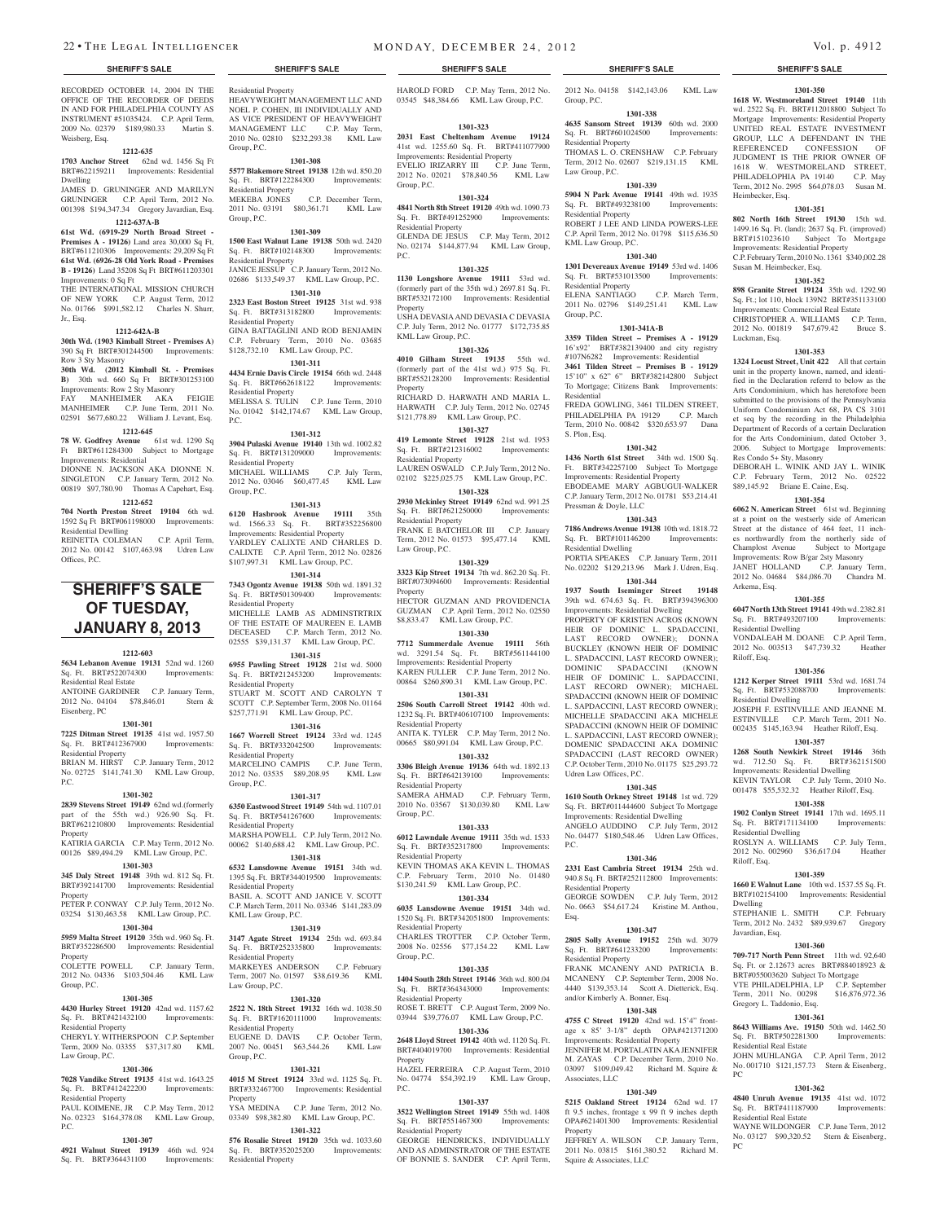#### **SHERIFF'S SALE SHERIFF'S SALE SHERIFF'S SALE SHERIFF'S SALE SHERIFF'S SALE**

RECORDED OCTOBER 14, 2004 IN THE OFFICE OF THE RECORDER OF DEEDS IN AND FOR PHILADELPHIA COUNTY AS INSTRUMENT #51035424. C.P. April Term, 2009 No. 02379 \$189,980.33 Martin S. Weisberg, Esq.

#### **1212-635**

**1703 Anchor Street** 62nd wd. 1456 Sq Ft BRT#622159211 Improvements: Residential Dwelling JAMES D. GRUNINGER AND MARILYN

GRUNINGER C.P. April Term, 2012 No. 001398 \$194,347.34 Gregory Javardian, Esq. **1212-637A-B 61st Wd. (6919-29 North Broad Street -** 

**Premises A - 19126)** Land area 30,000 Sq Ft, BRT#611210306 Improvements: 29,209 Sq Ft **61st Wd. (6926-28 Old York Road - Premises B - 19126)** Land 35208 Sq Ft BRT#611203301 Improvements: 0 Sq Ft

THE INTERNATIONAL MISSION CHURCH OF NEW YORK C.P. August Term, 2012 No. 01766 \$991,582.12 Charles N. Shurr, Jr., Esq.

#### **1212-642A-B**

**30th Wd. (1903 Kimball Street - Premises A)** 390 Sq Ft BRT#301244500 Improvements: Row 3 Sty Masonry

**30th Wd. (2012 Kimball St. - Premises B)** 30th wd. 660 Sq Ft BRT#301253100 Improvements: Row 2 Sty Masonry FAY MANHEIMER AKA FEIGIE MANHEIMER C.P. June Term, 2011 No.

## 02591 \$677,680.22 William J. Levant, Esq. **1212-645**

**78 W. Godfrey Avenue** 61st wd. 1290 Sq Ft BRT#611284300 Subject to Mortgage Improvements: Residential

DIONNE N. JACKSON AKA DIONNE N. SINGLETON C.P. January Term, 2012 No. 00819 \$97,780.90 Thomas A Capehart, Esq. **1212-652**

#### **704 North Preston Street 19104** 6th wd. 1592 Sq Ft BRT#061198000 Improvements: Residential Dewlling REINETTA COLEMAN C.P. April Term,

2012 No. 00142 \$107,463.98 Udren Law Offices, P.C.

## **SHERIFF'S SALE OF TUESDAY, January 8, 2013**

#### **1212-603**

**5634 Lebanon Avenue 19131** 52nd wd. 1260 Sq. Ft. BRT#522074300 Improvements: Residential Real Estate ANTOINE GARDINER C.P. January Term,

2012 No. 04104 \$78,846.01 Stern & Eisenberg, PC **1301-301**

**7225 Ditman Street 19135** 41st wd. 1957.50 Sq. Ft. BRT#412367900 Improvements: Residential Property

BRIAN M. HIRST C.P. January Term, 2012 No. 02725 \$141,741.30 KML Law Group, P.C.

#### **1301-302**

**2839 Stevens Street 19149** 62nd wd.(formerly part of the 55th wd.) 926.90 Sq. Ft. BRT#621210800 Improvements: Residential Property KATIRIA GARCIA C.P. May Term, 2012 No.

00126 \$89,494.29 KML Law Group, P.C. **1301-303**

#### **345 Daly Street 19148** 39th wd. 812 Sq. Ft.

BRT#392141700 Improvements: Residential Property PETER P. CONWAY C.P. July Term, 2012 No.

03254 \$130,463.58 KML Law Group, P.C.

## **1301-304**

**5959 Malta Street 19120** 35th wd. 960 Sq. Ft. BRT#352286500 Improvements: Residential Property

COLETTE POWELL C.P. January Term, 2012 No. 04336 \$103,504.46 KML Law Group, P.C.

### **1301-305**

**4430 Hurley Street 19120** 42nd wd. 1157.62 **2522 N. 18th Street 19132** 16th wd. 1038.50 Ft. BRT#421432100 Improvements Residential Property

#### CHERYL Y. WITHERSPOON C.P. September Term, 2009 No. 03355 \$37,317.80 KML Law Group, P.C.

#### **1301-306**

**7028 Vandike Street 19135** 41st wd. 1643.25 Sq. Ft. BRT#412422200 Improvements: Residential Property PAUL KOIMENE, JR C.P. May Term, 2012

#### No. 02323 \$164,378.08 KML Law Group, P.C.

## **1301-307**

**4921 Walnut Street 19139** 46th wd. 924 Sq. Ft. BRT#364431100 Improvements:

Residential Property HEAVYWEIGHT MANAGEMENT LLC AND NOEL P. COHEN, III INDIVIDUALLY AND AS VICE PRESIDENT OF HEAVYWEIGHT MANAGEMENT LLC C.P. May Term, 2010 No. 02810 \$232,293.38 KML Law Group, P.C.

**1301-308**

**5577 Blakemore Street 19138** 12th wd. 850.20 Sq. Ft. BRT#122284300 Improvements: Residential Property<br>MEKEBA JONES

#### C.P. December Term, 2011 No. 03191 \$80,361.71 KML Law Group, P.C.

**1301-309 1500 East Walnut Lane 19138** 50th wd. 2420 Sq. Ft. BRT#102148300 Improvements: Residential Property JANICE JESSUP C.P. January Term, 2012 No.

02686 \$133,549.37 KML Law Group, P.C. **1301-310 2323 East Boston Street 19125** 31st wd. 938

Sq. Ft. BRT#313182800 Improvements: Residential Property GINA BATTAGLINI AND ROD BENJAMIN C.P. February Term, 2010 No. 03685 \$128,732.10 KML Law Group, P.C.

#### **1301-311**

**4434 Ernie Davis Circle 19154** 66th wd. 2448 Sq. Ft. BRT#662618122 Improvements: Residential Property MELISSA S. TULIN C.P. June Term, 2010 No. 01042 \$142,174.67 KML Law Group, P.C.

#### **1301-312**

**3904 Pulaski Avenue 19140** 13th wd. 1002.82 Sq. Ft. BRT#131209000 Improvements: Residential Property MICHAEL WILLIAMS C.P. July Term, 2012 No. 03046 \$60,477.45 KML Law Group, P.C.

#### **1301-313**

**6120 Hasbrook Avenue 19111** 35th wd. 1566.33 Sq. Ft. BRT#352256800 Improvements: Residential Property YARDLEY CALIXTE AND CHARLES D. CALIXTE C.P. April Term, 2012 No. 02826 \$107,997.31 KML Law Group, P.C.

**1301-314**

**7343 Ogontz Avenue 19138** 50th wd. 1891.32 Sq. Ft. BRT#501309400 Improvements: Residential Property MICHELLE LAMB AS ADMINSTRTRIX OF THE ESTATE OF MAUREEN E. LAMB DECEASED C.P. March Term, 2012 No. 02555 \$39,131.37 KML Law Group, P.C.

**1301-315 6955 Pawling Street 19128** 21st wd. 5000 Sq. Ft. BRT#212453200 Improvements: Residential Property STUART M. SCOTT AND CAROLYN T

SCOTT C.P. September Term, 2008 No. 01164 \$257,771.91 KML Law Group, P.C. **1301-316**

**1667 Worrell Street 19124** 33rd wd. 1245 Sq. Ft. BRT#332042500 Improvements: Residential Property MARCELINO CAMPIS C.P. June Term,

2012 No. 03535 \$89,208.95 KML Law Group, P.C. **1301-317**

**6350 Eastwood Street 19149** 54th wd. 1107.01 Sq. Ft. BRT#541267600 Improvements: Residential Property MARSHA POWELL C.P. July Term, 2012 No. 00062 \$140,688.42 KML Law Group, P.C.

#### **1301-318**

**6532 Lansdowne Avenue 19151** 34th wd. 1395 Sq. Ft. BRT#344019500 Improvements: Residential Property BASIL A. SCOTT AND JANICE V. SCOTT C.P. March Term, 2011 No. 03346 \$141,283.09 KML Law Group, P.C.

#### **1301-319**

**3147 Agate Street 19134** 25th wd. 693.84 Sq. Ft. BRT#252335800 Improvements: Residential Property MARKEYES ANDERSON C.P. February

Term, 2007 No. 01597 \$38,619.36 KML Law Group, P.C. **1301-320**

Sq. Ft. BRT#1620111000 Improvements: Residential Property EUGENE D. DAVIS C.P. October Term, 2007 No. 00451 \$63,544.26 KML Law Group, P.C.

#### **1301-321**

**4015 M Street 19124** 33rd wd. 1125 Sq. Ft. BRT#332467700 Improvements: Residential Property YSA MEDINA C.P. June Term, 2012 No. 03349 \$98,382.80 KML Law Group, P.C.

**1301-322 576 Rosalie Street 19120** 35th wd. 1033.60

Sq. Ft. BRT#352025200 Improvements: Residential Property GEORGE HENDRICKS, INDIVIDUALLY AND AS ADMINSTRATOR OF THE ESTATE OF BONNIE S. SANDER C.P. April Term,

HAROLD FORD C.P. May Term, 2012 No. 03545 \$48,384.66 KML Law Group, P.C.

2012 No. 04158 \$142,143.06 KML Law

**1301-350 1618 W. Westmoreland Street 19140** 11th wd. 2522 Sq. Ft. BRT#112018800 Subject To Mortgage Improvements: Residential Property UNITED REAL ESTATE INVESTMENT GROUP, LLC A DEFENDANT IN THE REFERENCED CONFESSION OF JUDGMENT IS THE PRIOR OWNER OF 1618 W. WESTMORELAND STREET, PHILADELOPHIA PA 19140 C.P. May Term, 2012 No. 2995 \$64,078.03 Susan M.

**1301-351 802 North 16th Street 19130** 15th wd. 1499.16 Sq. Ft. (land); 2637 Sq. Ft. (improved) BRT#151023610 Subject To Mortgage Improvements: Residential Property C.P. February Term, 2010 No. 1361 \$340,002.28

**1301-352 898 Granite Street 19124** 35th wd. 1292.90 Sq. Ft.; lot 110, block 139N2 BRT#351133100 Improvements: Commercial Real Estate CHRISTOPHER A. WILLIAMS C.P. Term, 2012 No. 001819 \$47,679.42 Bruce S.

**1301-353 1324 Locust Street, Unit 422** All that certain unit in the property known, named, and identified in the Declaration referrd to below as the Arts Condominium, which has heretofore been submitted to the provisions of the Pennsylvania Uniform Condominium Act 68, PA CS 3101 et seq by the recording in the Philadelphia Department of Records of a certain Declaration for the Arts Condominium, dated October 3, 2006. Subject to Mortgage Improvements:

DEBORAH L. WINIK AND JAY L. WINIK C.P. February Term, 2012 No. 02522 \$89,145.92 Briane E. Caine, Esq. **1301-354 6062 N. American Street** 61st wd. Beginning at a point on the westserly side of American Street at the distance of 464 feet, 11 inches northwardly from the northerly side of Champlost Avenue Subject to Mortgage Improvements: Row B/gar 2sty Masonry JANET HOLLAND C.P. January Term, 2012 No. 04684 \$84,086.70 Chandra M.

**1301-355 6047 North 13th Street 19141** 49th wd. 2382.81 Sq. Ft. BRT#493207100 Improvements:

VONDALEAH M. DOANE C.P. April Term, 2012 No. 003513 \$47,739.32 Heather

**1301-356 1212 Kerper Street 19111** 53rd wd. 1681.74 Sq. Ft. BRT#532088700 Improvements:

JOSEPH F. ESTINVILLE AND JEANNE M. ESTINVILLE C.P. March Term, 2011 No. 002435 \$145,163.94 Heather Riloff, Esq. **1301-357 1268 South Newkirk Street 19146** 36th wd. 712.50 Sq. Ft. BRT#362151500 Improvements: Residential Dwelling KEVIN TAYLOR C.P. July Term, 2010 No. 001478 \$55,532.32 Heather Riloff, Esq. **1301-358 1902 Conlyn Street 19141** 17th wd. 1695.11 Sq. Ft. BRT#171134100 Improvements:

ROSLYN A. WILLIAMS C.P. July Term, 2012 No. 002960 \$36,617.04 Heather

**1301-359 1660 E Walnut Lane** 10th wd. 1537.55 Sq. Ft. BRT#102154100 Improvements: Residential

STEPHANIE L. SMITH C.P. February Term, 2012 No. 2432 \$89,939.67 Gregory

**1301-360 709-717 North Penn Street** 11th wd. 92,640 Sq. Ft. or 2.12673 acres BRT#884018923 & BRT#055003620 Subject To Mortgage VTE PHILADELPHIA, LP C.P. September Term, 2011 No. 00298 \$16,876,972.36

**1301-361 8643 Williams Ave. 19150** 50th wd. 1462.50 Sq. Ft. BRT#502281300 Improvements:

JOHN MUHLANGA C.P. April Term, 2012 No. 001710 \$121,157.73 Stern & Eisenberg,

**1301-362 4840 Unruh Avenue 19135** 41st wd. 1072 Sq. Ft. BRT#411187900 Improvements:

WAYNE WILDONGER C.P. June Term, 2012 No. 03127 \$90,320.52 Stern & Eisenberg,

Heimbecker, Esq.

Luckman, Esq.

Susan M. Heimbecker, Esq.

Res Condo 5+ Sty, Masonry

Arkema, Esq.

Riloff, Esq.

Residential Dwelling

Residential Dwelling

Residential Dwelling

Riloff, Esq.

Dwelling

Javardian, Esq.

Gregory L. Taddonio, Esq.

Residential Real Estate

Residential Real Estate

PC

PC

**1301-338 4635 Sansom Street 19139** 60th wd. 2000

THOMAS L. O. CRENSHAW C.P. February Term, 2012 No. 02607 \$219,131.15 KML

**1301-339 5904 N Park Avenue 19141** 49th wd. 1935 Sq. Ft. BRT#493238100 Improvements:

ROBERT J LEE AND LINDA POWERS-LEE C.P. April Term, 2012 No. 01798 \$115,636.50

**1301-340 1301 Devereaux Avenue 19149** 53rd wd. 1406 Sq. Ft. BRT#531013500 Improvements:

ELENA SANTIAGO C.P. March Term, 2011 No. 02796 \$149,251.41 KML Law

**1301-341A-B 3359 Tilden Street – Premises A - 19129**  16'x92' BRT#382139400 and city registry #107N6282 Improvements: Residential **3461 Tilden Street – Premises B - 19129**  15'10" x 62" 6" BRT#382142800 Subject To Mortgage; Citizens Bank Improvements:

FREDA GOWLING, 3461 TILDEN STREET, PHILADELPHIA PA 19129 C.P. March Term, 2010 No. 00842 \$320,653.97 Dana

**1301-342 1436 North 61st Street** 34th wd. 1500 Sq. Ft. BRT#342257100 Subject To Mortgage Improvements: Residential Property EBODEAME MARY AGBUGUI-WALKER C.P. January Term, 2012 No. 01781 \$53,214.41

**1301-343 7186 Andrews Avenue 19138** 10th wd. 1818.72 Sq. Ft. BRT#101146200 Improvements:

PORTIA SPEAKES C.P. January Term, 2011 No. 02202 \$129,213.96 Mark J. Udren, Esq. **1301-344 1937 South Iseminger Street 19148**  39th wd. 674.63 Sq. Ft. BRT#394396300 Improvements: Residential Dwelling PROPERTY OF KRISTEN ACROS (KNOWN HEIR OF DOMINIC L. SPADACCINI, LAST RECORD OWNER); DONNA BUCKLEY (KNOWN HEIR OF DOMINIC L. SPADACCINI, LAST RECORD OWNER); DOMINIC SPADACCINI (KNOWN HEIR OF DOMINIC L. SAPDACCINI, LAST RECORD OWNER); MICHAEL SPADACCINI (KNOWN HEIR OF DOMINIC L. SAPDACCINI, LAST RECORD OWNER); MICHELLE SPADACCINI AKA MICHELE SPADACCINI (KNOWN HEIR OF DOMINIC L. SAPDACCINI, LAST RECORD OWNER); DOMENIC SPADACCINI AKA DOMINIC SPADACCINI (LAST RECORD OWNER) C.P. October Term, 2010 No. 01175 \$25,293.72

Sq. Ft. BRT#601024500 Residential Property

Group, P.C.

Law Group, P.C.

Residential Property

KML Law Group, P.C.

Residential Property

Group, P.C.

Residential

S. Plon, Esq.

Pressman & Doyle, LLC

Residential Dwelling

Udren Law Offices, P.C.

Residential Property

Residential Property

Associates, LLC

Squire & Associates, LLC

**Property** 

and/or Kimberly A. Bonner, Esq.

P.C.

Esq.

**1301-345 1610 South Orkney Street 19148** 1st wd. 729 Sq. Ft. BRT#011444600 Subject To Mortgage Improvements: Residential Dwelling ANGELO AUDDINO C.P. July Term, 2012 No. 04477 \$180,548.46 Udren Law Offices,

**1301-346 2331 East Cambria Street 19134** 25th wd. 940.8 Sq. Ft. BRT#252112800 Improvements:

GEORGE SOWDEN C.P. July Term, 2012. No. 0663 \$54,617.24 Kristine M. Anthou,

**1301-347 2805 Solly Avenue 19152** 25th wd. 3079 Sq. Ft. BRT#641233200 Improvements:

FRANK MCANENY AND PATRICIA B. MCANENY C.P. September Term, 2008 No. 4440 \$139,353.14 Scott A. Dietterick, Esq.

**1301-348 4755 C Street 19120** 42nd wd. 15'4" frontage x 85' 3-1/8" depth OPA#421371200 Improvements: Residential Property JENNIFER M. PORTALATIN AKA JENNIFER M. ZAYAS C.P. December Term, 2010 No. 03097 \$109,049.42 Richard M. Squire &

**1301-349 5215 Oakland Street 19124** 62nd wd. 17 ft 9.5 inches, frontage x 99 ft 9 inches depth OPA#621401300 Improvements: Residential

JEFFREY A. WILSON C.P. January Term, 2011 No. 03815 \$161,380.52 Richard M.

#### **1301-323**

**2031 East Cheltenham Avenue 19124**  41st wd. 1255.60 Sq. Ft. BRT#411077900 Improvements: Residential Property EVELIO IRIZARRY III C.P. June Term, 2012 No. 02021 \$78,840.56 KML Law Group, P.C.

#### **1301-324**

**4841 North 8th Street 19120** 49th wd. 1090.73 Sq. Ft. BRT#491252900 Improvements: Residential Property Residential Property<br>GLENDA DE JESUS C.P. May Term, 2012 No. 02174 \$144,877.94 KML Law Group, P.C.

#### **1301-325**

**1130 Longshore Avenue 19111** 53rd wd. (formerly part of the 35th wd.) 2697.81 Sq. Ft. BRT#532172100 Improvements: Residential Property USHA DEVASIA AND DEVASIA C DEVASIA C.P. July Term, 2012 No. 01777 \$172,735.85 KML Law Group, P.C.

## **1301-326**

**4010 Gilham Street 19135** 55th wd. (formerly part of the 41st wd.) 975 Sq. Ft. BRT#552128200 Improvements: Residential Property RICHARD D. HARWATH AND MARIA L.

HARWATH C.P. July Term, 2012 No. 02745 \$121,778.89 KML Law Group, P.C.

## **1301-327**

**419 Lemonte Street 19128** 21st wd. 1953 Sq. Ft. BRT#212316002 Improvements: Residential Property LAUREN OSWALD C.P. July Term, 2012 No. 02102 \$225,025.75 KML Law Group, P.C.

**1301-328 2930 Mckinley Street 19149** 62nd wd. 991.25 Sq. Ft. BRT#621250000 Improvements: Residential Property

FRANK E BATCHELOR III C.P. January Term, 2012 No. 01573 \$95,477.14 KML Law Group, P.C.

**1301-329**

**3323 Kip Street 19134** 7th wd. 862.20 Sq. Ft. BRT#073094600 Improvements: Residential Property HECTOR GUZMAN AND PROVIDENCIA GUZMAN C.P. April Term, 2012 No. 02550 \$8,833.47 KML Law Group, P.C.

**1301-330 7712 Summerdale Avenue 19111** 56th wd. 3291.54 Sq. Ft. BRT#561144100 Improvements: Residential Property KAREN FULLER C.P. June Term, 2012 No. 00864 \$260,890.31 KML Law Group, P.C.

**1301-331 2506 South Carroll Street 19142** 40th wd. 1232 Sq. Ft. BRT#406107100 Improvements: Residential Property ANITA K. TYLER C.P. May Term, 2012 No.

00665 \$80,991.04 KML Law Group, P.C. **1301-332**

**3306 Bleigh Avenue 19136** 64th wd. 1892.13 Sq. Ft. BRT#642139100 Improvements: Residential Property<br>SAMERA AHMAD C.P. February Term,

2010 No. 03567 \$130,039.80 KML Law Group, P.C. **1301-333**

#### **6012 Lawndale Avenue 19111** 35th wd. 1533 Sq. Ft. BRT#352317800 Improvements: Residential Property

KEVIN THOMAS AKA KEVIN L. THOMAS C.P. February Term, 2010 No. 01480 \$130,241.59 KML Law Group, P.C.

## **1301-334**

**6035 Lansdowne Avenue 19151** 34th wd. 1520 Sq. Ft. BRT#342051800 Improvements: Residential Property CHARLES TROTTER C.P. October Term,

2008 No. 02556 \$77,154.22 KML Law Group, P.C. **1301-335**

Property

Residential Property

 $PC$ .

**1404 South 28th Street 19146** 36th wd. 800.04 Sq. Ft. BRT#364343000 Improvements: Residential Property ROSE T. BRETT C.P. August Term, 2009 No.

#### 03944 \$39,776.07 KML Law Group, P.C. **1301-336 2648 Lloyd Street 19142** 40th wd. 1120 Sq. Ft.

BRT#404019700 Improvements: Residential

HAZEL FERREIRA C.P. August Term, 2010 No. 04774 \$54,392.19 KML Law Group,

**1301-337 3522 Wellington Street 19149** 55th wd. 1408 Sq. Ft. BRT#551467300 Improvements: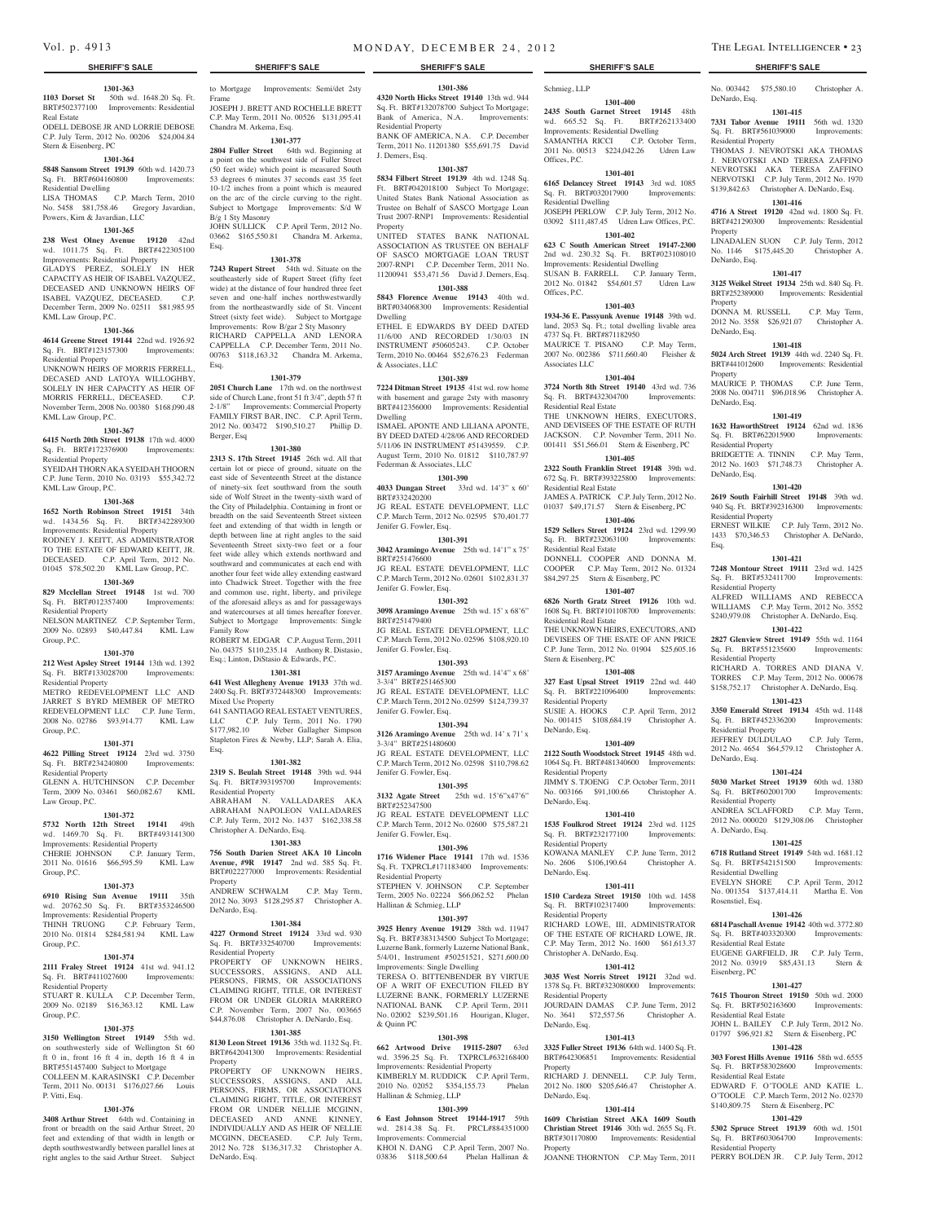**1301-363 1103 Dorset St** 50th wd. 1648.20 Sq. Ft. BRT#502377100 Improvements: Residential Real Estate

Frame

Chandra M. Arkema, Esq.

B/g 1 Sty Masonry

Esq.

Esq.

Berger, Esq

Family Row

Mixed Use Property

Residential Property

Christopher A. DeNardo, Esq.

Property<br>ANDREW SCHWALM

DeNardo, Esq.

Property

DeNardo, Esq.

Residential Property

Esq.

**1301-377 2804 Fuller Street** 64th wd. Beginning at a point on the southwest side of Fuller Street (50 feet wide) which point is measured South 53 degrees 6 minutes 37 seconds east 35 feet 10-1/2 inches from a point which is meaured on the arc of the circle curving to the right. Subject to Mortgage Improvements: S/d W

JOHN SULLICK C.P. April Term, 2012 No. 03662 \$165,550.81 Chandra M. Arkema,

**1301-378 7243 Rupert Street** 54th wd. Situate on the southeasterly side of Rupert Street (fifty feet wide) at the distance of four hundred three feet seven and one-half inches northwestwardly from the northeastwardly side of St. Vincent Street (sixty feet wide). Subject to Mortgage Improvements: Row B/gar 2 Sty Masonry RICHARD CAPPELLA AND LENORA CAPPELLA C.P. December Term, 2011 No. 00763 \$118,163.32 Chandra M. Arkema,

**1301-379 2051 Church Lane** 17th wd. on the northwest side of Church Lane, front 51 ft 3/4", depth 57 ft 2-1/8" Improvements: Commercial Property FAMILY FIRST BAR, INC. C.P. April Term, 2012 No. 003472 \$190,510.27 Phillip D.

**1301-380 2313 S. 17th Street 19145** 26th wd. All that certain lot or piece of ground, situate on the east side of Seventeenth Street at the distance of ninety-six feet southward from the south side of Wolf Street in the twenty-sixth ward of the City of Philadelphia. Containing in front or breadth on the said Seventeenth Street sixteen feet and extending of that width in length or depth between line at right angles to the said Seventeenth Street sixty-two feet or a four feet wide alley which extends northward and southward and communicates at each end with another four feet wide alley extending eastward into Chadwick Street. Together with the free and common use, right, liberty, and privilege of the aforesaid alleys as and for passageways and watercourses at all times hereafter forever. Subject to Mortgage Improvements: Single

ROBERT M. EDGAR C.P. August Term, 2011 No. 04375 \$110,235.14 Anthony R. Distasio, Esq.; Linton, DiStasio & Edwards, P.C. **1301-381 641 West Allegheny Avenue 19133** 37th wd. 2400 Sq. Ft. BRT#372448300 Improvements:

641 SANTIAGO REAL ESTAET VENTURES, LLC C.P. July Term, 2011 No. 1790<br>\$177,982.10 Weber Gallagher Simpson

Stapleton Fires & Newby, LLP; Sarah A. Elia,

**1301-382 2319 S. Beulah Street 19148** 39th wd. 944 Sq. Ft. BRT#393195700 Improvements:

ABRAHAM N. VALLADARES AKA ABRAHAM NAPOLEON VALLADARES C.P. July Term, 2012 No. 1437 \$162,338.58

**1301-383 756 South Darien Street AKA 10 Lincoln Avenue, #9R 19147** 2nd wd. 585 Sq. Ft. BRT#022277000 Improvements: Residential

ANDREW SCHWALM C.P. May Term, 2012 No. 3093 \$128,295.87 Christopher A.

**1301-384 4227 Ormond Street 19124** 33rd wd. 930 Sq. Ft. BRT#332540700 Improvements:

PROPERTY OF UNKNOWN HEIRS, SUCCESSORS, ASSIGNS, AND ALL PERSONS, FIRMS, OR ASSOCIATIONS CLAIMING RIGHT, TITLE, OR INTEREST FROM OR UNDER GLORIA MARRERO C.P. November Term, 2007 No. 003665 \$44,876.08 Christopher A. DeNardo, Esq. **1301-385 8130 Leon Street 19136** 35th wd. 1132 Sq. Ft. BRT#642041300 Improvements: Residential

PROPERTY OF UNKNOWN HEIRS, SUCCESSORS, ASSIGNS, AND ALL PERSONS, FIRMS, OR ASSOCIATIONS CLAIMING RIGHT, TITLE, OR INTEREST FROM OR UNDER NELLIE MCGINN, DECEASED AND ANNE KINNEY, INDIVIDUALLY AND AS HEIR OF NELLIE MCGINN, DECEASED. C.P. July Term, 2012 No. 728 \$136,317.32 Christopher A.

Weber Gallagher Simpson

ODELL DEBOSE JR AND LORRIE DEBOSE C.P. July Term, 2012 No. 00206 \$24,004.84 Stern & Eisenberg, PC

#### **1301-364**

**5848 Sansom Street 19139** 60th wd. 1420.73 Sq. Ft. BRT#604160800 Improvements: Residential Dwelling

LISA THOMAS C.P. March Term, 2010 No. 5458 \$81,758.46 Gregory Javardian,

## **1301-365**

Powers, Kirn & Javardian, LLC

**238 West Olney Avenue 19120** 42nd wd. 1011.75 Sq. Ft. BRT#422305100

Improvements: Residential Property GLADYS PEREZ, SOLELY IN HER CAPACITY AS HEIR OF ISABEL VAZQUEZ, DECEASED AND UNKNOWN HEIRS OF ISABEL VAZQUEZ, DECEASED. C.P. December Term, 2009 No. 02511 \$81,985.95 KML Law Group, P.C.

#### **1301-366**

**4614 Greene Street 19144** 22nd wd. 1926.92 Sq. Ft. BRT#123157300 Improvements: Residential Property UNKNOWN HEIRS OF MORRIS FERRELL, DECASED AND LATOYA WILLOGHBY, SOLELY IN HER CAPACITY AS HEIR OF MORRIS FERRELL, DECEASED. C.P. November Term, 2008 No. 00380 \$168,090.48 KML Law Group, P.C.

#### **1301-367**

**6415 North 20th Street 19138** 17th wd. 4000 Sq. Ft. BRT#172376900 Improvements: Residential Property

SYEIDAH THORN AKA SYEIDAH THOORN C.P. June Term, 2010 No. 03193 \$55,342.72 KML Law Group, P.C.

#### **1301-368**

**1652 North Robinson Street 19151** 34th wd. 1434.56 Sq. Ft. BRT#342289300 Improvements: Residential Property RODNEY J. KEITT, AS ADMINISTRATOR TO THE ESTATE OF EDWARD KEITT, JR. DECEASED. C.P. April Term, 2012 No. 01045 \$78,502.20 KML Law Group, P.C.

#### **1301-369**

**829 Mcclellan Street 19148** 1st wd. 700 Sq. Ft. BRT#012357400 Improvements: Residential Property NELSON MARTINEZ C.P. September Term,

2009 No. 02893 \$40,447.84 KML Law Group, P.C.

#### **1301-370**

**212 West Apsley Street 19144** 13th wd. 1392 Sq. Ft. BRT#133028700 Improvements: Residential Property METRO REDEVELOPMENT LLC AND JARRET S BYRD MEMBER OF METRO REDEVELOPMENT LLC C.P. June Term, 2008 No. 02786 \$93,914.77 KML Law

Group, P.C.

**1301-371 4622 Pilling Street 19124** 23rd wd. 3750 Sq. Ft. BRT#234240800 Improvements: Residential Property GLENN A. HUTCHINSON C.P. December

Term, 2009 No. 03461 \$60,082.67 KML Law Group, P.C. **1301-372**

**5732 North 12th Street 19141** 49th wd. 1469.70 Sq. Ft. BRT#493141300 Improvements: Residential Property CHERIE JOHNSON C.P. January Term, 2011 No. 01616 \$66,595.59 KML Law

#### Group, P.C. **1301-373**

**6910 Rising Sun Avenue 19111** 35th wd. 20762.50 Sq. Ft. BRT#353246500 Improvements: Residential Property THINH TRUONG C.P. February Term,

## 2010 No. 01814 \$284,581.94 KML Law Group, P.C.

## **1301-374**

**2111 Fraley Street 19124** 41st wd. 941.12 Sq. Ft. BRT#411027600 Improvements: Residential Property

STUART R. KULLA C.P. December Term, 2009 No. 02189 \$16,363.12 KML Law Group, P.C.

## **1301-375**

**3150 Wellington Street 19149** 55th wd. on southwesterly side of Wellington St 60 ft 0 in, front  $16$  ft 4 in, depth  $16$  ft 4 in BRT#551457400 Subject to Mortgage COLLEEN M. KARASINSKI C.P. December Term, 2011 No. 00131 \$176,027.66 Louis P. Vitti, Esq.

#### **1301-376**

**3408 Arthur Street** 64th wd. Containing in front or breadth on the said Arthur Street, 20 feet and extending of that width in length or depth southwestwardly between parallel lines at right angles to the said Arthur Street. Subject

to Mortgage Improvements: Semi/det 2sty JOSEPH J. BRETT AND ROCHELLE BRETT C.P. May Term, 2011 No. 00526 \$131,095.41 **1301-386 4320 North Hicks Street 19140** 13th wd. 944 Sq. Ft. BRT#132078700 Subject To Mortgage; Bank of America, N.A. Improvements: Residential Property

BANK OF AMERICA, N.A. C.P. December Term, 2011 No. 11201380 \$55,691.75 David J. Demers, Esq.

## **1301-387**

**5834 Filbert Street 19139** 4th wd. 1248 Sq. Ft. BRT#042018100 Subject To Mortgage; United States Bank National Association as Trustee on Behalf of SASCO Mortgage Loan Trust 2007-RNP1 Improvements: Residential Property UNITED STATES BANK NATIONAL

ASSOCIATION AS TRUSTEE ON BEHALF OF SASCO MORTGAGE LOAN TRUST 2007-RNP1 C.P. December Term, 2011 No. 11200941 \$53,471.56 David J. Demers, Esq. **1301-388**

**5843 Florence Avenue 19143** 40th wd. BRT#034068300 Improvements: Residential Dwelling

ETHEL E EDWARDS BY DEED DATED 11/6/00 AND RECORDED 1/30/03 IN INSTRUMENT #50605243. C.P. October Term, 2010 No. 00464 \$52,676.23 Federman & Associates, LLC

#### **1301-389**

**7224 Ditman Street 19135** 41st wd. row home with basement and garage 2sty with masonry BRT#412356000 Improvements: Residential Dwelling ISMAEL APONTE AND LILIANA APONTE,

BY DEED DATED 4/28/06 AND RECORDED 5/11/06 IN INSTRUMENT #51439559. C.P. August Term, 2010 No. 01812 \$110,787.97 Federman & Associates, LLC

## **1301-390**

**4033 Dungan Street** 33rd wd. 14'3" x 60' BRT#332420200 JG REAL ESTATE DEVELOPMENT, LLC C.P. March Term, 2012 No. 02595 \$70,401.77

Jenifer G. Fowler, Esq. **1301-391**

**3042 Aramingo Avenue** 25th wd. 14'1" x 75' BRT#251476600 JG REAL ESTATE DEVELOPMENT, LLC C.P. March Term, 2012 No. 02601 \$102,831.37 Jenifer G. Fowler, Esq.

**1301-392**

**3098 Aramingo Avenue** 25th wd. 15' x 68'6" BRT#251479400 JG REAL ESTATE DEVELOPMENT, LLC C.P. March Term, 2012 No. 02596 \$108,920.10

### Jenifer G. Fowler, Esq. **1301-393**

**3157 Aramingo Avenue** 25th wd. 14'4" x 68' 3-3/4" BRT#251465300 JG REAL ESTATE DEVELOPMENT, LLC C.P. March Term, 2012 No. 02599 \$124,739.37 Jenifer G. Fowler, Esq.

#### **1301-394**

**3126 Aramingo Avenue** 25th wd. 14' x 71' x 3-3/4" BRT#251480600 JG REAL ESTATE DEVELOPMENT, LLC C.P. March Term, 2012 No. 02598 \$110,798.62 Jenifer G. Fowler, Esq.

## **1301-395**

**3132 Agate Street** 25th wd. 15'6"x47'6" BRT#252347500 JG REAL ESTATE DEVELOPMENT LLC C.P. March Term, 2012 No. 02600 \$75,587.21 Jenifer G. Fowler, Esq.

#### **1301-396**

**1716 Widener Place 19141** 17th wd. 1536 Sq. Ft. TXPRCL#171183400 Improvements: Residential Property STEPHEN V. JOHNSON C.P. September Term, 2005 No. 02224 \$66,062.52 Phelan

#### Hallinan & Schmieg, LLP **1301-397**

**3925 Henry Avenue 19129** 38th wd. 11947 Sq. Ft. BRT#383134500 Subject To Mortgage; Luzerne Bank, formerly Luzerne National Bank, 5/4/01, Instrument #50251521, \$271,600.00 Improvements: Single Dwelling TERESA O. BITTENBENDER BY VIRTUE

OF A WRIT OF EXECUTION FILED BY LUZERNE BANK, FORMERLY LUZERNE NATIONAL BANK C.P. April Term, 2011 No. 02002 \$239,501.16 Hourigan, Kluger, & Quinn PC

#### **1301-398**

**662 Artwood Drive 19115-2807** 63rd wd. 3596.25 Sq. Ft. TXPRCL#632168400 Improvements: Residential Property KIMBERLY M. RUDDICK C.P. April Term,<br>2010 No. 02052 \$354.155.73 Phelan 2010 No. 02052 \$354,155.73 Hallinan & Schmieg, LLP

#### **1301-399**

**6 East Johnson Street 19144-1917** 59th wd. 2814.38 Sq. Ft. PRCL#884351000 Improvements: Commercial KHOI N. DANG C.P. April Term, 2007 No. 03836 \$118,500.64 Phelan Hallinan &

#### Schmieg, LLP **1301-400**

**2435 South Garnet Street 19145** 48th wd. 665.52 Sq. Ft. BRT#262133400 Improvements: Residential Dwelling SAMANTHA RICCI C.P. October Term, 2011 No. 00513 \$224,042.26 Udren Law Offices, P.C.

No. 003442 \$75,580.10 Christopher A.

**1301-415 7331 Tabor Avenue 19111** 56th wd. 1320 Sq. Ft. BRT#561039000 Improvements:

THOMAS J. NEVROTSKI AKA THOMAS J. NERVOTSKI AND TERESA ZAFFINO NEVROTSKI AKA TERESA ZAFFINO NERVOTSKI C.P. July Term, 2012 No. 1970 \$139,842.63 Christopher A. DeNardo, Esq. **1301-416 4716 A Street 19120** 42nd wd. 1800 Sq. Ft. BRT#421290300 Improvements: Residential

LINADALEN SUON C.P. July Term, 2012 No. 1146 \$175,445.20 Christopher A.

**1301-417 3125 Weikel Street 19134** 25th wd. 840 Sq. Ft. BRT#252389000 Improvements: Residential

DONNA M. RUSSELL C.P. May Term, 2012 No. 3558 \$26,921.07 Christopher A.

**1301-418 5024 Arch Street 19139** 44th wd. 2240 Sq. Ft. BRT#441012600 Improvements: Residential

MAURICE P. THOMAS C.P. June Term, 2008 No. 004711 \$96,018.96 Christopher A.

**1301-419 1632 HaworthStreet 19124** 62nd wd. 1836<br>Sq. Ft. BRT#622015900 Improvements:

BRIDGETTE A. TINNIN C.P. May Term, 2012 No. 1603 \$71,748.73 Christopher A.

**1301-420 2619 South Fairhill Street 19148** 39th wd. 940 Sq. Ft. BRT#392316300 Improvements:

ERNEST WILKIE C.P. July Term, 2012 No. 1433 \$70,346.53 Christopher A. DeNardo,

**1301-421 7248 Montour Street 19111** 23rd wd. 1425 Sq. Ft. BRT#532411700 Improvements:

ALFRED WILLIAMS AND REBECCA WILLIAMS C.P. May Term, 2012 No. 3552 \$240,979.08 Christopher A. DeNardo, Esq. **1301-422 2827 Glenview Street 19149** 55th wd. 1164 Sq. Ft. BRT#551235600 Improvements:

RICHARD A. TORRES AND DIANA V. TORRES C.P. May Term, 2012 No. 000678 \$158,752.17 Christopher A. DeNardo, Esq. **1301-423 3350 Emerald Street 19134** 45th wd. 1148 Sq. Ft. BRT#452336200 Improvements:

JEFFREY DULDULAO C.P. July Term, 2012 No. 4654 \$64,579.12 Christopher A.

**1301-424 5030 Market Street 19139** 60th wd. 1380 Sq. Ft. BRT#602001700 Improvements:

ANDREA SCLAFFORD C.P. May Term, 2012 No. 000020 \$129,308.06 Christopher

**1301-425 6718 Rutland Street 19149** 54th wd. 1681.12 Sq. Ft. BRT#542151500 Improvements:

EVELYN SHORE C.P. April Term, 2012 No. 001354 \$137,414.11 Martha E. Von

**1301-426 6814 Paschall Avenue 19142** 40th wd. 3772.80 Sq. Ft. BRT#403320300 Improvements:

EUGENE GARFIELD, JR C.P. July Term, 2012 No. 03919 \$85,431.13 Stern &

**1301-427 7615 Thouron Street 19150** 50th wd. 2000 Sq. Ft. BRT#502163600 Improvements:

JOHN L. BAILEY C.P. July Term, 2012 No. 01797 \$96,921.82 Stern & Eisenberg, PC **1301-428 303 Forest Hills Avenue 19116** 58th wd. 6555

EDWARD F. O'TOOLE AND KATIE L. O'TOOLE C.P. March Term, 2012 No. 02370 \$140,809.75 Stern & Eisenberg, PC **1301-429 5302 Spruce Street 19139** 60th wd. 1501 Sq. Ft. BRT#603064700 Improvements:

PERRY BOLDEN JR. C.P. July Term, 2012

DeNardo, Esq.

Property

Property

**Property** 

DeNardo, Esq.

DeNardo, Esq.

DeNardo, Esq.

DeNardo, Esq.

Residential Property

Residential Property

Residential Property

Residential Property

Residential Property

A. DeNardo, Esq.

Residential Dwelling

Residential Real Estate

Residential Real Estate

Sq. Ft. BRT#583028600 Residential Real Estate

Residential Property

Rosenstiel, Esq.

Eisenberg, PC

DeNardo, Esq.

Esq.

Sq. Ft. BRT#622015900 Residential Property

Residential Property

## **1301-401**

**6165 Delancey Street 19143** 3rd wd. 1085 Sq. Ft. BRT#032017900 Improvements: Residential Dwelling JOSEPH PERLOW C.P. July Term, 2012 No.

03092 \$111,487.45 Udren Law Offices, P.C. **1301-402**

#### **623 C South American Street 19147-2300**  2nd wd. 230.32 Sq. Ft. BRT#023108010 Improvements: Residential Dwelling SUSAN B. FARRELL C.P. January Term, 2012 No. 01842 \$54,601.57 Udren Law Offices, P.C.

## **1301-403**

**1934-36 E. Passyunk Avenue 19148** 39th wd. land, 2053 Sq. Ft.; total dwelling livable area 4737 Sq. Ft. BRT#871182950 MAURICE T. PISANO C.P. May Term, 2007 No. 002386 \$711,660.40 Fleisher & Associates LLC

#### **1301-404**

**3724 North 8th Street 19140** 43rd wd. 736 Sq. Ft. BRT#432304700 Improvements: Residential Real Estate THE UNKNOWN HEIRS, EXECUTORS, AND DEVISEES OF THE ESTATE OF RUTH JACKSON. C.P. November Term, 2011 No.

#### 001411 \$51,566.01 Stern & Eisenberg, PC **1301-405**

**2322 South Franklin Street 19148** 39th wd. 672 Sq. Ft. BRT#393225800 Improvements: Residential Real Estate

JAMES A. PATRICK C.P. July Term, 2012 No. 01037 \$49,171.57 Stern & Eisenberg, PC **1301-406**

**1529 Sellers Street 19124** 23rd wd. 1299.90 Sq. Ft. BRT#232063100 Improvements: Residential Real Estate DONNELL COOPER AND DONNA M.

COOPER C.P. May Term, 2012 No. 01324 \$84,297.25 Stern & Eisenberg, PC **1301-407**

### **6826 North Gratz Street 19126** 10th wd.

1608 Sq. Ft. BRT#101108700 Improvements: Residential Real Estate THE UNKNOWN HEIRS, EXECUTORS, AND DEVISEES OF THE ESATE OF ANN PRICE C.P. June Term, 2012 No. 01904 \$25,605.16 Stern & Eisenberg, PC

### **1301-408**

**327 East Upsal Street 19119** 22nd wd. 440<br>Sq. Ft. BRT#221096400 Improvements: Sq. Ft. BRT#221096400 Residential Property

SUSIE A. HOOKS C.P. April Term, 2012<br>No. 001415 \$108,684.19 Christopher A. No. 001415 \$108,684.19 DeNardo, Esq.

#### **1301-409**

**2122 South Woodstock Street 19145** 48th wd. 1064 Sq. Ft. BRT#481340600 Improvements: Residential Property JIMMY S. TJOENG C.P. October Term, 2011

No. 003166 \$91,100.66 Christopher A. DeNardo, Esq. **1301-410**

## **1535 Foulkrod Street 19124** 23rd wd. 1125

Sq. Ft. BRT#232177100 Improvements: Residential Property KOWANA MANLEY C.P. June Term, 2012 No. 2606 \$106,190.64 Christopher A. DeNardo, Esq.

## **1301-411**

**1510 Cardeza Street 19150** 10th wd. 1458 Sq. Ft. BRT#102317400 Improvements: Residential Property RICHARD LOWE, III, ADMINISTRATOR OF THE ESTATE OF RICHARD LOWE, JR. C.P. May Term, 2012 No. 1600 \$61,613.37 Christopher A. DeNardo, Esq.

**1301-412 3035 West Norris Street 19121** 32nd wd. 1378 Sq. Ft. BRT#323080000 Improvements:

JOURDAIN DAMAS C.P. June Term, 2012 No. 3641 \$72,557.56 Christopher A.

**1301-413 3325 Fuller Street 19136** 64th wd. 1400 Sq. Ft. BRT#642306851 Improvements: Residential

RICHARD J. DENNELL C.P. July Term, 2012 No. 1800 \$205,646.47 Christopher A.

**1301-414 1609 Christian Street AKA 1609 South Christian Street 19146** 30th wd. 2655 Sq. Ft. BRT#301170800 Improvements: Residential

JOANNE THORNTON C.P. May Term, 2011

Residential Property

DeNardo, Esq.

DeNardo, Esq.

Property

Property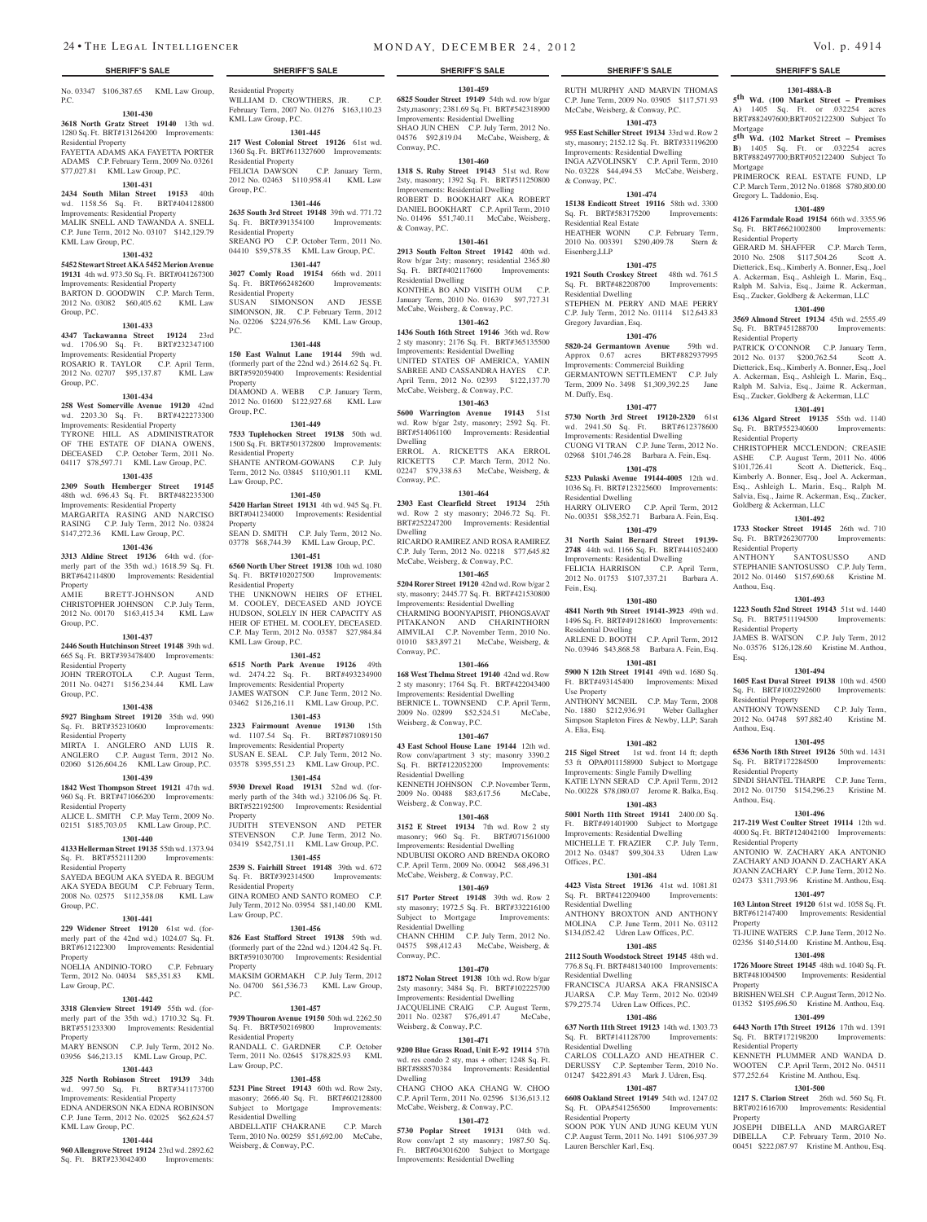No. 03347 \$106,387.65 KML Law Group, P.C.

#### **1301-430**

\$77,027.81 KML Law Group, P.C.

**3618 North Gratz Street 19140** 13th wd. 1280 Sq. Ft. BRT#131264200 Improvements: Residential Property FAYETTA ADAMS AKA FAYETTA PORTER ADAMS C.P. February Term, 2009 No. 03261

## **1301-431**

**2434 South Milan Street 19153** 40th wd. 1158.56 Sq. Ft. BRT#404128800 WQ. 1156.50 5q. 1.. DK1#70<br>Improvements: Residential Property

MALIK SNELL AND TAWANDA A. SNELL C.P. June Term, 2012 No. 03107 \$142,129.79 KML Law Group, P.C. **1301-432**

### **5452 Stewart Street AKA 5452 Merion Avenue**

**19131** 4th wd. 973.50 Sq. Ft. BRT#041267300 Improvements: Residential Property BARTON D. GOODWIN C.P. March Term, 2012 No. 03082 \$60,405.62 KML Law

## **1301-433**

Group, P.C.

**4347 Tackawanna Street 19124** 23rd wd. 1706.90 Sq. Ft. BRT#232347100 Improvements: Residential Property ROSARIO R. TAYLOR C.P. April Term, 2012 No. 02707 \$95,137.87 KML Law Group, P.C.

#### **1301-434**

**258 West Somerville Avenue 19120** 42nd wd. 2203.30 Sq. Ft. BRT#422273300 Improvements: Residential Property TYRONE HILL AS ADMINISTRATOR OF THE ESTATE OF DIANA OWENS, DECEASED C.P. October Term, 2011 No. 04117 \$78,597.71 KML Law Group, P.C.

#### **1301-435**

**2309 South Hemberger Street** 48th wd. 696.43 Sq. Ft. BRT#482235300 Improvements: Residential Property MARGARITA RASING AND NARCISO RASING C.P. July Term, 2012 No. 03824 \$147,272.36 KML Law Group, P.C.

## **1301-436**

**3313 Aldine Street 19136** 64th wd. (formerly part of the 35th wd.) 1618.59 Sq. Ft. BRT#642114800 Improvements: Residential Property BRETT-JOHNSON CHRISTOPHER JOHNSON C.P. July Term, 2012 No. 00170 \$163,415.34 KML Law

#### **1301-437**

Group, P.C.

**2446 South Hutchinson Street 19148** 39th wd. 665 Sq. Ft. BRT#393478400 Improvements: Residential Property

#### JOHN TREROTOLA C.P. August Term, 2011 No. 04271 \$156,234.44 KML Law Group, P.C.

#### **1301-438**

**5927 Bingham Street 19120** 35th wd. 990 Sq. Ft. BRT#352310600 Improvements:

Residential Property MIRTA I. ANGLERO AND LUIS R. ANGLERO C.P. August Term, 2012 No. 02060 \$126,604.26 KML Law Group, P.C.

#### **1301-439**

**1842 West Thompson Street 19121** 47th wd. 960 Sq. Ft. BRT#471066200 Improvements: Residential Property

### ALICE L. SMITH C.P. May Term, 2009 No. 02151 \$185,703.05 KML Law Group, P.C.

## **1301-440**

**4133 Hellerman Street 19135** 55th wd. 1373.94 Sq. Ft. BRT#552111200 Improvements: Residential Property

SAYEDA BEGUM AKA SYEDA R. BEGUM AKA SYEDA BEGUM C.P. February Term, 2008 No. 02575 \$112,358.08 KML Law Group, P.C.

#### **1301-441**

**229 Widener Street 19120** 61st wd. (formerly part of the 42nd wd.) 1024.07 Sq. Ft. BRT#612122300 Improvements: Residential Property

NOELIA ANDINIO-TORO C.P. February Term, 2012 No. 04034 \$85,351.83 KML Law Group, P.C.

#### **1301-442**

**3318 Glenview Street 19149** 55th wd. (forpart of the 35th wd.) 1710.32 Sq. Ft. BRT#551233300 Improvements: Residential Property MARY BENSON C.P. July Term, 2012 No.

03956 \$46,213.15 KML Law Group, P.C. **1301-443**

#### **325 North Robinson Street 19139** 34th

wd. 997.50 Sq. Ft. BRT#341173700 Improvements: Residential Property EDNA ANDERSON NKA EDNA ROBINSON C.P. June Term, 2012 No. 02025 \$62,624.57 KML Law Group, P.C.

#### **1301-444**

**960 Allengrove Street 19124** 23rd wd. 2892.62 Sq. Ft. BRT#233042400 Improvements:

Residential Property WILLIAM D. CROWTHERS, JR. C.P. February Term, 2007 No. 01276 \$163,110.23 KML Law Group, P.C.

### **1301-445**

**217 West Colonial Street 19126** 61st wd. 1360 Sq. Ft. BRT#611327600 Improvements: Residential Property FELICIA DAWSON C.P. January Term, 2012 No. 02463 \$110,958.41 KML Law Group, P.C.

### **1301-446**

**2635 South 3rd Street 19148** 39th wd. 771.72 Sq. Ft. BRT#391354100 Improvements: Residential Property SREANG PO C.P. October Term, 2011 No. 04410 \$59,578.35 KML Law Group, P.C.

#### **1301-447 3027 Comly Road 19154** 66th wd. 2011 Sq. Ft. BRT#662482600 Improvements: Residential Property

SUSAN SIMONSON AND JESSE SIMONSON, JR. C.P. February Term, 2012 No. 02206 \$224,976.56 KML Law Group, P.C.

#### **1301-448**

**150 East Walnut Lane 19144** 59th wd. (formerly part of the 22nd wd.) 2614.62 Sq. Ft. BRT#592059400 Improvements: Residential Property DIAMOND A. WEBB C.P. January Term, 2012 No. 01600 \$122,927.68 KML Law Group, P.C.

#### **1301-449**

**7533 Tuplehocken Street 19138** 50th wd. 1500 Sq. Ft. BRT#501372800 Improvements: Residential Property SHANTE ANTROM-GOWANS C.P. July Term, 2012 No. 03845 \$110,901.11 KML Law Group, P.C.

#### **1301-450**

**5420 Harlan Street 19131** 4th wd. 945 Sq. Ft. BRT#041234000 Improvements: Residential Property SEAN D. SMITH C.P. July Term, 2012 No. 03778 \$68,744.39 KML Law Group, P.C.

**1301-451 6560 North Uber Street 19138** 10th wd. 1080

Sq. Ft. BRT#102027500 Improvements: Residential Property THE UNKNOWN HEIRS OF ETHEL

M. COOLEY, DECEASED AND JOYCE HUDSON, SOLELY IN HER CAPACITY AS HEIR OF ETHEL M. COOLEY, DECEASED. C.P. May Term, 2012 No. 03587 \$27,984.84 KML Law Group, P.C.

### **1301-452**

**6515 North Park Avenue 19126** 49th wd. 2474.22 Sq. Ft. BRT#493234900 Improvements: Residential Property JAMES WATSON C.P. June Term, 2012 No. 03462 \$126,216.11 KML Law Group, P.C.

**1301-453 2323 Fairmount Avenue 19130** 15th wd. 1107.54 Sq. Ft. BRT#871089150 Improvements: Residential Property

SUSAN E. SEAL C.P. July Term, 2012 No. 03578 \$395,551.23 KML Law Group, P.C.

**1301-454 5930 Drexel Road 19131** 52nd wd. (formerly parth of the 34th wd.) 32106.06 Sq. Ft. BRT#522192500 Improvements: Residential Property

JUDITH STEVENSON AND PETER STEVENSON C.P. June Term, 2012 No. 03419 \$542,751.11 KML Law Group, P.C. **1301-455**

**2539 S. Fairhill Street 19148** 39th wd. 672 Sq. Ft. BRT#392314500 Improvements: Residential Property GINA ROMEO AND SANTO ROMEO C.P. July Term, 2012 No. 03954 \$81,140.00 KML

### **1301-456**

Law Group, P.C.

**826 East Stafford Street 19138** 59th wd. (formerly part of the 22nd wd.) 1204.42 Sq. Ft. BRT#591030700 Improvements: Residential Property

MAKSIM GORMAKH C.P. July Term, 2012 No. 04700 \$61,536.73 KML Law Group, P.C.

#### **1301-457**

**7939 Thouron Avenue 19150** 50th wd. 2262.50 Sq. Ft. BRT#502169800 Improvements: Residential Property RANDALL C. GARDNER C.P. October Term, 2011 No. 02645 \$178,825.93 KML

Law Group, P.C. **1301-458**

## **5231 Pine Street 19143** 60th wd. Row 2sty,

masonry; 2666.40 Sq. Ft. BRT#602128800 Subject to Mortgage Improvements: Residential Dwelling ABDELLATIF CHAKRANE C.P. March

Term, 2010 No. 00259 \$51,692.00 McCabe, Weisberg, & Conway, P.C.

**5730 Poplar Street 19131** 04th wd. Row conv/apt 2 sty masonry; 1987.50 Sq. Ft. BRT#043016200 Subject to Mortgage

## 24 • THE LEGAL INTELLIGENCER MONDAY, DECEMBER 24, 2012 Vol. p. 4914

## **SHERIFF'S SALE SHERIFF'S SALE SHERIFF'S SALE SHERIFF'S SALE SHERIFF'S SALE**

## RUTH MURPHY AND MARVIN THOMAS

& Conway, P.C.

Eisenberg,LLP

M. Duffy, Esq.

Residential Dwelling

Fein, Esq.

Residential Dwelling

Use Property

A. Elia, Esq.

Offices, P.C.

Residential Dwelling

Residential Dwelling

Residential Dwelling

Residential Property

Lauren Berschler Karl, Esq.

Residential Real Estate

Residential Dwelling

Gregory Javardian, Esq.

C.P. June Term, 2009 No. 03905 \$117,571.93 McCabe, Weisberg, & Conway, P.C. **1301-473 955 East Schiller Street 19134** 33rd wd. Row 2 sty, masonry; 2152.12 Sq. Ft. BRT#331196200 Improvements: Residential Dwelling INGA AZVOLINSKY C.P. April Term, 2010 No. 03228 \$44,494.53 McCabe, Weisberg,

**1301-488A-B 5th Wd. (100 Market Street – Premises A)** 1405 Sq. Ft. or .032254 acres BRT#882497600;BRT#052122300 Subject To Mortgage **5th Wd. (102 Market Street – Premises B)** 1405 Sq. Ft. or .032254 acres BRT#882497700;BRT#052122400 Subject To

PRIMEROCK REAL ESTATE FUND, LP C.P. March Term, 2012 No. 01868 \$780,800.00

**1301-489 4126 Farmdale Road 19154** 66th wd. 3355.96 Sq. Ft. BRT#6621002800 Improvements:

GERARD M. SHAFFER C.P. March Term, 2010 No. 2508 \$117,504.26 Scott A. Dietterick, Esq., Kimberly A. Bonner, Esq., Joel A. Ackerman, Esq., Ashleigh L. Marin, Esq., Ralph M. Salvia, Esq., Jaime R. Ackerman, Esq., Zucker, Goldberg & Ackerman, LLC **1301-490 3569 Almond Street 19134** 45th wd. 2555.49 Sq. Ft. BRT#451288700 Improvements:

PATRICK O'CONNOR C.P. January Term, 2012 No. 0137 \$200,762.54 Scott A. Dietterick, Esq., Kimberly A. Bonner, Esq., Joel A. Ackerman, Esq., Ashleigh L. Marin, Esq., Ralph M. Salvia, Esq., Jaime R. Ackerman, Esq., Zucker, Goldberg & Ackerman, LLC **1301-491 6136 Algard Street 19135** 55th wd. 1140 Sq. Ft. BRT#552340600 Improvements:

CHRISTOPHER MCCLENDON; CREASIE ASHE C.P. August Term, 2011 No. 4006 \$101,726.41 Scott A. Dietterick, Esq., Kimberly A. Bonner, Esq., Joel A. Ackerman, Esq., Ashleigh L. Marin, Esq., Ralph M. Salvia, Esq., Jaime R. Ackerman, Esq., Zucker,

**1301-492 1733 Stocker Street 19145** 26th wd. 710 Sq. Ft. BRT#262307700 Improvements:

STEPHANIE SANTOSUSSO C.P. July Term, 2012 No. 01460 \$157,690.68 Kristine M.

**1301-493 1223 South 52nd Street 19143** 51st wd. 1440 Sq. Ft. BRT#511194500 Improvements:

JAMES B. WATSON C.P. July Term, 2012 No. 03576 \$126,128.60 Kristine M. Anthou,

**1301-494 1605 East Duval Street 19138** 10th wd. 4500 Sq. Ft. BRT#1002292600 Improvements:

ANTHONY TOWNSEND C.P. July Term, 2012 No. 04748 \$97,882.40 Kristine M.

**1301-495 6536 North 18th Street 19126** 50th wd. 1431 Sq. Ft. BRT#172284500 Improvements:

SINDI SHANTEL THARPE C.P. June Term, 2012 No. 01750 \$154,296.23 Kristine M.

**1301-496 217-219 West Coulter Street 19114** 12th wd. 4000 Sq. Ft. BRT#124042100 Improvements:

ANTONIO W. ZACHARY AKA ANTONIO ZACHARY AND JOANN D. ZACHARY AKA JOANN ZACHARY C.P. June Term, 2012 No. 02473 \$311,793.96 Kristine M. Anthou, Esq. **1301-497 103 Linton Street 19120** 61st wd. 1058 Sq. Ft. BRT#612147400 Improvements: Residential

TL HINE WATERS  $CP$  June Term, 2012 No. 02356 \$140,514.00 Kristine M. Anthou, Esq. **1301-498 1726 Moore Street 19145** 48th wd. 1040 Sq. Ft. BRT#481004500 Improvements: Residential

BRISHEN WELSH C.P. August Term, 2012 No. 01352 \$195,696.50 Kristine M. Anthou, Esq. **1301-499 6443 North 17th Street 19126** 17th wd. 1391 Sq. Ft. BRT#172198200 Improvements:

KENNETH PLUMMER AND WANDA D. WOOTEN C.P. April Term, 2012 No. 04511 \$77,252.64 Kristine M. Anthou, Esq. **1301-500 1217 S. Clarion Street** 26th wd. 560 Sq. Ft. BRT#021616700 Improvements: Residential

JOSEPH DIBELLA AND MARGARET DIBELLA C.P. February Term, 2010 No. 00451 \$222,087.97 Kristine M. Anthou, Esq.

SANTOSUSSO AND

Mortgage

Gregory L. Taddonio, Esq.

Residential Property

Residential Property

Residential Property

Residential Property<br>ANTHONY SA

Residential Property

Residential Property

Residential Property

Residential Property

Anthou, Esq.

Anthou, Esq.

Property

Property

Property

Residential Property

Anthou, Esq.

Esq.

Goldberg & Ackerman, LLC

**1301-474 15138 Endicott Street 19116** 58th wd. 3300 Sq. Ft. BRT#583175200 Improvements:

HEATHER WONN C.P. February Term, 2010 No. 003391 \$290,409.78 Stern &

**1301-475 1921 South Croskey Street** 48th wd. 761.5 Sq. Ft. BRT#482208700 Improvements:

STEPHEN M. PERRY AND MAE PERRY C.P. July Term, 2012 No. 01114 \$12,643.83

**1301-476 5820-24 Germantown Avenue** 59th wd. Approx 0.67 acres BRT#882937995 Improvements: Commercial Building GERMANTOWN SETTLEMENT C.P. July Term, 2009 No. 3498 \$1,309,392.25 Jane

**1301-477 5730 North 3rd Street 19120-2320** 61st wd. 2941.50 Sq. Ft. BRT#612378600 Improvements: Residential Dwelling CUONG VI TRAN C.P. June Term, 2012 No. 02968 \$101,746.28 Barbara A. Fein, Esq. **1301-478 5233 Pulaski Avenue 19144-4005** 12th wd. 1036 Sq. Ft. BRT#123225600 Improvements:

HARRY OLIVERO C.P. April Term, 2012 No. 00351 \$58,352.71 Barbara A. Fein, Esq. **1301-479 31 North Saint Bernard Street 19139- 2748** 44th wd. 1166 Sq. Ft. BRT#441052400 Improvements: Residential Dwelling FELICIA HARRISON C.P. April Term, 2012 No. 01753 \$107,337.21 Barbara A.

**1301-480 4841 North 9th Street 19141-3923** 49th wd. 1496 Sq. Ft. BRT#491281600 Improvements:

ARLENE D. BOOTH C.P. April Term, 2012 No. 03946 \$43,868.58 Barbara A. Fein, Esq. **1301-481 5900 N 12th Street 19141** 49th wd. 1680 Sq. Ft. BRT#493145400 Improvements: Mixed

ANTHONY MCNEIL C.P. May Term, 2008 No. 1880 \$212,936.91 Weber Gallagher Simpson Stapleton Fires & Newby, LLP; Sarah

**1301-482 215 Sigel Street** 1st wd. front 14 ft; depth 53 ft OPA#011158900 Subject to Mortgage Improvements: Single Family Dwelling KATIE LYNN SERAD C.P. April Term, 2012 No. 00228 \$78,080.07 Jerome R. Balka, Esq. **1301-483 5001 North 11th Street 19141** 2400.00 Sq. Ft. BRT#491401900 Subject to Mortgage Improvements: Residential Dwelling MICHELLE T. FRAZIER C.P. July Term, 2012 No. 03487 \$99,304.33 Udren Law

**1301-484 4423 Vista Street 19136** 41st wd. 1081.81 Sq. Ft. BRT#412209400 Improvements:

ANTHONY BROXTON AND ANTHONY MOLINA C.P. June Term, 2011 No. 03112 \$134,052.42 Udren Law Offices, P.C. **1301-485 2112 South Woodstock Street 19145** 48th wd. 776.8 Sq. Ft. BRT#481340100 Improvements:

FRANCISCA JUARSA AKA FRANSISCA JUARSA C.P. May Term, 2012 No. 02049 \$79,275.74 Udren Law Offices, P.C. **1301-486 637 North 11th Street 19123** 14th wd. 1303.73 Sq. Ft. BRT#141128700 Improvements:

CARLOS COLLAZO AND HEATHER C. DERUSSY C.P. September Term, 2010 No. 01247 \$422,891.43 Mark J. Udren, Esq. **1301-487 6608 Oakland Street 19149** 54th wd. 1247.02 Sq. Ft. OPA#541256500 Improvements:

SOON POK YUN AND JUNG KEUM YUN C.P. August Term, 2011 No. 1491 \$106,937.39

**1301-459 6825 Souder Street 19149** 54th wd. row b/gar 2sty,masonry; 2381.69 Sq. Ft. BRT#542318900 Improvements: Residential Dwelling SHAO JUN CHEN C.P. July Term, 2012 No. 04576 \$92,819.04 McCabe, Weisberg, & Conway, P.C.

#### **1301-460**

**1318 S. Ruby Street 19143** 51st wd. Row 2sty, masonry; 1392 Sq. Ft. BRT#511250800 Improvements: Residential Dwelling ROBERT D. BOOKHART AKA ROBERT DANIEL BOOKHART C.P. April Term, 2010 No. 01496 \$51,740.11 McCabe, Weisberg, & Conway, P.C.

#### **1301-461**

**2913 South Felton Street 19142** 40th wd. Row b/gar 2sty; masonry; residential 2365.80 Sq. Ft. BRT#402117600 Improvements: Residential Dwelling KONTHEA BO AND VISITH OUM C.P.

January Term, 2010 No. 01639 \$97,727.31 McCabe, Weisberg, & Conway, P.C. **1301-462**

**1436 South 16th Street 19146** 36th wd. Row 2 sty masonry; 2176 Sq. Ft. BRT#365135500 Improvements: Residential Dwelling UNITED STATES OF AMERICA, YAMIN SABREE AND CASSANDRA HAYES C.P. April Term, 2012 No. 02393 \$122,137.70 McCabe, Weisberg, & Conway, P.C.

### **1301-463**

**5600 Warrington Avenue 19143** 51st wd. Row b/gar 2sty, masonry; 2592 Sq. Ft. BRT#514061100 Improvements: Residential Dwelling ERROL A. RICKETTS AKA ERROL RICKETTS C.P. March Term, 2012 No. 02247 \$79,338.63 McCabe, Weisberg, & Conway, P.C.

#### **1301-464**

**2303 East Clearfield Street 19134** 25th wd. Row 2 sty masonry; 2046.72 Sq. Ft. BRT#252247200 Improvements: Residential Dwelling

RICARDO RAMIREZ AND ROSA RAMIREZ C.P. July Term, 2012 No. 02218 \$77,645.82 McCabe, Weisberg, & Conway, P.C.

## **1301-465**

**5204 Rorer Street 19120** 42nd wd. Row b/gar 2 sty, masonry; 2445.77 Sq. Ft. BRT#421530800 Improvements: Residential Dwelling CHARMING BOONYAPISIT, PHONGSAVAT PITAKANON AND CHARINTHORN AIMVILAI C.P. November Term, 2010 No. 01010 \$83,897.21 McCabe, Weisberg, & Conway, P.C.

#### **1301-466**

**168 West Thelma Street 19140** 42nd wd. Row 2 sty masonry; 1764 Sq. Ft. BRT#422043400 Improvements: Residential Dwelling BERNICE L. TOWNSEND C.P. April Term, 2009 No. 02899 \$52,524.51 McCabe, Weisberg, & Conway, P.C.

#### **1301-467**

**43 East School House Lane 19144** 12th wd. Row conv/apartment 3 sty; masonry 3390.2 Sq. Ft. BRT#122052200 Improvements: Residential Dwelling KENNETH JOHNSON C.P. November Term,

2009 No. 00488 \$83,617.56 McCabe, Weisberg, & Conway, P.C. **1301-468**

#### **3152 E Street 19134** 7th wd. Row 2 sty masonry; 960 Sq. Ft. BRT#071561000 Improvements: Residential Dwelling NDUBUISI OKORO AND BRENDA OKORO

C.P. April Term, 2009 No. 00042 \$68,496.31 McCabe, Weisberg, & Conway, P.C. **1301-469**

**517 Porter Street 19148** 39th wd. Row 2 sty masonry; 1972.5 Sq. Ft. BRT#332216100<br>Subject to Mortgage Improvements: Subject to Mortgage Residential Dwelling CHANN CHHIM C.P. July Term, 2012 No.

04575 \$98,412.43 McCabe, Weisberg, & Conway, P.C. **1301-470 1872 Nolan Street 19138** 10th wd. Row b/gar

2sty masonry; 3484 Sq. Ft. BRT#102225700 Improvements: Residential Dwelling JACQUELINE CRAIG C.P. August Term,

**1301-471 9200 Blue Grass Road, Unit E-92 19114** 57th wd. res condo 2 sty, mas + other; 1248 Sq. Ft. BRT#888570384 Improvements: Residential

CHANG CHOO AKA CHANG W. CHOO C.P. April Term, 2011 No. 02596 \$136,613.12 McCabe, Weisberg, & Conway, P.C. **1301-472**

Improvements: Residential Dwelling

2011 No. 02387 \$76,491.47 Weisberg, & Conway, P.C.

Dwelling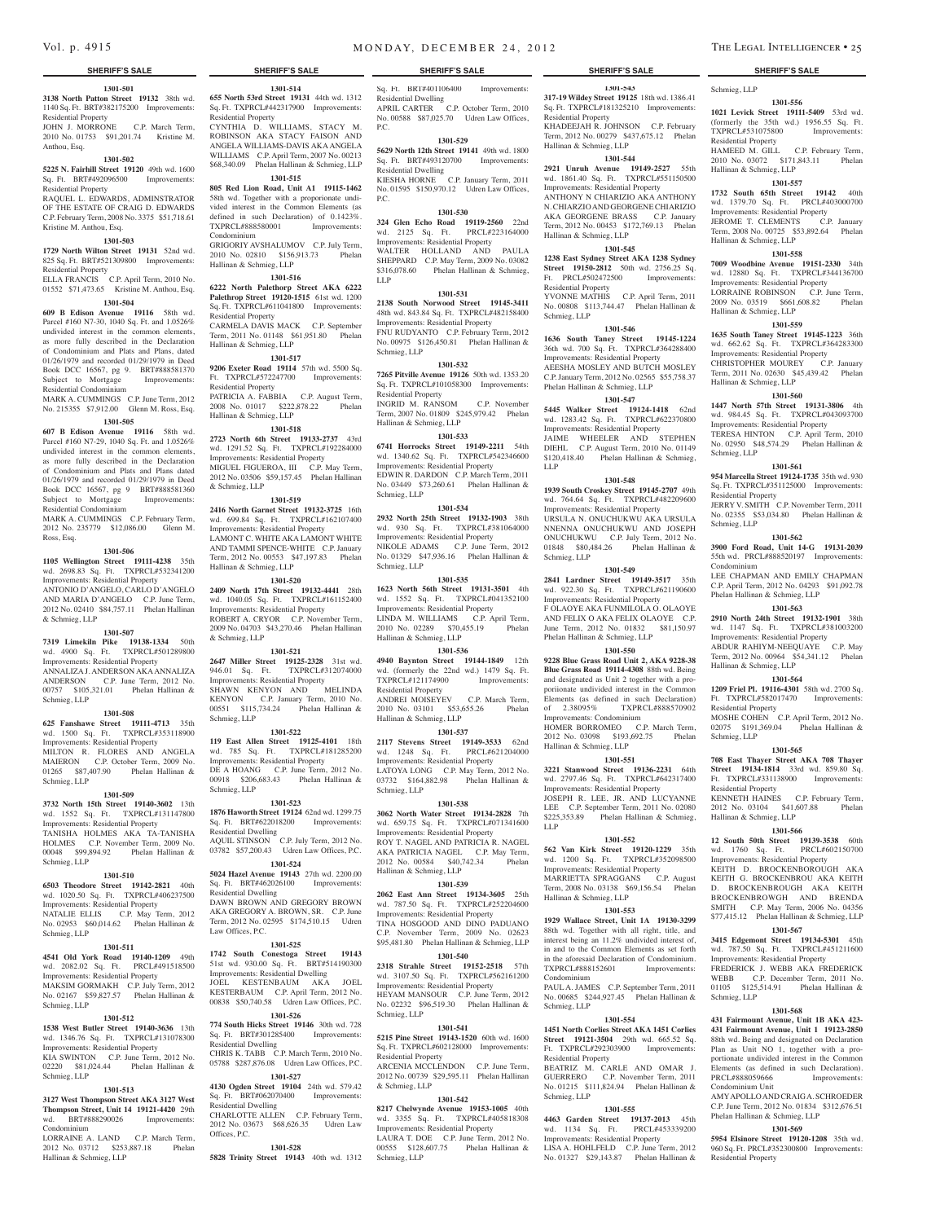#### **1301-501**

**3138 North Patton Street 19132** 38th wd. 1140 Sq. Ft. BRT#382175200 Improvements: Residential Property

JOHN J. MORRONE C.P. March Term, 2010 No. 01753 \$91,201.74 Kristine M. Anthou, Esq.

#### **1301-502**

**5225 N. Fairhill Street 19120** 49th wd. 1600 Sq. Ft. BRT#492096500 Improvements: Residential Property

RAQUEL L. EDWARDS, ADMINSTRATOR OF THE ESTATE OF CRAIG D. EDWARDS C.P. February Term, 2008 No. 3375 \$51,718.61 Kristine M. Anthou, Esq.

#### **1301-503**

**1729 North Wilton Street 19131** 52nd wd. 825 Sq. Ft. BRT#521309800 Improvements: Residential Property

ELLA FRANCIS C.P. April Term, 2010 No. 01552 \$71,473.65 Kristine M. Anthou, Esq. **1301-504**

#### **609 B Edison Avenue 19116** 58th wd. Parcel #160 N7-30, 1040 Sq. Ft. and 1.0526% undivided interest in the common elements, as more fully described in the Declaration of Condominium and Plats and Plans, dated 01/26/1979 and recorded 01/29/1979 in Deed Book DCC 16567, pg 9. BRT#888581370 Subject to Mortgage Improvements: Residential Condominium

MARK A. CUMMINGS C.P. June Term, 2012 No. 215355 \$7,912.00 Glenn M. Ross, Esq. **1301-505**

**607 B Edison Avenue 19116** 58th wd. Parcel #160 N7-29, 1040 Sq. Ft. and 1.0526% undivided interest in the common elements, as more fully described in the Declaration of Condominium and Plats and Plans dated 01/26/1979 and recorded 01/29/1979 in Deed Book DCC 16567, pg 9 BRT#888581360 Subject to Mortgage Improvements: Residential Condominium

MARK A. CUMMINGS C.P. February Term, 2012 No. 235779 \$12,086.00 Glenn M. Ross, Esq.

#### **1301-506**

**1105 Wellington Street 19111-4238** 35th wd. 2698.83 Sq. Ft. TXPRCL#532341200 Improvements: Residential Property ANTONIO D'ANGELO, CARLO D'ANGELO AND MARIA D'ANGELO C.P. June Term, 2012 No. 02410 \$84,757.11 Phelan Hallinan & Schmieg, LLP

#### **1301-507**

**7319 Limekiln Pike 19138-1334** 50th wd. 4900 Sq. Ft. TXPRCL#501289800 Improvements: Residential Property ANNALIZA J. ANDERSON AKA ANNALIZA ANDERSON C.P. June Term, 2012 No. 00757 \$105,321.01 Phelan Hallinan & Schmieg, LLP

### **1301-508**

**625 Fanshawe Street 19111-4713** 35th wd. 1500 Sq. Ft. TXPRCL#353118900 Improvements: Residential Property MILTON R. FLORES AND ANGELA MAIERON C.P. October Term, 2009 No. 01265 \$87,407.90 Phelan Hallinan & Schmieg, LLP

#### **1301-509**

**3732 North 15th Street 19140-3602** 13th wd. 1552 Sq. Ft. TXPRCL#131147800 Improvements: Residential Property TANISHA HOLMES AKA TA-TANISHA HOLMES C.P. November Term, 2009 No. 00048 \$99,894.92 Phelan Hallinan & Schmieg, LLP

#### **1301-510**

**6503 Theodore Street 19142-2821** 40th wd. 1020.50 Sq. Ft. TXPRCL#406237500 Improvements: Residential Property NATALIE ELLIS C.P. May Term, 2012 No. 02953 \$60,014.62 Phelan Hallinan & Schmieg, LLP

#### **1301-511**

**4541 Old York Road 19140-1209** 49th wd. 2082.02 Sq. Ft. PRCL#491518500 Improvements: Residential Property MAKSIM GORMAKH C.P. July Term, 2012 No. 02167 \$59,827.57 Phelan Hallinan & Schmieg, LLP

#### **1301-512**

**1538 West Butler Street 19140-3636** 13th wd. 1346.76 Sq. Ft. TXPRCL#131078300 Improvements: Residential Property KIA SWINTON C.P. June Term, 2012 No.<br>02220 \$81.024.44 Phelan Hallinan &  $\overline{P}$  Phelan Hallinan & Schmieg, LLP

#### **1301-513**

**3127 West Thompson Street AKA 3127 West Thompson Street, Unit 14 19121-4420** 29th wd. BRT#888290026 Improvements: Condominium

LORRAINE A. LAND C.P. March Term, 2012 No. 03712 \$253,887.18 Phelan Hallinan & Schmieg, LLP

**1301-514 655 North 53rd Street 19131** 44th wd. 1312 **SHERIFF'S SALE SHERIFF'S SALE SHERIFF'S SALE SHERIFF'S SALE SHERIFF'S SALE**

Sq. Ft. TXPRCL#442317900 Improvements: Residential Property CYNTHIA D. WILLIAMS, STACY M. ROBINSON AKA STACY FAISON AND ANGELA WILLIAMS-DAVIS AKA ANGELA WILLIAMS C.P. April Term, 2007 No. 00213 \$68,340.09 Phelan Hallinan & Schmieg, LLP

## **1301-515 805 Red Lion Road, Unit A1 19115-1462**

58th wd. Together with a proporionate undivided interest in the Common Elements (as defined in such Declaration) of 0.1423%.<br>TXPRCL#888580001 Improvements: TXPRCL#888580001 Condominium GRIGORIY AVSHALUMOV C.P. July Term,

2010 No. 02810 \$156,913.73 Phelan Hallinan & Schmieg, LLP

## **1301-516**

**6222 North Palethorp Street AKA 6222 Palethrop Street 19120-1515** 61st wd. 1200 Sq. Ft. TXPRCL#611041800 Improvements: Residential Property CARMELA DAVIS MACK C.P. September Term, 2011 No. 01148 \$61,951.80 Phelan Hallinan & Schmieg, LLP

## **1301-517**

**9206 Exeter Road 19114** 57th wd. 5500 Sq. Ft. TXPRCL#572247700 Improvements: Residential Property

PATRICIA A. FABBIA C.P. August Term,<br>2008 No. 01017 \$222.878.22 Phelan 2008 No. 01017 \$222,878.22 Hallinan & Schmieg, LLP

#### **1301-518**

**2723 North 6th Street 19133-2737** 43rd wd. 1291.52 Sq. Ft. TXPRCL#192284000 Improvements: Residential Property MIGUEL FIGUEROA, III C.P. May Term, 2012 No. 03506 \$59,157.45 Phelan Hallinan & Schmieg, LLP

#### **1301-519**

**2416 North Garnet Street 19132-3725** 16th wd. 699.84 Sq. Ft. TXPRCL#162107400 Improvements: Residential Property LAMONT C. WHITE AKA LAMONT WHITE AND TAMMI SPENCE-WHITE C.P. January Term, 2012 No. 00553 \$47,197.83 Phelan Hallinan & Schmieg, LLP

#### **1301-520**

**2409 North 17th Street 19132-4441** 28th wd. 1040.05 Sq. Ft. TXPRCL#161152400 Improvements: Residential Property ROBERT A. CRYOR C.P. November Term, 2009 No. 04703 \$43,270.46 Phelan Hallinan & Schmieg, LLP

## **1301-521**

**2647 Miller Street 19125-2328** 31st wd. 946.01 Sq. Ft. TXPRCL#312074000 Improvements: Residential Property SHAWN KENYON AND MELINDA KENYON C.P. January Term, 2010 No. 00551 \$115,734.24 Phelan Hallinan & Schmieg, LLP

#### **1301-522**

**119 East Allen Street 19125-4101** 18th wd. 785 Sq. Ft. TXPRCL#181285200 Improvements: Residential Property DE A HOANG C.P. June Term, 2012 No. 00918 \$206,683.43 Phelan Hallinan & Schmieg, LLP

#### **1301-523**

**1876 Haworth Street 19124** 62nd wd. 1299.75 Sq. Ft. BRT#622018200 Improvements: Residential Dwelling AQUIL STINSON C.P. July Term, 2012 No. 03782 \$57,200.43 Udren Law Offices, P.C. **1301-524**

**5024 Hazel Avenue 19143** 27th wd. 2200.00 Sq. Ft. BRT#462026100 Improvements: Residential Dwelling DAWN BROWN AND GREGORY BROWN AKA GREGORY A. BROWN, SR. C.P. June Term, 2012 No. 02595 \$174,510.15 Udren Law Offices, P.C.

#### **1301-525**

**1742 South Conestoga Street 19143**  51st wd. 930.00 Sq. Ft. BRT#514190300 Improvements: Residential Dwelling JOEL KESTENBAUM AKA JOEL KESTERBAUM C.P. April Term, 2012 No. 00838 \$50,740.58 Udren Law Offices, P.C.

#### **1301-526 774 South Hicks Street 19146** 30th wd. 728

Sq. Ft. BRT#301285400 Improvements: Residential Dwelling CHRIS K. TABB C.P. March Term, 2010 No. 05788 \$287,876.08 Udren Law Offices, P.C.

**1301-527 4130 Ogden Street 19104** 24th wd. 579.42

Sq. Ft. BRT#062070400 Improvements: Residential Dwelling CHARLOTTE ALLEN C.P. February Term, 2012 No. 03673 \$68,626.35 Udren Law Offices, P.C.

#### **1301-528**

**5828 Trinity Street 19143** 40th wd. 1312

## Vol. p. 4915 **m** on DAY, DECEMBER 24, 2012 **THE LEGAL INTELLIGENCER • 25**

Sq. Ft. BRT#401106400 Improvements: Residential Dwelling APRIL CARTER C.P. October Term, 2010 No. 00588 \$87,025.70 Udren Law Offices, P.C.

#### **1301-529**

**5629 North 12th Street 19141** 49th wd. 1800 Sq. Ft. BRT#493120700 Improvements: Residential Dwelling KIESHA HORNE C.P. January Term, 2011

No. 01595 \$150,970.12 Udren Law Offices,  $PC$ . **1301-530**

**324 Glen Echo Road 19119-2560** 22nd wd. 2125 Sq. Ft. PRCL#223164000 Improvements: Residential Property WALTER HOLLAND AND PAULA SHEPPARD C.P. May Term, 2009 No. 03082 \$316,078.60 Phelan Hallinan & Schmieg, LLP

#### **1301-531**

**2138 South Norwood Street 19145-3411**  48th wd. 843.84 Sq. Ft. TXPRCL#482158400 Improvements: Residential Property FNU RUDYANTO C.P. February Term, 2012 No. 00975 \$126,450.81 Phelan Hallinan & Schmieg, LLP

#### **1301-532**

**7265 Pitville Avenue 19126** 50th wd. 1353.20 Sq. Ft. TXPRCL#101058300 Improvements: Residential Property INGRID M. RANSOM C.P. November Term, 2007 No. 01809 \$245,979.42 Phelan Hallinan & Schmieg, LLP

### **1301-533**

**6741 Horrocks Street 19149-2211** 54th wd. 1340.62 Sq. Ft. TXPRCL#542346600 Improvements: Residential Property EDWIN R. DARDON C.P. March Term, 2011 No. 03449 \$73,260.61 Phelan Hallinan & Schmieg, LLP

## **1301-534**

**2932 North 25th Street 19132-1903** 38th wd. 930 Sq. Ft. TXPRCL#381064000 Improvements: Residential Property NIKOLE ADAMS C.P. June Term, 2012 No. 01329 \$47,936.16 Phelan Hallinan & Schmieg, LLP

### **1301-535**

**1623 North 56th Street 19131-3501** 4th wd. 1552 Sq. Ft. TXPRCL#041352100 Improvements: Residential Property LINDA M. WILLIAMS C.P. April Term, 2010 No. 02289 \$70,455.19 Phelan Hallinan & Schmieg, LLP

## **1301-536**

**4940 Baynton Street 19144-1849** 12th wd. (formerly the 22nd wd.) 1479 Sq. Ft. TXPRCL#121174900 Improvements: Residential Property ANDREI MOISEYEV C.P. March Term,

2010 No. 03101 \$53,655.26 Phelan Hallinan & Schmieg, LLP **1301-537**

## **2117 Stevens Street 19149-3533** 62nd

wd. 1248 Sq. Ft. PRCL#621204000 Improvements: Residential Property LATOYA LONG C.P. May Term, 2012 No. 03732 \$164,882.98 Phelan Hallinan & Schmieg, LLP

### **1301-538**

**3062 North Water Street 19134-2828** 7th wd. 659.75 Sq. Ft. TXPRCL#071341600 Improvements: Residential Property ROY T. NAGEL AND PATRICIA R. NAGEL AKA PATRICIA NAGEL C.P. May Term, 2012 No. 00584 \$40,742.34 Phelan Hallinan & Schmieg, LLP

### **1301-539**

**2062 East Ann Street 19134-3605** 25th wd. 787.50 Sq. Ft. TXPRCL#252204600 Improvements: Residential Property TINA HOSGOOD AND DINO PADUANO C.P. November Term, 2009 No. 02623 \$95,481.80 Phelan Hallinan & Schmieg, LLP

#### **1301-540**

**2318 Strahle Street 19152-2518** 57th wd. 3107.50 Sq. Ft. TXPRCL#562161200 Improvements: Residential Property HEYAM MANSOUR C.P. June Term, 2012 No. 02232 \$96,519.30 Phelan Hallinan &

## Schmieg, LLP **1301-541**

**5215 Pine Street 19143-1520** 60th wd. 1600 Sq. Ft. TXPRCL#602128000 Improvements: Residential Property ARCENIA MCCLENDON C.P. June Term,

2012 No. 00739 \$29,595.11 Phelan Hallinan & Schmieg, LLP **1301-542**

**8217 Chelwynde Avenue 19153-1005** 40th wd. 3355 Sq. Ft. TXPRCL#405818308 Improvements: Residential Property LAURA T. DOE C.P. June Term, 2012 No. 00555 \$128,607.75 Phelan Hallinan & Schmieg, LLP

Schmieg, LLP

 $TXPPCI #531075800$ Residential Property

Hallinan & Schmieg, LLP

Hallinan & Schmieg, LLP

Hallinan & Schmieg, LLP

Hallinan & Schmieg, LLP

Schmieg, LLP

Schmieg, LLP

Condominium

Residential Property

**1301-556 1021 Levick Street 19111-5409** 53rd wd. (formerly the 35th wd.) 1956.55 Sq. Ft.<br>TXPRCL#531075800 Improvements:

HAMEED M. GILL C.P. February Term, 2010 No. 03072 \$171,843.11 Phelan

**1301-557 1732 South 65th Street 19142** 40th wd. 1379.70 Sq. Ft. PRCL#403000700 Improvements: Residential Property JEROME T. CLEMENTS C.P. January Term, 2008 No. 00725 \$53,892.64 Phelan

**1301-558 7009 Woodbine Avenue 19151-2330** 34th wd. 12880 Sq. Ft. TXPRCL#344136700 Improvements: Residential Property LORRAINE ROBINSON C.P. June Term, 2009 No. 03519 \$661,608.82 Phelan

**1301-559 1635 South Taney Street 19145-1223** 36th wd. 662.62 Sq. Ft. TXPRCL#364283300 Improvements: Residential Property CHRISTOPHER MOUREY C.P. January Term, 2011 No. 02630 \$45,439.42 Phelan

**1301-560 1447 North 57th Street 19131-3806** 4th wd. 984.45 Sq. Ft. TXPRCL#043093700 Improvements: Residential Property TERESA HINTON C.P. April Term, 2010 No. 02950 \$48,574.29 Phelan Hallinan &

**1301-561 954 Marcella Street 19124-1735** 35th wd. 930 Sq. Ft. TXPRCL#351125000 Improvements:

JERRY V. SMITH C.P. November Term, 2011 No. 02355 \$53,034.80 Phelan Hallinan &

**1301-562 3900 Ford Road, Unit 14-G 19131-2039**  55th wd. PRCL#888520197 Improvements:

LEE CHAPMAN AND EMILY CHAPMAN C.P. April Term, 2012 No. 04293 \$91,092.78

**1301-563 2910 North 24th Street 19132-1901** 38th wd. 1147 Sq. Ft. TXPRCL#381003200 Improvements: Residential Property ABDUR RAHIYM-NEEQUAYE C.P. May Term, 2012 No. 00964 \$54,341.12 Phelan

**1301-564 1209 Friel Pl. 19116-4301** 58th wd. 2700 Sq. Ft. TXPRCL#582017470 Improvements:

MOSHE COHEN C.P. April Term, 2012 No. 02075 \$191,369.04 Phelan Hallinan &

**1301-565 708 East Thayer Street AKA 708 Thayer Street 19134-1814** 33rd wd. 859.80 Sq. Ft. TXPRCL#331138900 Improvements:

KENNETH HAINES C.P. February Term,<br>2012 No. 03104 \$41.607.88 Phelan 2012 No. 03104 \$41,607.88 Hallinan & Schmieg, LLP

**1301-566 12 South 50th Street 19139-3538** 60th wd. 1760 Sq. Ft. PRCL#602150700 Improvements: Residential Property KEITH D. BROCKENBOROUGH AKA KEITH G. BROCKENBROU AKA KEITH D. BROCKENBROUGH AKA KEITH BROCKENBROWGH AND BRENDA SMITH C.P. May Term, 2006 No. 04356 \$77,415.12 Phelan Hallinan & Schmieg, LLP **1301-567 3415 Edgemont Street 19134-5301** 45th wd. 787.50 Sq. Ft. TXPRCL#451211600 Improvements: Residential Property FREDERICK J. WEBB AKA FREDERICK WEBB C.P. December Term, 2011 No. 01105 \$125,514.91 Phelan Hallinan &

**1301-568 431 Fairmount Avenue, Unit 1B AKA 423- 431 Fairmount Avenue, Unit 1 19123-2850**  88th wd. Being and designated on Declaration Plan as Unit NO 1, together with a proportionate undivided interest in the Common Elements (as defined in such Declaration). PRCL#888059666 Improvements:

AMY APOLLO AND CRAIG A. SCHROEDER C.P. June Term, 2012 No. 01834 \$312,676.51

Phelan Hallinan & Schmieg, LLP **1301-569 5954 Elsinore Street 19120-1208** 35th wd. 960 Sq. Ft. PRCL#352300800 Improvements:

Phelan Hallinan & Schmieg, LLP

Hallinan & Schmieg, LLP

Residential Property

Residential Property

Schmieg, LLP

Condominium Unit

Residential Property

Schmieg, LLP

**1301-543 317-19 Wildey Street 19125** 18th wd. 1386.41 Sq. Ft. TXPRCL#181325210 Improvements: Residential Property KHADEEJAH R. JOHNSON C.P. February Term, 2012 No. 00279 \$437,675.12 Phelan Hallinan & Schmieg, LLP

**1301-544 2921 Unruh Avenue 19149-2527** 55th wd. 1861.40 Sq. Ft. TXPRCL#551150500 Improvements: Residential Property ANTHONY N CHIARIZIO AKA ANTHONY N. CHIARZIO AND GEORGENE CHIARIZIO AKA GEORGENE BRASS C.P. January Term, 2012 No. 00453 \$172,769.13 Phelan

**1301-545 1238 East Sydney Street AKA 1238 Sydney Street 19150-2812** 50th wd. 2756.25 Sq. Ft. PRCL#502472500 Improvements

YVONNE MATHIS C.P. April Term, 2011 No. 00808 \$113,744.47 Phelan Hallinan &

**1301-546 1636 South Taney Street 19145-1224**  36th wd. 700 Sq. Ft. TXPRCL#364288400 Improvements: Residential Property AEESHA MOSLEY AND BUTCH MOSLEY C.P. January Term, 2012 No. 02565 \$55,758.37

**1301-548 1939 South Croskey Street 19145-2707** 49th wd. 764.64 Sq. Ft. TXPRCL#482209600 Improvements: Residential Property URSULA N. ONUCHUKWU AKA URSULA NNENNA ONUCHUKWU AND JOSEPH ONUCHUKWU C.P. July Term, 2012 No. 01848 \$80,484.26 Phelan Hallinan &

**1301-549 2841 Lardner Street 19149-3517** 35th wd. 922.30 Sq. Ft. TXPRCL#621190600 Improvements: Residential Property F OLAOYE AKA FUNMILOLA O. OLAOYE AND FELIX O AKA FELIX OLAOYE C.P. June Term, 2012 No. 01832 \$81,150.97

Phelan Hallinan & Schmieg, LLP **1301-550 9228 Blue Grass Road Unit 2, AKA 9228-38 Blue Grass Road 19114-4308** 88th wd. Being and designated as Unit 2 together with a proporiionate undivided interest in the Common Elements (as defined in such Declaration) of 2.38095% TXPRCL#888570902

Improvements: Condominium

Hallinan & Schmieg, LLP

Hallinan & Schmieg, LLP

TXPRCL#888152601 Condominium

Residential Property

Schmieg, LLP

Schmieg, LLP

LLP

HOMER BORROMEO C.P. March Term, 2012 No. 03098 \$193,692.75 Phelan

**1301-551 3221 Stanwood Street 19136-2231** 64th wd. 2797.46 Sq. Ft. TXPRCL#642317400 Improvements: Residential Property JOSEPH R. LEE, JR. AND LUCYANNE LEE C.P. September Term, 2011 No. 02080 \$225,353.89 Phelan Hallinan & Schmieg,

**1301-552 562 Van Kirk Street 19120-1229** 35th wd. 1200 Sq. Ft. TXPRCL#352098500 Improvements: Residential Property MARRIETTA SPRAGGANS C.P. August Term, 2008 No. 03138 \$69,156.54 Phelan

**1301-553 1929 Wallace Street, Unit 1A 19130-3299**  88th wd. Together with all right, title, and interest being an 11.2% undivided interest of, in and to the Common Elements as set forth in the aforesaid Declaration of Condominium.<br>TXPRCL#888152601 Improvements

PAUL A. JAMES C.P. September Term, 2011 No. 00685 \$244,927.45 Phelan Hallinan &

**1301-554 1451 North Corlies Street AKA 1451 Corlies Street 19121-3504** 29th wd. 665.52 Sq. Ft. TXPRCL#292303900 Improvements:

BEATRIZ M. CARLE AND OMAR J. GUERRERO C.P. November Term, 2011 No. 01215 \$111,824.94 Phelan Hallinan &

**1301-555 4463 Garden Street 19137-2013** 45th wd. 1134 Sq. Ft. PRCL#453339200 Improvements: Residential Property LISA A. HOHLFELD C.P. June Term, 2012 No. 01327 \$29,143.87 Phelan Hallinan &

Phelan Hallinan & Schmieg, LLP **1301-547 5445 Walker Street 19124-1418** 62nd wd. 1283.42 Sq. Ft. TXPRCL#622370800 Improvements: Residential Property JAIME WHEELER AND STEPHEN DIEHL C.P. August Term, 2010 No. 01149 \$120,418.40 Phelan Hallinan & Schmieg,

Hallinan & Schmieg, LLP

Residential Property

Schmieg, LLP

LLP

Schmieg, LLP